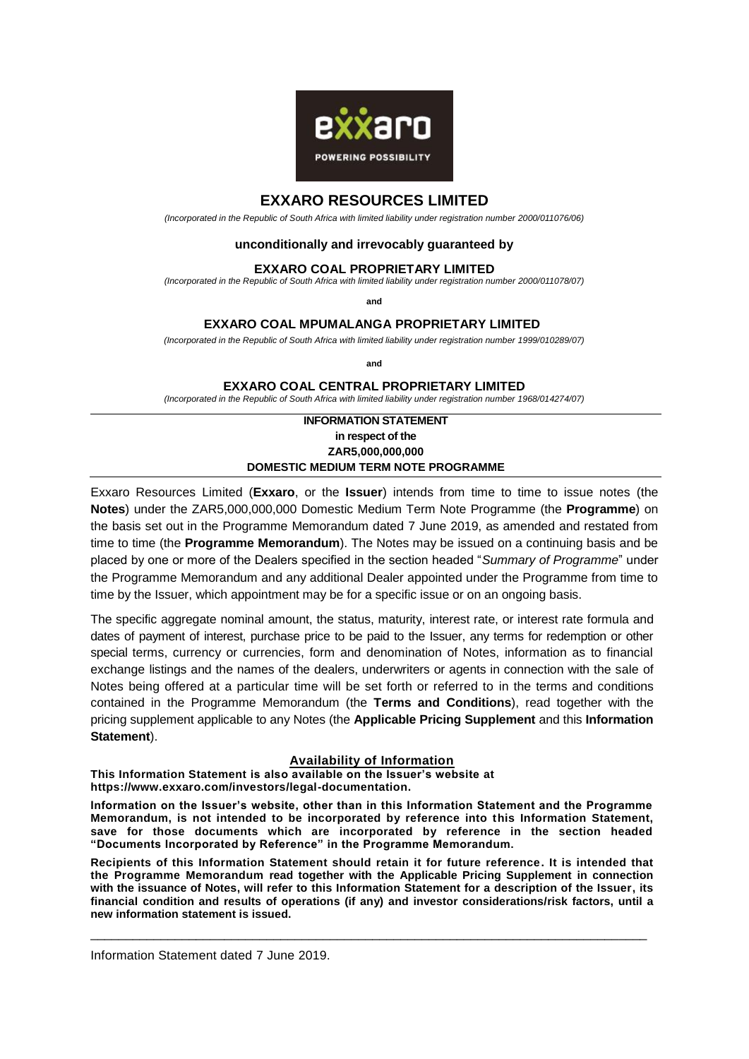

# **EXXARO RESOURCES LIMITED**

*(Incorporated in the Republic of South Africa with limited liability under registration number 2000/011076/06)*

## **unconditionally and irrevocably guaranteed by**

#### **EXXARO COAL PROPRIETARY LIMITED**

*(Incorporated in the Republic of South Africa with limited liability under registration number 2000/011078/07)*

**and**

## **EXXARO COAL MPUMALANGA PROPRIETARY LIMITED**

*(Incorporated in the Republic of South Africa with limited liability under registration number 1999/010289/07)*

**and**

**EXXARO COAL CENTRAL PROPRIETARY LIMITED** 

*(Incorporated in the Republic of South Africa with limited liability under registration number 1968/014274/07)*

## **INFORMATION STATEMENT in respect of the ZAR5,000,000,000 DOMESTIC MEDIUM TERM NOTE PROGRAMME**

Exxaro Resources Limited (**Exxaro**, or the **Issuer**) intends from time to time to issue notes (the **Notes**) under the ZAR5,000,000,000 Domestic Medium Term Note Programme (the **Programme**) on the basis set out in the Programme Memorandum dated 7 June 2019, as amended and restated from time to time (the **Programme Memorandum**). The Notes may be issued on a continuing basis and be placed by one or more of the Dealers specified in the section headed "*Summary of Programme*" under the Programme Memorandum and any additional Dealer appointed under the Programme from time to time by the Issuer, which appointment may be for a specific issue or on an ongoing basis.

The specific aggregate nominal amount, the status, maturity, interest rate, or interest rate formula and dates of payment of interest, purchase price to be paid to the Issuer, any terms for redemption or other special terms, currency or currencies, form and denomination of Notes, information as to financial exchange listings and the names of the dealers, underwriters or agents in connection with the sale of Notes being offered at a particular time will be set forth or referred to in the terms and conditions contained in the Programme Memorandum (the **Terms and Conditions**), read together with the pricing supplement applicable to any Notes (the **Applicable Pricing Supplement** and this **Information Statement**).

## **Availability of Information**

**This Information Statement is also available on the Issuer's website at [https://www.exxaro.com/investors/legal-documentation.](https://protect-za.mimecast.com/s/gVUjCWnKkoIyDgQPInSYwe?domain=exxaro.com)** 

**Information on the Issuer's website, other than in this Information Statement and the Programme Memorandum, is not intended to be incorporated by reference into this Information Statement, save for those documents which are incorporated by reference in the section headed "Documents Incorporated by Reference" in the Programme Memorandum.**

**Recipients of this Information Statement should retain it for future reference. It is intended that the Programme Memorandum read together with the Applicable Pricing Supplement in connection with the issuance of Notes, will refer to this Information Statement for a description of the Issuer, its financial condition and results of operations (if any) and investor considerations/risk factors, until a new information statement is issued.**

\_\_\_\_\_\_\_\_\_\_\_\_\_\_\_\_\_\_\_\_\_\_\_\_\_\_\_\_\_\_\_\_\_\_\_\_\_\_\_\_\_\_\_\_\_\_\_\_\_\_\_\_\_\_\_\_\_\_\_\_\_\_\_\_\_\_\_\_\_\_\_\_\_\_\_\_\_\_\_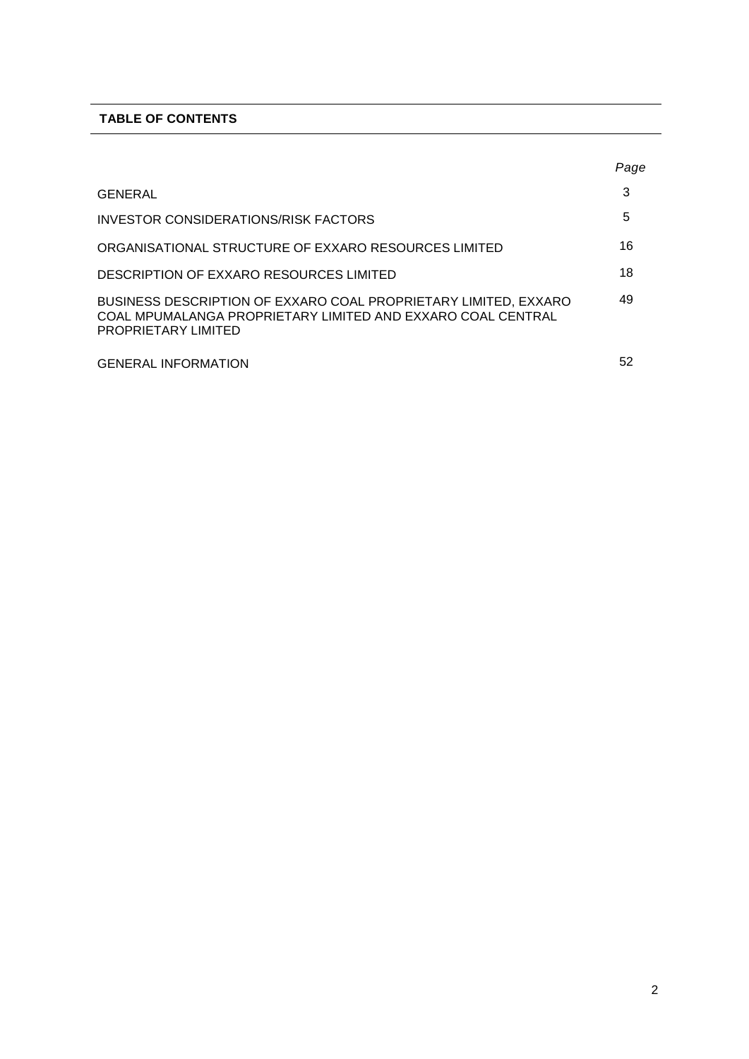# **TABLE OF CONTENTS**

|                                                                                                                                                       | Page |
|-------------------------------------------------------------------------------------------------------------------------------------------------------|------|
| GENERAL                                                                                                                                               | 3    |
| INVESTOR CONSIDERATIONS/RISK FACTORS                                                                                                                  | 5    |
| ORGANISATIONAL STRUCTURE OF EXXARO RESOURCES LIMITED                                                                                                  | 16   |
| DESCRIPTION OF EXXARO RESOURCES LIMITED                                                                                                               | 18   |
| BUSINESS DESCRIPTION OF EXXARO COAL PROPRIETARY LIMITED, EXXARO<br>COAL MPUMALANGA PROPRIETARY LIMITED AND EXXARO COAL CENTRAL<br>PROPRIETARY LIMITED | 49   |
| <b>GENERAL INFORMATION</b>                                                                                                                            | 52   |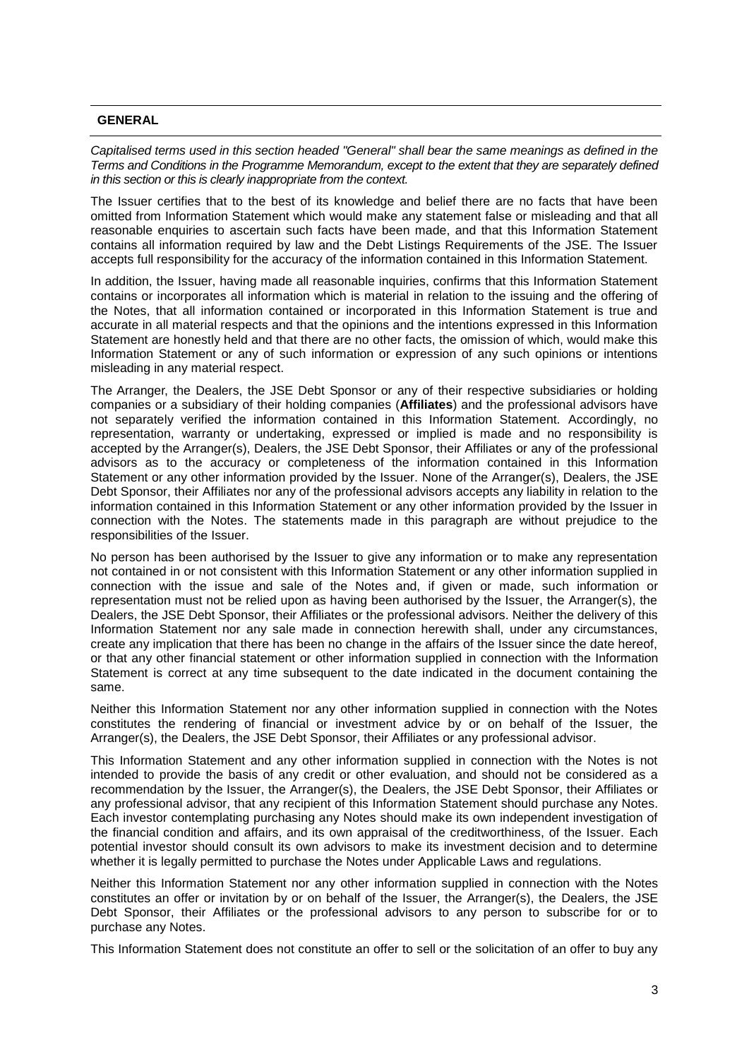## **GENERAL**

*Capitalised terms used in this section headed "General" shall bear the same meanings as defined in the Terms and Conditions in the Programme Memorandum, except to the extent that they are separately defined in this section or this is clearly inappropriate from the context.* 

The Issuer certifies that to the best of its knowledge and belief there are no facts that have been omitted from Information Statement which would make any statement false or misleading and that all reasonable enquiries to ascertain such facts have been made, and that this Information Statement contains all information required by law and the Debt Listings Requirements of the JSE. The Issuer accepts full responsibility for the accuracy of the information contained in this Information Statement.

In addition, the Issuer, having made all reasonable inquiries, confirms that this Information Statement contains or incorporates all information which is material in relation to the issuing and the offering of the Notes, that all information contained or incorporated in this Information Statement is true and accurate in all material respects and that the opinions and the intentions expressed in this Information Statement are honestly held and that there are no other facts, the omission of which, would make this Information Statement or any of such information or expression of any such opinions or intentions misleading in any material respect.

The Arranger, the Dealers, the JSE Debt Sponsor or any of their respective subsidiaries or holding companies or a subsidiary of their holding companies (**Affiliates**) and the professional advisors have not separately verified the information contained in this Information Statement. Accordingly, no representation, warranty or undertaking, expressed or implied is made and no responsibility is accepted by the Arranger(s), Dealers, the JSE Debt Sponsor, their Affiliates or any of the professional advisors as to the accuracy or completeness of the information contained in this Information Statement or any other information provided by the Issuer. None of the Arranger(s), Dealers, the JSE Debt Sponsor, their Affiliates nor any of the professional advisors accepts any liability in relation to the information contained in this Information Statement or any other information provided by the Issuer in connection with the Notes. The statements made in this paragraph are without prejudice to the responsibilities of the Issuer.

No person has been authorised by the Issuer to give any information or to make any representation not contained in or not consistent with this Information Statement or any other information supplied in connection with the issue and sale of the Notes and, if given or made, such information or representation must not be relied upon as having been authorised by the Issuer, the Arranger(s), the Dealers, the JSE Debt Sponsor, their Affiliates or the professional advisors. Neither the delivery of this Information Statement nor any sale made in connection herewith shall, under any circumstances, create any implication that there has been no change in the affairs of the Issuer since the date hereof, or that any other financial statement or other information supplied in connection with the Information Statement is correct at any time subsequent to the date indicated in the document containing the same.

Neither this Information Statement nor any other information supplied in connection with the Notes constitutes the rendering of financial or investment advice by or on behalf of the Issuer, the Arranger(s), the Dealers, the JSE Debt Sponsor, their Affiliates or any professional advisor.

This Information Statement and any other information supplied in connection with the Notes is not intended to provide the basis of any credit or other evaluation, and should not be considered as a recommendation by the Issuer, the Arranger(s), the Dealers, the JSE Debt Sponsor, their Affiliates or any professional advisor, that any recipient of this Information Statement should purchase any Notes. Each investor contemplating purchasing any Notes should make its own independent investigation of the financial condition and affairs, and its own appraisal of the creditworthiness, of the Issuer. Each potential investor should consult its own advisors to make its investment decision and to determine whether it is legally permitted to purchase the Notes under Applicable Laws and regulations.

Neither this Information Statement nor any other information supplied in connection with the Notes constitutes an offer or invitation by or on behalf of the Issuer, the Arranger(s), the Dealers, the JSE Debt Sponsor, their Affiliates or the professional advisors to any person to subscribe for or to purchase any Notes.

This Information Statement does not constitute an offer to sell or the solicitation of an offer to buy any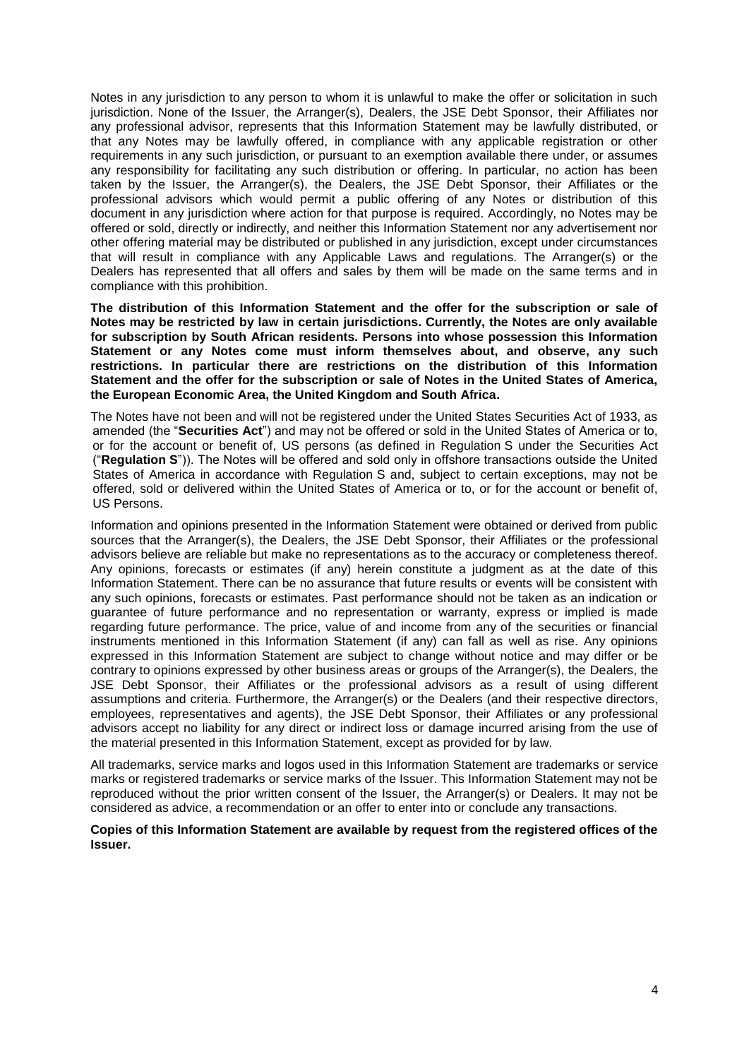Notes in any jurisdiction to any person to whom it is unlawful to make the offer or solicitation in such jurisdiction. None of the Issuer, the Arranger(s), Dealers, the JSE Debt Sponsor, their Affiliates nor any professional advisor, represents that this Information Statement may be lawfully distributed, or that any Notes may be lawfully offered, in compliance with any applicable registration or other requirements in any such jurisdiction, or pursuant to an exemption available there under, or assumes any responsibility for facilitating any such distribution or offering. In particular, no action has been taken by the Issuer, the Arranger(s), the Dealers, the JSE Debt Sponsor, their Affiliates or the professional advisors which would permit a public offering of any Notes or distribution of this document in any jurisdiction where action for that purpose is required. Accordingly, no Notes may be offered or sold, directly or indirectly, and neither this Information Statement nor any advertisement nor other offering material may be distributed or published in any jurisdiction, except under circumstances that will result in compliance with any Applicable Laws and regulations. The Arranger(s) or the Dealers has represented that all offers and sales by them will be made on the same terms and in compliance with this prohibition.

**The distribution of this Information Statement and the offer for the subscription or sale of Notes may be restricted by law in certain jurisdictions. Currently, the Notes are only available for subscription by South African residents. Persons into whose possession this Information Statement or any Notes come must inform themselves about, and observe, any such restrictions. In particular there are restrictions on the distribution of this Information Statement and the offer for the subscription or sale of Notes in the United States of America, the European Economic Area, the United Kingdom and South Africa.**

The Notes have not been and will not be registered under the United States Securities Act of 1933, as amended (the "**Securities Act**") and may not be offered or sold in the United States of America or to, or for the account or benefit of, US persons (as defined in Regulation S under the Securities Act ("**Regulation S**")). The Notes will be offered and sold only in offshore transactions outside the United States of America in accordance with Regulation S and, subject to certain exceptions, may not be offered, sold or delivered within the United States of America or to, or for the account or benefit of, US Persons.

Information and opinions presented in the Information Statement were obtained or derived from public sources that the Arranger(s), the Dealers, the JSE Debt Sponsor, their Affiliates or the professional advisors believe are reliable but make no representations as to the accuracy or completeness thereof. Any opinions, forecasts or estimates (if any) herein constitute a judgment as at the date of this Information Statement. There can be no assurance that future results or events will be consistent with any such opinions, forecasts or estimates. Past performance should not be taken as an indication or guarantee of future performance and no representation or warranty, express or implied is made regarding future performance. The price, value of and income from any of the securities or financial instruments mentioned in this Information Statement (if any) can fall as well as rise. Any opinions expressed in this Information Statement are subject to change without notice and may differ or be contrary to opinions expressed by other business areas or groups of the Arranger(s), the Dealers, the JSE Debt Sponsor, their Affiliates or the professional advisors as a result of using different assumptions and criteria. Furthermore, the Arranger(s) or the Dealers (and their respective directors, employees, representatives and agents), the JSE Debt Sponsor, their Affiliates or any professional advisors accept no liability for any direct or indirect loss or damage incurred arising from the use of the material presented in this Information Statement, except as provided for by law.

All trademarks, service marks and logos used in this Information Statement are trademarks or service marks or registered trademarks or service marks of the Issuer. This Information Statement may not be reproduced without the prior written consent of the Issuer, the Arranger(s) or Dealers. It may not be considered as advice, a recommendation or an offer to enter into or conclude any transactions.

## **Copies of this Information Statement are available by request from the registered offices of the Issuer.**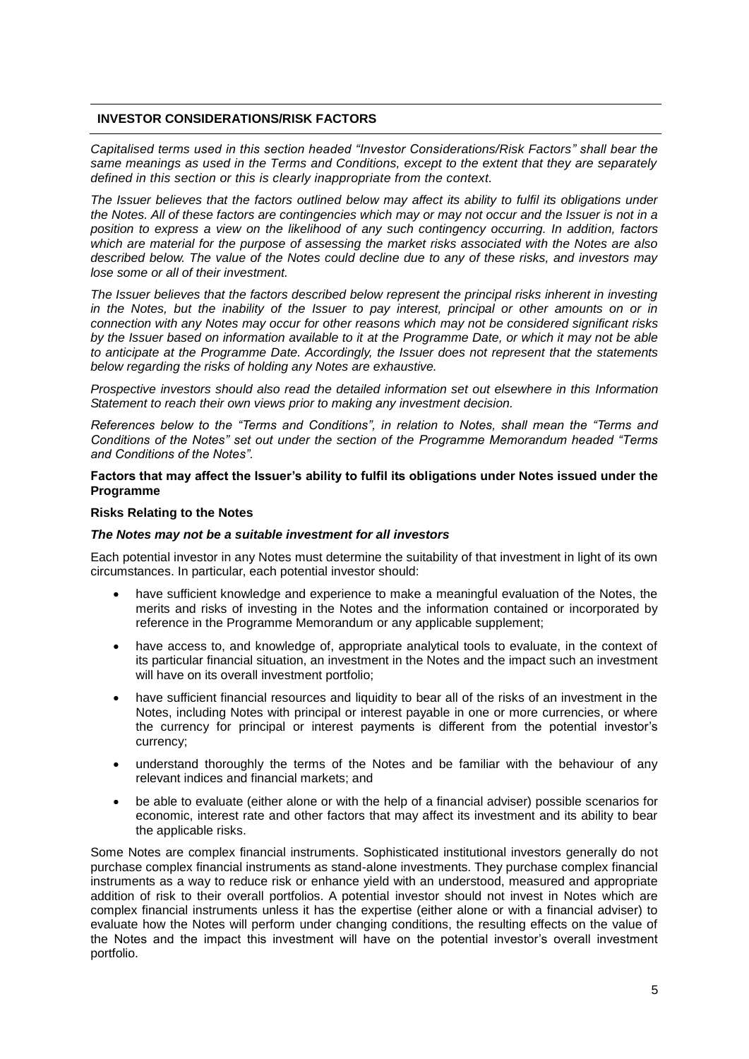## **INVESTOR CONSIDERATIONS/RISK FACTORS**

*Capitalised terms used in this section headed "Investor Considerations/Risk Factors" shall bear the same meanings as used in the Terms and Conditions, except to the extent that they are separately defined in this section or this is clearly inappropriate from the context.*

*The Issuer believes that the factors outlined below may affect its ability to fulfil its obligations under the Notes. All of these factors are contingencies which may or may not occur and the Issuer is not in a position to express a view on the likelihood of any such contingency occurring. In addition, factors which are material for the purpose of assessing the market risks associated with the Notes are also described below. The value of the Notes could decline due to any of these risks, and investors may lose some or all of their investment.*

*The Issuer believes that the factors described below represent the principal risks inherent in investing in the Notes, but the inability of the Issuer to pay interest, principal or other amounts on or in connection with any Notes may occur for other reasons which may not be considered significant risks*  by the Issuer based on information available to it at the Programme Date, or which it may not be able *to anticipate at the Programme Date. Accordingly, the Issuer does not represent that the statements below regarding the risks of holding any Notes are exhaustive.* 

*Prospective investors should also read the detailed information set out elsewhere in this Information Statement to reach their own views prior to making any investment decision.* 

*References below to the "Terms and Conditions", in relation to Notes, shall mean the "Terms and Conditions of the Notes" set out under the section of the Programme Memorandum headed "Terms and Conditions of the Notes".* 

## **Factors that may affect the Issuer's ability to fulfil its obligations under Notes issued under the Programme**

## **Risks Relating to the Notes**

## *The Notes may not be a suitable investment for all investors*

Each potential investor in any Notes must determine the suitability of that investment in light of its own circumstances. In particular, each potential investor should:

- have sufficient knowledge and experience to make a meaningful evaluation of the Notes, the merits and risks of investing in the Notes and the information contained or incorporated by reference in the Programme Memorandum or any applicable supplement;
- have access to, and knowledge of, appropriate analytical tools to evaluate, in the context of its particular financial situation, an investment in the Notes and the impact such an investment will have on its overall investment portfolio;
- have sufficient financial resources and liquidity to bear all of the risks of an investment in the Notes, including Notes with principal or interest payable in one or more currencies, or where the currency for principal or interest payments is different from the potential investor's currency;
- understand thoroughly the terms of the Notes and be familiar with the behaviour of any relevant indices and financial markets; and
- be able to evaluate (either alone or with the help of a financial adviser) possible scenarios for economic, interest rate and other factors that may affect its investment and its ability to bear the applicable risks.

Some Notes are complex financial instruments. Sophisticated institutional investors generally do not purchase complex financial instruments as stand-alone investments. They purchase complex financial instruments as a way to reduce risk or enhance yield with an understood, measured and appropriate addition of risk to their overall portfolios. A potential investor should not invest in Notes which are complex financial instruments unless it has the expertise (either alone or with a financial adviser) to evaluate how the Notes will perform under changing conditions, the resulting effects on the value of the Notes and the impact this investment will have on the potential investor's overall investment portfolio.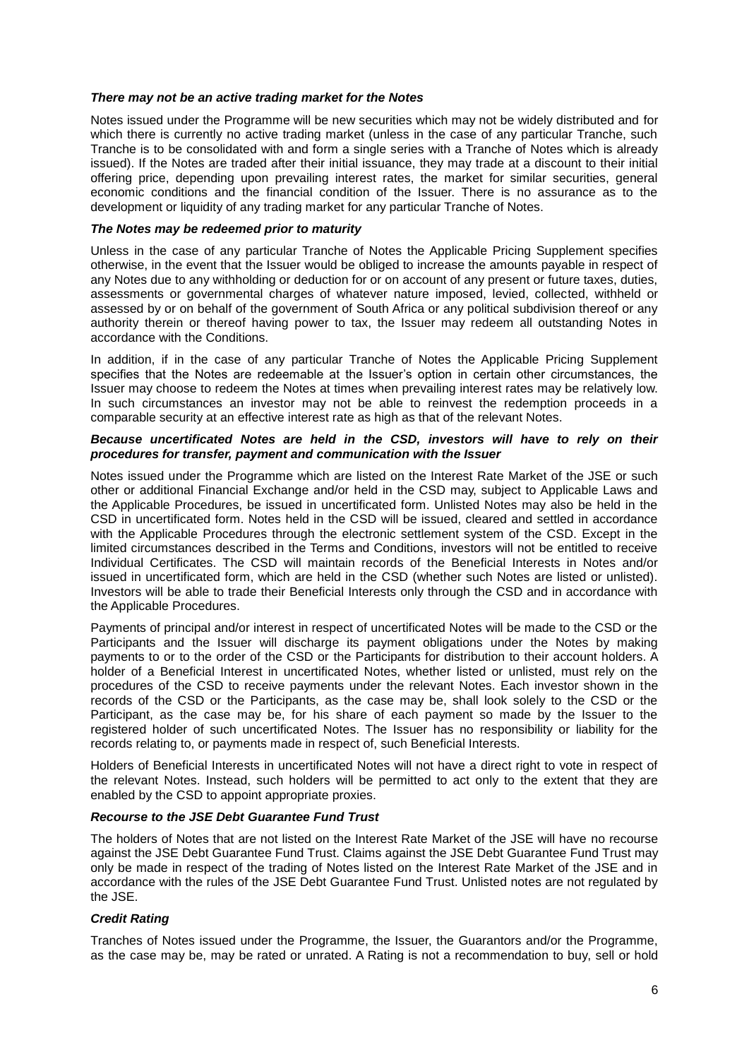## *There may not be an active trading market for the Notes*

Notes issued under the Programme will be new securities which may not be widely distributed and for which there is currently no active trading market (unless in the case of any particular Tranche, such Tranche is to be consolidated with and form a single series with a Tranche of Notes which is already issued). If the Notes are traded after their initial issuance, they may trade at a discount to their initial offering price, depending upon prevailing interest rates, the market for similar securities, general economic conditions and the financial condition of the Issuer. There is no assurance as to the development or liquidity of any trading market for any particular Tranche of Notes.

## *The Notes may be redeemed prior to maturity*

Unless in the case of any particular Tranche of Notes the Applicable Pricing Supplement specifies otherwise, in the event that the Issuer would be obliged to increase the amounts payable in respect of any Notes due to any withholding or deduction for or on account of any present or future taxes, duties, assessments or governmental charges of whatever nature imposed, levied, collected, withheld or assessed by or on behalf of the government of South Africa or any political subdivision thereof or any authority therein or thereof having power to tax, the Issuer may redeem all outstanding Notes in accordance with the Conditions.

In addition, if in the case of any particular Tranche of Notes the Applicable Pricing Supplement specifies that the Notes are redeemable at the Issuer's option in certain other circumstances, the Issuer may choose to redeem the Notes at times when prevailing interest rates may be relatively low. In such circumstances an investor may not be able to reinvest the redemption proceeds in a comparable security at an effective interest rate as high as that of the relevant Notes.

## *Because uncertificated Notes are held in the CSD, investors will have to rely on their procedures for transfer, payment and communication with the Issuer*

Notes issued under the Programme which are listed on the Interest Rate Market of the JSE or such other or additional Financial Exchange and/or held in the CSD may, subject to Applicable Laws and the Applicable Procedures, be issued in uncertificated form. Unlisted Notes may also be held in the CSD in uncertificated form. Notes held in the CSD will be issued, cleared and settled in accordance with the Applicable Procedures through the electronic settlement system of the CSD. Except in the limited circumstances described in the Terms and Conditions, investors will not be entitled to receive Individual Certificates. The CSD will maintain records of the Beneficial Interests in Notes and/or issued in uncertificated form, which are held in the CSD (whether such Notes are listed or unlisted). Investors will be able to trade their Beneficial Interests only through the CSD and in accordance with the Applicable Procedures.

Payments of principal and/or interest in respect of uncertificated Notes will be made to the CSD or the Participants and the Issuer will discharge its payment obligations under the Notes by making payments to or to the order of the CSD or the Participants for distribution to their account holders. A holder of a Beneficial Interest in uncertificated Notes, whether listed or unlisted, must rely on the procedures of the CSD to receive payments under the relevant Notes. Each investor shown in the records of the CSD or the Participants, as the case may be, shall look solely to the CSD or the Participant, as the case may be, for his share of each payment so made by the Issuer to the registered holder of such uncertificated Notes. The Issuer has no responsibility or liability for the records relating to, or payments made in respect of, such Beneficial Interests.

Holders of Beneficial Interests in uncertificated Notes will not have a direct right to vote in respect of the relevant Notes. Instead, such holders will be permitted to act only to the extent that they are enabled by the CSD to appoint appropriate proxies.

## *Recourse to the JSE Debt Guarantee Fund Trust*

The holders of Notes that are not listed on the Interest Rate Market of the JSE will have no recourse against the JSE Debt Guarantee Fund Trust. Claims against the JSE Debt Guarantee Fund Trust may only be made in respect of the trading of Notes listed on the Interest Rate Market of the JSE and in accordance with the rules of the JSE Debt Guarantee Fund Trust. Unlisted notes are not regulated by the JSE.

## *Credit Rating*

Tranches of Notes issued under the Programme, the Issuer, the Guarantors and/or the Programme, as the case may be, may be rated or unrated. A Rating is not a recommendation to buy, sell or hold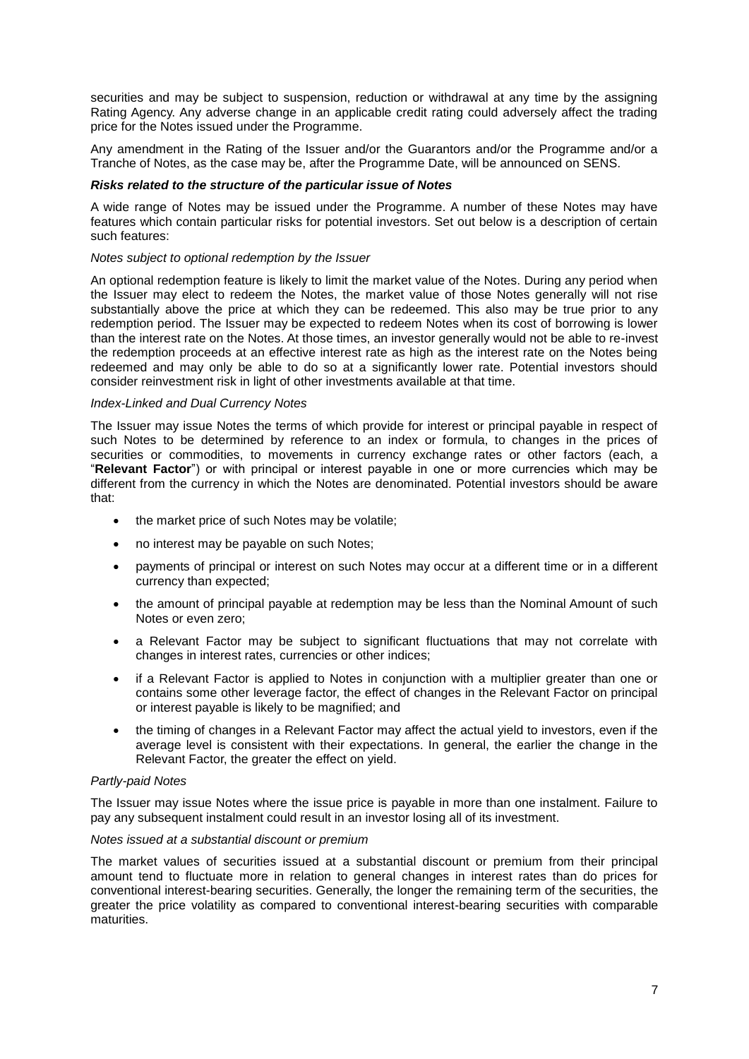securities and may be subject to suspension, reduction or withdrawal at any time by the assigning Rating Agency. Any adverse change in an applicable credit rating could adversely affect the trading price for the Notes issued under the Programme.

Any amendment in the Rating of the Issuer and/or the Guarantors and/or the Programme and/or a Tranche of Notes, as the case may be, after the Programme Date, will be announced on SENS.

## *Risks related to the structure of the particular issue of Notes*

A wide range of Notes may be issued under the Programme. A number of these Notes may have features which contain particular risks for potential investors. Set out below is a description of certain such features:

## *Notes subject to optional redemption by the Issuer*

An optional redemption feature is likely to limit the market value of the Notes. During any period when the Issuer may elect to redeem the Notes, the market value of those Notes generally will not rise substantially above the price at which they can be redeemed. This also may be true prior to any redemption period. The Issuer may be expected to redeem Notes when its cost of borrowing is lower than the interest rate on the Notes. At those times, an investor generally would not be able to re-invest the redemption proceeds at an effective interest rate as high as the interest rate on the Notes being redeemed and may only be able to do so at a significantly lower rate. Potential investors should consider reinvestment risk in light of other investments available at that time.

## *Index-Linked and Dual Currency Notes*

The Issuer may issue Notes the terms of which provide for interest or principal payable in respect of such Notes to be determined by reference to an index or formula, to changes in the prices of securities or commodities, to movements in currency exchange rates or other factors (each, a "**Relevant Factor**") or with principal or interest payable in one or more currencies which may be different from the currency in which the Notes are denominated. Potential investors should be aware that:

- the market price of such Notes may be volatile;
- no interest may be payable on such Notes;
- payments of principal or interest on such Notes may occur at a different time or in a different currency than expected;
- the amount of principal payable at redemption may be less than the Nominal Amount of such Notes or even zero;
- a Relevant Factor may be subject to significant fluctuations that may not correlate with changes in interest rates, currencies or other indices;
- if a Relevant Factor is applied to Notes in conjunction with a multiplier greater than one or contains some other leverage factor, the effect of changes in the Relevant Factor on principal or interest payable is likely to be magnified; and
- the timing of changes in a Relevant Factor may affect the actual yield to investors, even if the average level is consistent with their expectations. In general, the earlier the change in the Relevant Factor, the greater the effect on yield.

## *Partly-paid Notes*

The Issuer may issue Notes where the issue price is payable in more than one instalment. Failure to pay any subsequent instalment could result in an investor losing all of its investment.

## *Notes issued at a substantial discount or premium*

The market values of securities issued at a substantial discount or premium from their principal amount tend to fluctuate more in relation to general changes in interest rates than do prices for conventional interest-bearing securities. Generally, the longer the remaining term of the securities, the greater the price volatility as compared to conventional interest-bearing securities with comparable **maturities**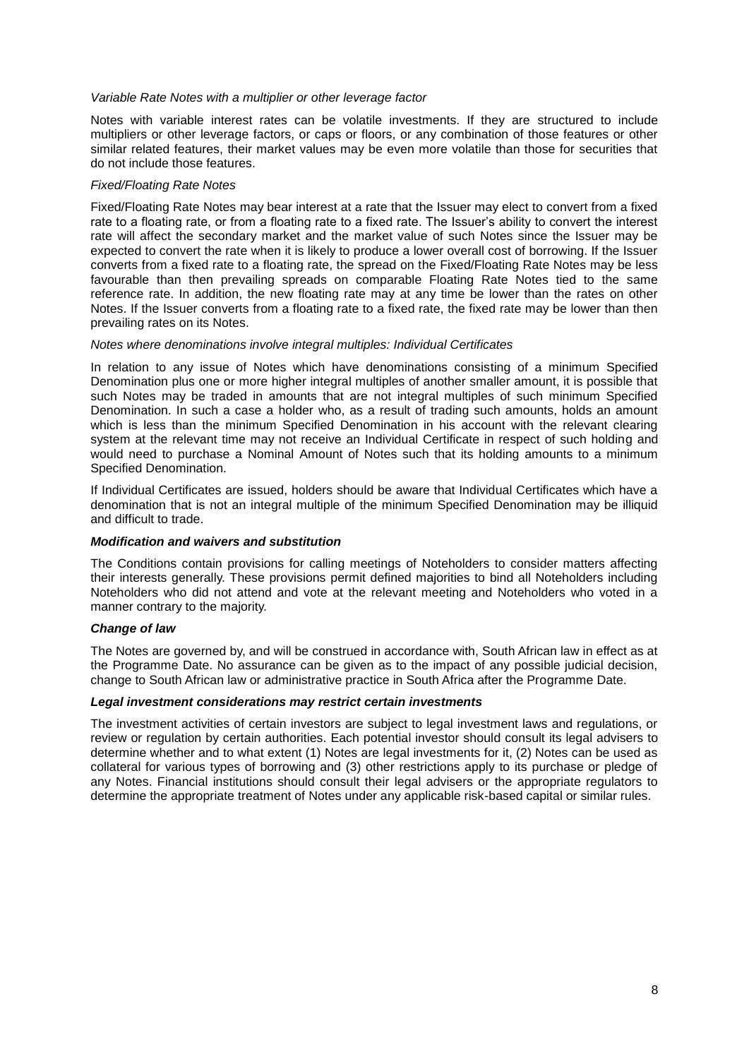#### *Variable Rate Notes with a multiplier or other leverage factor*

Notes with variable interest rates can be volatile investments. If they are structured to include multipliers or other leverage factors, or caps or floors, or any combination of those features or other similar related features, their market values may be even more volatile than those for securities that do not include those features.

## *Fixed/Floating Rate Notes*

Fixed/Floating Rate Notes may bear interest at a rate that the Issuer may elect to convert from a fixed rate to a floating rate, or from a floating rate to a fixed rate. The Issuer's ability to convert the interest rate will affect the secondary market and the market value of such Notes since the Issuer may be expected to convert the rate when it is likely to produce a lower overall cost of borrowing. If the Issuer converts from a fixed rate to a floating rate, the spread on the Fixed/Floating Rate Notes may be less favourable than then prevailing spreads on comparable Floating Rate Notes tied to the same reference rate. In addition, the new floating rate may at any time be lower than the rates on other Notes. If the Issuer converts from a floating rate to a fixed rate, the fixed rate may be lower than then prevailing rates on its Notes.

#### *Notes where denominations involve integral multiples: Individual Certificates*

In relation to any issue of Notes which have denominations consisting of a minimum Specified Denomination plus one or more higher integral multiples of another smaller amount, it is possible that such Notes may be traded in amounts that are not integral multiples of such minimum Specified Denomination. In such a case a holder who, as a result of trading such amounts, holds an amount which is less than the minimum Specified Denomination in his account with the relevant clearing system at the relevant time may not receive an Individual Certificate in respect of such holding and would need to purchase a Nominal Amount of Notes such that its holding amounts to a minimum Specified Denomination.

If Individual Certificates are issued, holders should be aware that Individual Certificates which have a denomination that is not an integral multiple of the minimum Specified Denomination may be illiquid and difficult to trade.

## *Modification and waivers and substitution*

The Conditions contain provisions for calling meetings of Noteholders to consider matters affecting their interests generally. These provisions permit defined majorities to bind all Noteholders including Noteholders who did not attend and vote at the relevant meeting and Noteholders who voted in a manner contrary to the majority.

## *Change of law*

The Notes are governed by, and will be construed in accordance with, South African law in effect as at the Programme Date. No assurance can be given as to the impact of any possible judicial decision, change to South African law or administrative practice in South Africa after the Programme Date.

#### *Legal investment considerations may restrict certain investments*

The investment activities of certain investors are subject to legal investment laws and regulations, or review or regulation by certain authorities. Each potential investor should consult its legal advisers to determine whether and to what extent (1) Notes are legal investments for it, (2) Notes can be used as collateral for various types of borrowing and (3) other restrictions apply to its purchase or pledge of any Notes. Financial institutions should consult their legal advisers or the appropriate regulators to determine the appropriate treatment of Notes under any applicable risk-based capital or similar rules.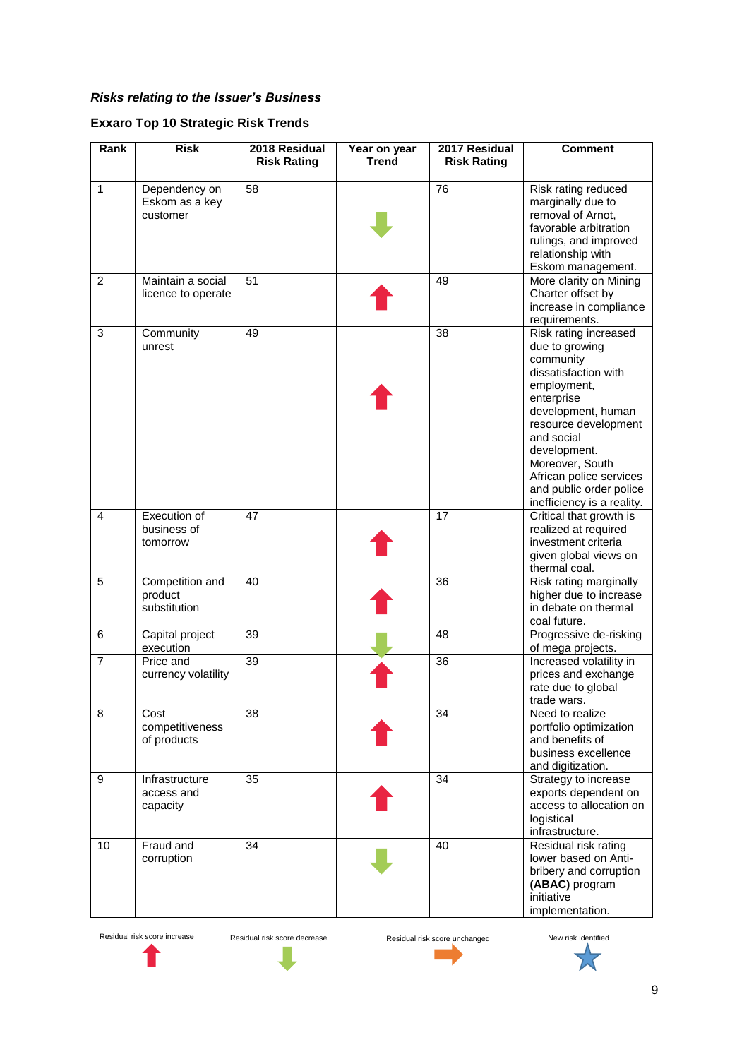# *Risks relating to the Issuer's Business*

# **Exxaro Top 10 Strategic Risk Trends**

| Rank           | <b>Risk</b>                                 | 2018 Residual<br><b>Risk Rating</b> | Year on year<br><b>Trend</b> | 2017 Residual<br><b>Risk Rating</b> | <b>Comment</b>                                                                                                                                                                                                                                                                               |
|----------------|---------------------------------------------|-------------------------------------|------------------------------|-------------------------------------|----------------------------------------------------------------------------------------------------------------------------------------------------------------------------------------------------------------------------------------------------------------------------------------------|
| 1              | Dependency on<br>Eskom as a key<br>customer | 58                                  |                              | 76                                  | Risk rating reduced<br>marginally due to<br>removal of Arnot,<br>favorable arbitration<br>rulings, and improved<br>relationship with<br>Eskom management.                                                                                                                                    |
| 2              | Maintain a social<br>licence to operate     | 51                                  |                              | 49                                  | More clarity on Mining<br>Charter offset by<br>increase in compliance<br>requirements.                                                                                                                                                                                                       |
| 3              | Community<br>unrest                         | 49                                  |                              | 38                                  | Risk rating increased<br>due to growing<br>community<br>dissatisfaction with<br>employment,<br>enterprise<br>development, human<br>resource development<br>and social<br>development.<br>Moreover, South<br>African police services<br>and public order police<br>inefficiency is a reality. |
| 4              | Execution of<br>business of<br>tomorrow     | 47                                  |                              | 17                                  | Critical that growth is<br>realized at required<br>investment criteria<br>given global views on<br>thermal coal.                                                                                                                                                                             |
| 5              | Competition and<br>product<br>substitution  | 40                                  |                              | 36                                  | Risk rating marginally<br>higher due to increase<br>in debate on thermal<br>coal future.                                                                                                                                                                                                     |
| 6              | Capital project<br>execution                | 39                                  |                              | 48                                  | Progressive de-risking<br>of mega projects.                                                                                                                                                                                                                                                  |
| $\overline{7}$ | Price and<br>currency volatility            | 39                                  |                              | 36                                  | Increased volatility in<br>prices and exchange<br>rate due to global<br>trade wars.                                                                                                                                                                                                          |
| 8              | Cost<br>competitiveness<br>of products      | 38                                  |                              | 34                                  | Need to realize<br>portfolio optimization<br>and benefits of<br>business excellence<br>and digitization.                                                                                                                                                                                     |
| 9              | Infrastructure<br>access and<br>capacity    | 35                                  |                              | 34                                  | Strategy to increase<br>exports dependent on<br>access to allocation on<br>logistical<br>infrastructure.                                                                                                                                                                                     |
| 10             | Fraud and<br>corruption                     | 34                                  |                              | 40                                  | Residual risk rating<br>lower based on Anti-<br>bribery and corruption<br>(ABAC) program<br>initiative<br>implementation.                                                                                                                                                                    |

Residual risk score increase Residual risk score decrease Residual risk score unchanged New risk identified



ı

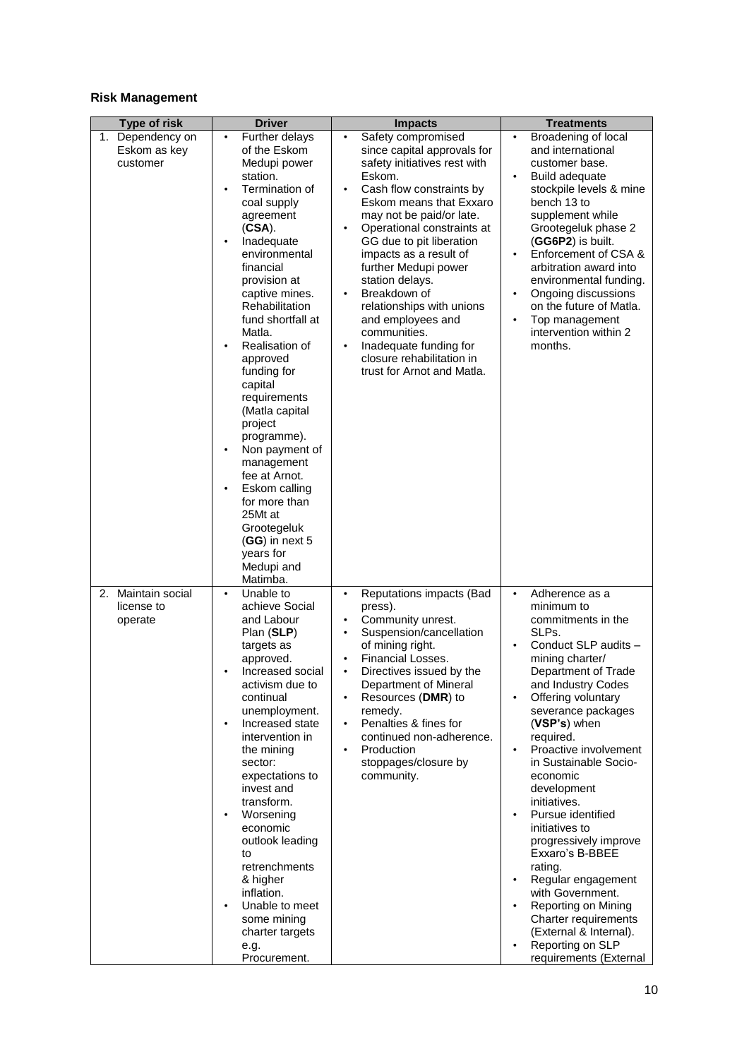## **Risk Management**

| <b>Type of risk</b>                          |                                                                                                                                                                                                                                                                                                                                                                                                                                                                                                                                                                                |                                                                                                                                                                                                                                                                                                                                                                                                                                                                                                                                               |                                                                                                                                                                                                                                                                                                                                                                                                                                                                                                                                                                                                                                   |
|----------------------------------------------|--------------------------------------------------------------------------------------------------------------------------------------------------------------------------------------------------------------------------------------------------------------------------------------------------------------------------------------------------------------------------------------------------------------------------------------------------------------------------------------------------------------------------------------------------------------------------------|-----------------------------------------------------------------------------------------------------------------------------------------------------------------------------------------------------------------------------------------------------------------------------------------------------------------------------------------------------------------------------------------------------------------------------------------------------------------------------------------------------------------------------------------------|-----------------------------------------------------------------------------------------------------------------------------------------------------------------------------------------------------------------------------------------------------------------------------------------------------------------------------------------------------------------------------------------------------------------------------------------------------------------------------------------------------------------------------------------------------------------------------------------------------------------------------------|
| 1. Dependency on<br>Eskom as key<br>customer | <b>Driver</b><br>Further delays<br>$\bullet$<br>of the Eskom<br>Medupi power<br>station.<br>Termination of<br>coal supply<br>agreement<br>$(CSA)$ .<br>Inadequate<br>environmental<br>financial<br>provision at<br>captive mines.<br>Rehabilitation<br>fund shortfall at<br>Matla.<br>Realisation of<br>approved<br>funding for<br>capital<br>requirements<br>(Matla capital<br>project<br>programme).<br>Non payment of<br>management<br>fee at Arnot.<br>Eskom calling<br>for more than<br>25Mt at<br>Grootegeluk<br>$(GG)$ in next 5<br>years for<br>Medupi and<br>Matimba. | <b>Impacts</b><br>Safety compromised<br>$\bullet$<br>since capital approvals for<br>safety initiatives rest with<br>Eskom.<br>Cash flow constraints by<br>$\bullet$<br>Eskom means that Exxaro<br>may not be paid/or late.<br>Operational constraints at<br>$\bullet$<br>GG due to pit liberation<br>impacts as a result of<br>further Medupi power<br>station delays.<br>Breakdown of<br>relationships with unions<br>and employees and<br>communities.<br>Inadequate funding for<br>closure rehabilitation in<br>trust for Arnot and Matla. | <b>Treatments</b><br>Broadening of local<br>$\bullet$<br>and international<br>customer base.<br><b>Build adequate</b><br>$\bullet$<br>stockpile levels & mine<br>bench 13 to<br>supplement while<br>Grootegeluk phase 2<br>(GG6P2) is built.<br>Enforcement of CSA &<br>arbitration award into<br>environmental funding.<br>Ongoing discussions<br>on the future of Matla.<br>Top management<br>$\bullet$<br>intervention within 2<br>months.                                                                                                                                                                                     |
| 2. Maintain social<br>license to<br>operate  | Unable to<br>$\bullet$<br>achieve Social<br>and Labour<br>Plan (SLP)<br>targets as<br>approved.<br>Increased social<br>activism due to<br>continual<br>unemployment.<br>Increased state<br>intervention in<br>the mining<br>sector:<br>expectations to<br>invest and<br>transform.<br>Worsening<br>economic<br>outlook leading<br>to<br>retrenchments<br>& higher<br>inflation.<br>Unable to meet<br>some mining<br>charter targets<br>e.g.<br>Procurement.                                                                                                                    | Reputations impacts (Bad<br>$\bullet$<br>press).<br>Community unrest.<br>$\bullet$<br>Suspension/cancellation<br>$\bullet$<br>of mining right.<br><b>Financial Losses.</b><br>Directives issued by the<br>Department of Mineral<br>Resources (DMR) to<br>remedy.<br>Penalties & fines for<br>continued non-adherence.<br>Production<br>$\bullet$<br>stoppages/closure by<br>community.                                                                                                                                                        | Adherence as a<br>$\bullet$<br>minimum to<br>commitments in the<br>SLPs.<br>Conduct SLP audits -<br>mining charter/<br>Department of Trade<br>and Industry Codes<br>Offering voluntary<br>severance packages<br>$(VSP's)$ when<br>required.<br>Proactive involvement<br>$\bullet$<br>in Sustainable Socio-<br>economic<br>development<br>initiatives.<br>Pursue identified<br>initiatives to<br>progressively improve<br>Exxaro's B-BBEE<br>rating.<br>Regular engagement<br>with Government.<br>Reporting on Mining<br>$\bullet$<br>Charter requirements<br>(External & Internal).<br>Reporting on SLP<br>requirements (External |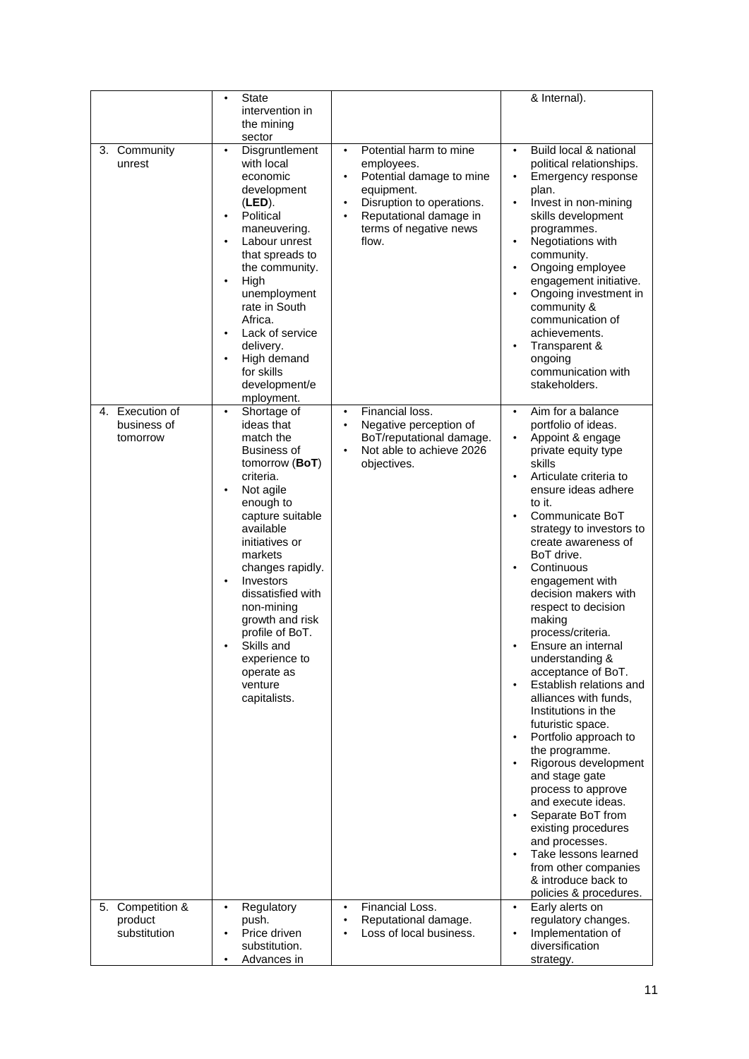|                         | <b>State</b><br>$\bullet$                                                                                                                                                                                                                                                                                                                                                 |                                                                                                                                                                                                                 | & Internal).                                                                                                                                                                                                                                                                                                                                                                                                                                                                                                                                                                                                                                                                                                                                                                                                       |
|-------------------------|---------------------------------------------------------------------------------------------------------------------------------------------------------------------------------------------------------------------------------------------------------------------------------------------------------------------------------------------------------------------------|-----------------------------------------------------------------------------------------------------------------------------------------------------------------------------------------------------------------|--------------------------------------------------------------------------------------------------------------------------------------------------------------------------------------------------------------------------------------------------------------------------------------------------------------------------------------------------------------------------------------------------------------------------------------------------------------------------------------------------------------------------------------------------------------------------------------------------------------------------------------------------------------------------------------------------------------------------------------------------------------------------------------------------------------------|
|                         | intervention in                                                                                                                                                                                                                                                                                                                                                           |                                                                                                                                                                                                                 |                                                                                                                                                                                                                                                                                                                                                                                                                                                                                                                                                                                                                                                                                                                                                                                                                    |
|                         | the mining                                                                                                                                                                                                                                                                                                                                                                |                                                                                                                                                                                                                 |                                                                                                                                                                                                                                                                                                                                                                                                                                                                                                                                                                                                                                                                                                                                                                                                                    |
|                         | sector                                                                                                                                                                                                                                                                                                                                                                    |                                                                                                                                                                                                                 |                                                                                                                                                                                                                                                                                                                                                                                                                                                                                                                                                                                                                                                                                                                                                                                                                    |
| 3. Community<br>unrest  | Disgruntlement<br>$\bullet$<br>with local<br>economic<br>development<br>(LED).<br>Political<br>maneuvering.<br>Labour unrest<br>$\bullet$<br>that spreads to<br>the community.<br>High<br>$\bullet$<br>unemployment<br>rate in South<br>Africa.<br>Lack of service<br>delivery.<br>High demand<br>for skills<br>development/e                                             | Potential harm to mine<br>$\bullet$<br>employees.<br>Potential damage to mine<br>$\bullet$<br>equipment.<br>Disruption to operations.<br>$\bullet$<br>Reputational damage in<br>terms of negative news<br>flow. | Build local & national<br>$\bullet$<br>political relationships.<br>Emergency response<br>plan.<br>Invest in non-mining<br>$\bullet$<br>skills development<br>programmes.<br>Negotiations with<br>$\bullet$<br>community.<br>Ongoing employee<br>engagement initiative.<br>Ongoing investment in<br>community &<br>communication of<br>achievements.<br>Transparent &<br>ongoing<br>communication with<br>stakeholders.                                                                                                                                                                                                                                                                                                                                                                                             |
| 4. Execution of         | mployment.<br>Shortage of<br>$\bullet$                                                                                                                                                                                                                                                                                                                                    | Financial loss.<br>$\bullet$                                                                                                                                                                                    | Aim for a balance<br>$\bullet$                                                                                                                                                                                                                                                                                                                                                                                                                                                                                                                                                                                                                                                                                                                                                                                     |
| business of<br>tomorrow | ideas that<br>match the<br>Business of<br>tomorrow (BoT)<br>criteria.<br>Not agile<br>$\bullet$<br>enough to<br>capture suitable<br>available<br>initiatives or<br>markets<br>changes rapidly.<br>Investors<br>$\bullet$<br>dissatisfied with<br>non-mining<br>growth and risk<br>profile of BoT.<br>Skills and<br>experience to<br>operate as<br>venture<br>capitalists. | Negative perception of<br>$\bullet$<br>BoT/reputational damage.<br>Not able to achieve 2026<br>objectives.                                                                                                      | portfolio of ideas.<br>Appoint & engage<br>private equity type<br>skills<br>Articulate criteria to<br>$\bullet$<br>ensure ideas adhere<br>to it.<br>Communicate BoT<br>strategy to investors to<br>create awareness of<br>BoT drive.<br>Continuous<br>engagement with<br>decision makers with<br>respect to decision<br>making<br>process/criteria.<br>Ensure an internal<br>understanding &<br>acceptance of BoT.<br>Establish relations and<br>alliances with funds,<br>Institutions in the<br>futuristic space.<br>Portfolio approach to<br>the programme.<br>Rigorous development<br>and stage gate<br>process to approve<br>and execute ideas.<br>Separate BoT from<br>existing procedures<br>and processes.<br>Take lessons learned<br>from other companies<br>& introduce back to<br>policies & procedures. |
| 5. Competition &        | Regulatory<br>$\bullet$                                                                                                                                                                                                                                                                                                                                                   | Financial Loss.<br>$\bullet$                                                                                                                                                                                    | Early alerts on<br>$\bullet$                                                                                                                                                                                                                                                                                                                                                                                                                                                                                                                                                                                                                                                                                                                                                                                       |
| product                 | push.                                                                                                                                                                                                                                                                                                                                                                     | Reputational damage.<br>$\bullet$                                                                                                                                                                               | regulatory changes.                                                                                                                                                                                                                                                                                                                                                                                                                                                                                                                                                                                                                                                                                                                                                                                                |
| substitution            | Price driven<br>substitution.                                                                                                                                                                                                                                                                                                                                             | Loss of local business.                                                                                                                                                                                         | Implementation of<br>diversification                                                                                                                                                                                                                                                                                                                                                                                                                                                                                                                                                                                                                                                                                                                                                                               |
|                         | Advances in                                                                                                                                                                                                                                                                                                                                                               |                                                                                                                                                                                                                 | strategy.                                                                                                                                                                                                                                                                                                                                                                                                                                                                                                                                                                                                                                                                                                                                                                                                          |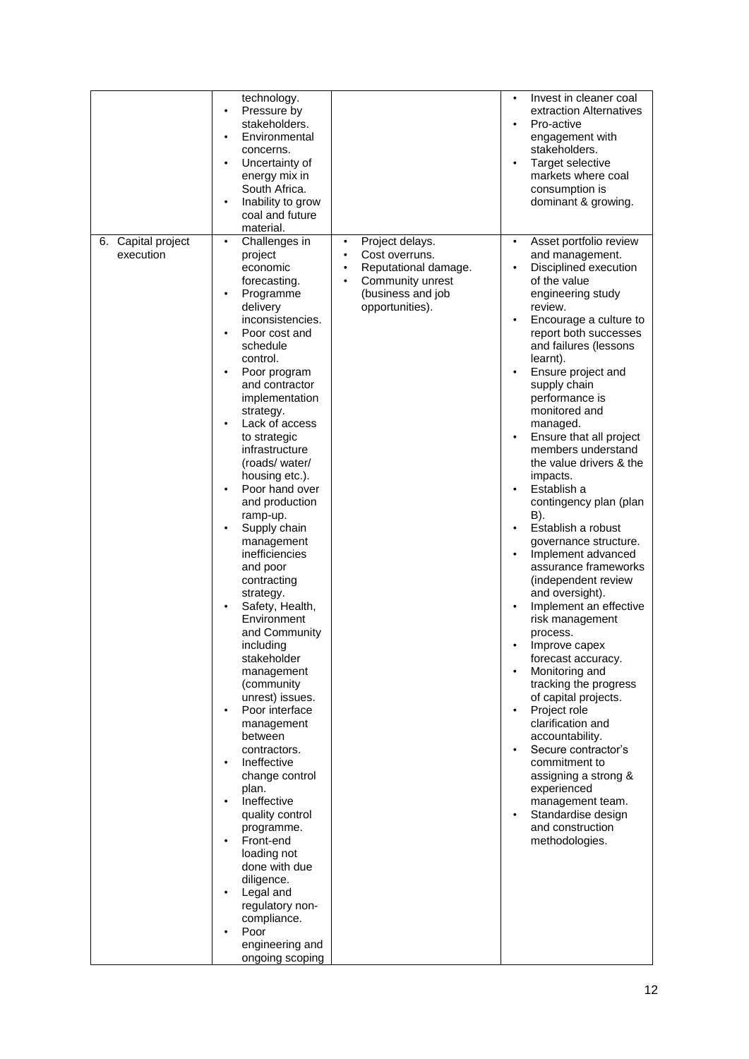| 6. Capital project<br>execution | technology.<br>Pressure by<br>$\bullet$<br>stakeholders.<br>Environmental<br>٠<br>concerns.<br>Uncertainty of<br>energy mix in<br>South Africa.<br>Inability to grow<br>coal and future<br>material.<br>Challenges in<br>٠<br>project                                                                                                                                                                                                                                                                                                                                                                                                                                                                                                                                                                                                                                  | Project delays.<br>$\bullet$<br>Cost overruns.                                                | Invest in cleaner coal<br>$\bullet$<br>extraction Alternatives<br>Pro-active<br>$\bullet$<br>engagement with<br>stakeholders.<br>Target selective<br>$\bullet$<br>markets where coal<br>consumption is<br>dominant & growing.<br>Asset portfolio review<br>$\bullet$<br>and management.                                                                                                                                                                                                                                                                                                                                                                                                                                                                                                                                                                                                                                                                                                                                                                                                 |
|---------------------------------|------------------------------------------------------------------------------------------------------------------------------------------------------------------------------------------------------------------------------------------------------------------------------------------------------------------------------------------------------------------------------------------------------------------------------------------------------------------------------------------------------------------------------------------------------------------------------------------------------------------------------------------------------------------------------------------------------------------------------------------------------------------------------------------------------------------------------------------------------------------------|-----------------------------------------------------------------------------------------------|-----------------------------------------------------------------------------------------------------------------------------------------------------------------------------------------------------------------------------------------------------------------------------------------------------------------------------------------------------------------------------------------------------------------------------------------------------------------------------------------------------------------------------------------------------------------------------------------------------------------------------------------------------------------------------------------------------------------------------------------------------------------------------------------------------------------------------------------------------------------------------------------------------------------------------------------------------------------------------------------------------------------------------------------------------------------------------------------|
|                                 | economic<br>forecasting.<br>Programme<br>delivery<br>inconsistencies.<br>Poor cost and<br>schedule<br>control.<br>Poor program<br>and contractor<br>implementation<br>strategy.<br>Lack of access<br>to strategic<br>infrastructure<br>(roads/water/<br>housing etc.).<br>Poor hand over<br>and production<br>ramp-up.<br>Supply chain<br>management<br>inefficiencies<br>and poor<br>contracting<br>strategy.<br>Safety, Health,<br>Environment<br>and Community<br>including<br>stakeholder<br>management<br>(community<br>unrest) issues.<br>Poor interface<br>$\bullet$<br>management<br>between<br>contractors.<br>Ineffective<br>change control<br>plan.<br>Ineffective<br>quality control<br>programme.<br>Front-end<br>loading not<br>done with due<br>diligence.<br>Legal and<br>regulatory non-<br>compliance.<br>Poor<br>engineering and<br>ongoing scoping | Reputational damage.<br>$\bullet$<br>Community unrest<br>(business and job<br>opportunities). | Disciplined execution<br>$\bullet$<br>of the value<br>engineering study<br>review.<br>Encourage a culture to<br>$\bullet$<br>report both successes<br>and failures (lessons<br>learnt).<br>Ensure project and<br>$\bullet$<br>supply chain<br>performance is<br>monitored and<br>managed.<br>Ensure that all project<br>$\bullet$<br>members understand<br>the value drivers & the<br>impacts.<br>Establish a<br>contingency plan (plan<br>B).<br>Establish a robust<br>$\bullet$<br>governance structure.<br>Implement advanced<br>$\bullet$<br>assurance frameworks<br>(independent review<br>and oversight).<br>Implement an effective<br>$\bullet$<br>risk management<br>process.<br>Improve capex<br>$\bullet$<br>forecast accuracy.<br>Monitoring and<br>$\bullet$<br>tracking the progress<br>of capital projects.<br>Project role<br>$\bullet$<br>clarification and<br>accountability.<br>Secure contractor's<br>$\bullet$<br>commitment to<br>assigning a strong &<br>experienced<br>management team.<br>Standardise design<br>$\bullet$<br>and construction<br>methodologies. |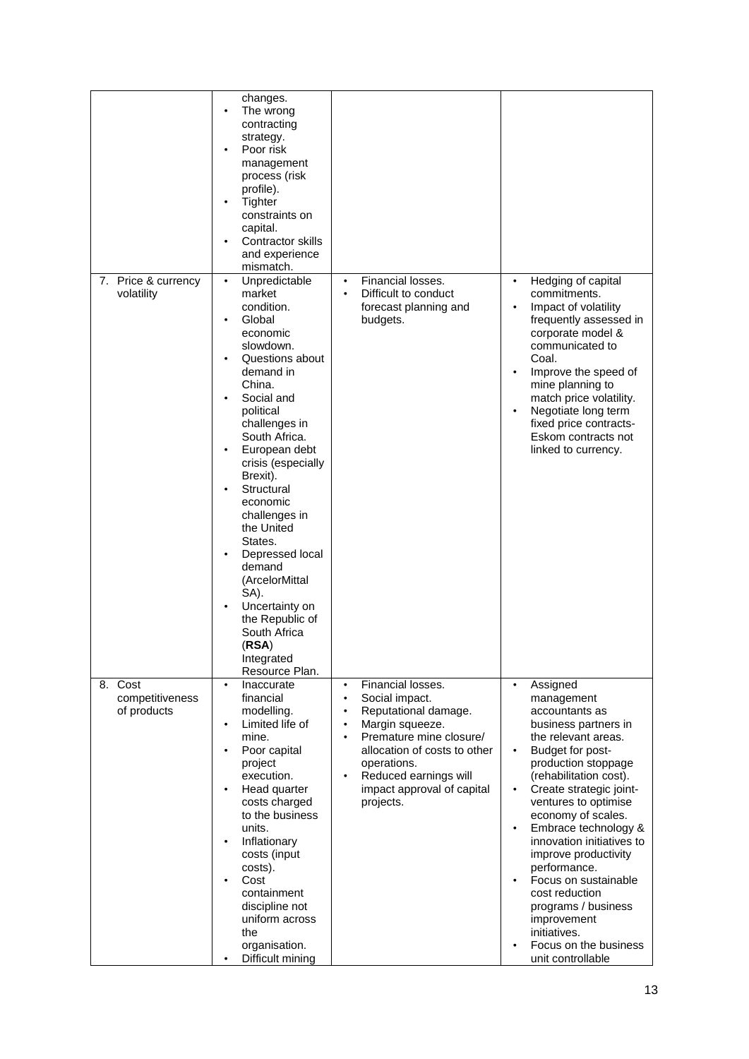|                     | changes.<br>The wrong          |                                      |                                                              |
|---------------------|--------------------------------|--------------------------------------|--------------------------------------------------------------|
|                     | contracting                    |                                      |                                                              |
|                     | strategy.                      |                                      |                                                              |
|                     | Poor risk                      |                                      |                                                              |
|                     | management                     |                                      |                                                              |
|                     | process (risk                  |                                      |                                                              |
|                     | profile).                      |                                      |                                                              |
|                     | Tighter                        |                                      |                                                              |
|                     | constraints on                 |                                      |                                                              |
|                     | capital.                       |                                      |                                                              |
|                     | Contractor skills              |                                      |                                                              |
|                     | and experience                 |                                      |                                                              |
|                     | mismatch.                      |                                      |                                                              |
| 7. Price & currency | Unpredictable<br>$\bullet$     | Financial losses.<br>$\bullet$       | Hedging of capital<br>$\bullet$                              |
| volatility          | market                         | Difficult to conduct                 | commitments.                                                 |
|                     | condition.                     | forecast planning and                | Impact of volatility<br>$\bullet$                            |
|                     | Global                         | budgets.                             | frequently assessed in                                       |
|                     | economic                       |                                      | corporate model &                                            |
|                     | slowdown.                      |                                      | communicated to                                              |
|                     | Questions about                |                                      | Coal.                                                        |
|                     | demand in                      |                                      | Improve the speed of<br>$\bullet$                            |
|                     | China.                         |                                      | mine planning to                                             |
|                     | Social and                     |                                      | match price volatility.                                      |
|                     | political                      |                                      | Negotiate long term<br>$\bullet$                             |
|                     | challenges in<br>South Africa. |                                      | fixed price contracts-<br>Eskom contracts not                |
|                     | European debt                  |                                      |                                                              |
|                     | crisis (especially             |                                      | linked to currency.                                          |
|                     | Brexit).                       |                                      |                                                              |
|                     | Structural                     |                                      |                                                              |
|                     | economic                       |                                      |                                                              |
|                     | challenges in                  |                                      |                                                              |
|                     | the United                     |                                      |                                                              |
|                     | States.                        |                                      |                                                              |
|                     | Depressed local                |                                      |                                                              |
|                     | demand                         |                                      |                                                              |
|                     | (ArcelorMittal                 |                                      |                                                              |
|                     | SA).                           |                                      |                                                              |
|                     | Uncertainty on                 |                                      |                                                              |
|                     | the Republic of                |                                      |                                                              |
|                     | South Africa                   |                                      |                                                              |
|                     | (RSA)                          |                                      |                                                              |
|                     | Integrated                     |                                      |                                                              |
|                     | Resource Plan.                 |                                      |                                                              |
| 8.<br>Cost          | Inaccurate<br>$\bullet$        | Financial losses.<br>$\bullet$       | Assigned<br>$\bullet$                                        |
| competitiveness     | financial                      | Social impact.<br>$\bullet$          | management                                                   |
| of products         | modelling.                     | Reputational damage.<br>$\bullet$    | accountants as                                               |
|                     | Limited life of<br>$\bullet$   | Margin squeeze.<br>$\bullet$         | business partners in                                         |
|                     | mine.                          | Premature mine closure/<br>$\bullet$ | the relevant areas.                                          |
|                     | Poor capital                   | allocation of costs to other         | Budget for post-<br>$\bullet$                                |
|                     | project                        | operations.                          | production stoppage                                          |
|                     | execution.                     | Reduced earnings will<br>$\bullet$   | (rehabilitation cost).                                       |
|                     | Head quarter<br>costs charged  | impact approval of capital           | Create strategic joint-<br>$\bullet$<br>ventures to optimise |
|                     | to the business                | projects.                            | economy of scales.                                           |
|                     | units.                         |                                      | Embrace technology &<br>$\bullet$                            |
|                     | Inflationary<br>$\bullet$      |                                      | innovation initiatives to                                    |
|                     | costs (input                   |                                      | improve productivity                                         |
|                     | costs).                        |                                      | performance.                                                 |
|                     | Cost                           |                                      | Focus on sustainable<br>$\bullet$                            |
|                     | containment                    |                                      | cost reduction                                               |
|                     | discipline not                 |                                      | programs / business                                          |
|                     | uniform across                 |                                      | improvement                                                  |
|                     | the                            |                                      | initiatives.                                                 |
|                     | organisation.                  |                                      | Focus on the business<br>$\bullet$                           |
|                     | Difficult mining               |                                      | unit controllable                                            |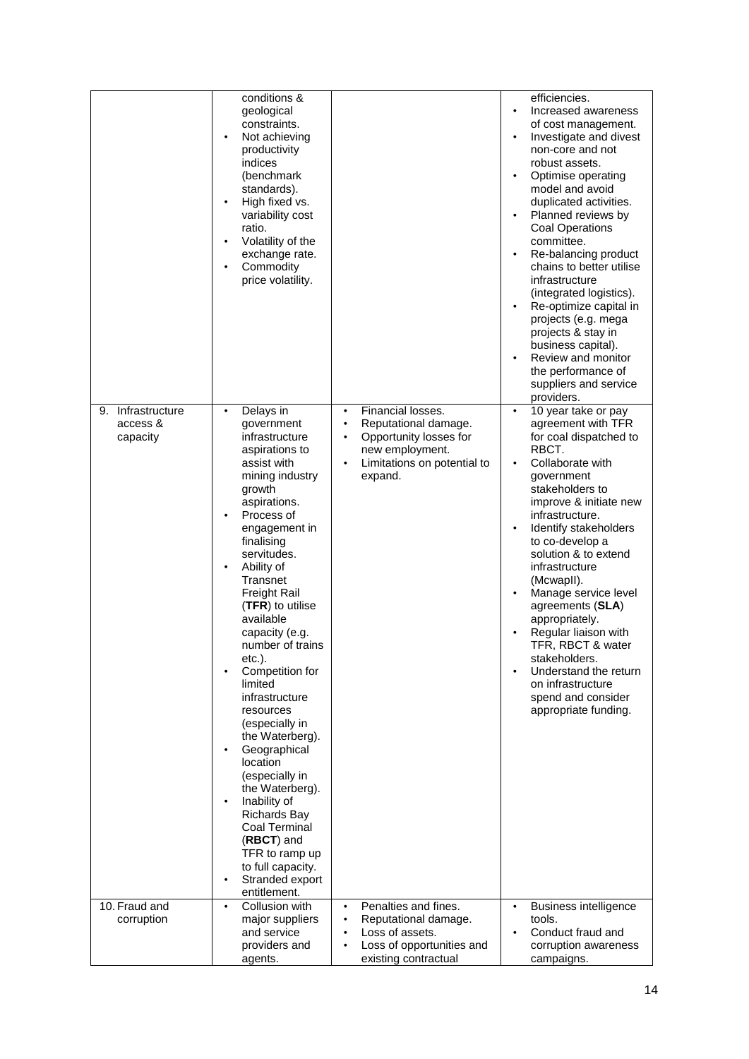|                                           | conditions &<br>geological<br>constraints.<br>Not achieving<br>productivity<br>indices<br>(benchmark<br>standards).<br>High fixed vs.<br>variability cost<br>ratio.<br>Volatility of the<br>$\bullet$<br>exchange rate.<br>Commodity<br>price volatility.                                                                                                                                                                                                                                                                                                                                                                                        |                                                                                                                                                                         | efficiencies.<br>Increased awareness<br>$\bullet$<br>of cost management.<br>Investigate and divest<br>$\bullet$<br>non-core and not<br>robust assets.<br>Optimise operating<br>$\bullet$<br>model and avoid<br>duplicated activities.<br>Planned reviews by<br>$\bullet$<br><b>Coal Operations</b><br>committee.<br>Re-balancing product<br>$\bullet$<br>chains to better utilise<br>infrastructure<br>(integrated logistics).<br>Re-optimize capital in<br>$\bullet$<br>projects (e.g. mega<br>projects & stay in<br>business capital).<br>Review and monitor<br>the performance of<br>suppliers and service<br>providers. |
|-------------------------------------------|--------------------------------------------------------------------------------------------------------------------------------------------------------------------------------------------------------------------------------------------------------------------------------------------------------------------------------------------------------------------------------------------------------------------------------------------------------------------------------------------------------------------------------------------------------------------------------------------------------------------------------------------------|-------------------------------------------------------------------------------------------------------------------------------------------------------------------------|-----------------------------------------------------------------------------------------------------------------------------------------------------------------------------------------------------------------------------------------------------------------------------------------------------------------------------------------------------------------------------------------------------------------------------------------------------------------------------------------------------------------------------------------------------------------------------------------------------------------------------|
| 9. Infrastructure<br>access &<br>capacity | Delays in<br>٠<br>government<br>infrastructure<br>aspirations to<br>assist with<br>mining industry<br>growth<br>aspirations.<br>Process of<br>engagement in<br>finalising<br>servitudes.<br>Ability of<br>Transnet<br><b>Freight Rail</b><br>(TFR) to utilise<br>available<br>capacity (e.g.<br>number of trains<br>$etc.$ ).<br>Competition for<br>limited<br>infrastructure<br>resources<br>(especially in<br>the Waterberg).<br>Geographical<br>location<br>(especially in<br>the Waterberg).<br>Inability of<br><b>Richards Bay</b><br>Coal Terminal<br>(RBCT) and<br>TFR to ramp up<br>to full capacity.<br>Stranded export<br>entitlement. | Financial losses.<br>$\bullet$<br>Reputational damage.<br>$\bullet$<br>Opportunity losses for<br>$\bullet$<br>new employment.<br>Limitations on potential to<br>expand. | $\overline{10}$ year take or pay<br>$\bullet$<br>agreement with TFR<br>for coal dispatched to<br>RBCT.<br>Collaborate with<br>$\bullet$<br>government<br>stakeholders to<br>improve & initiate new<br>infrastructure.<br>Identify stakeholders<br>$\bullet$<br>to co-develop a<br>solution & to extend<br>infrastructure<br>(McwapII).<br>Manage service level<br>$\bullet$<br>agreements (SLA)<br>appropriately.<br>Regular liaison with<br>TFR, RBCT & water<br>stakeholders.<br>Understand the return<br>$\bullet$<br>on infrastructure<br>spend and consider<br>appropriate funding.                                    |
| 10. Fraud and                             | Collusion with<br>$\bullet$                                                                                                                                                                                                                                                                                                                                                                                                                                                                                                                                                                                                                      | Penalties and fines.<br>$\bullet$                                                                                                                                       | <b>Business intelligence</b><br>$\bullet$                                                                                                                                                                                                                                                                                                                                                                                                                                                                                                                                                                                   |
| corruption                                | major suppliers<br>and service<br>providers and<br>agents.                                                                                                                                                                                                                                                                                                                                                                                                                                                                                                                                                                                       | Reputational damage.<br>$\bullet$<br>Loss of assets.<br>Loss of opportunities and<br>existing contractual                                                               | tools.<br>Conduct fraud and<br>corruption awareness<br>campaigns.                                                                                                                                                                                                                                                                                                                                                                                                                                                                                                                                                           |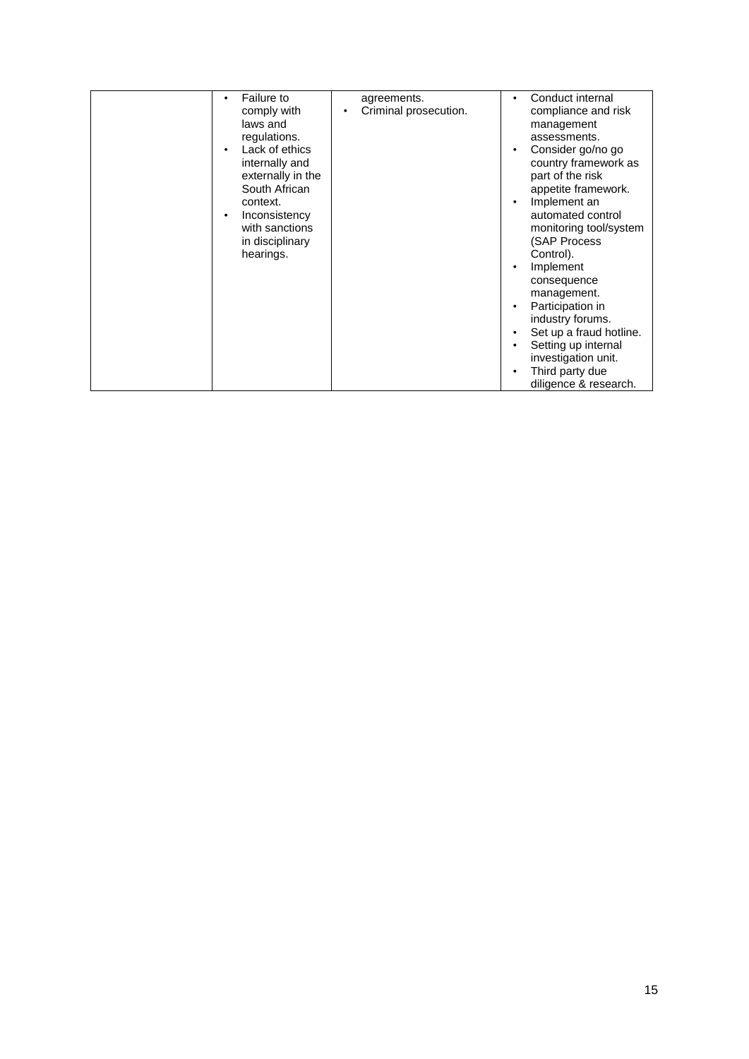| Third party due<br>$\bullet$<br>diligence & research. | comply with<br>laws and<br>regulations.<br>Lack of ethics<br>internally and<br>externally in the<br>South African<br>context.<br>Inconsistency<br>with sanctions<br>in disciplinary<br>hearings. | Criminal prosecution. | compliance and risk<br>management<br>assessments.<br>Consider go/no go<br>$\bullet$<br>country framework as<br>part of the risk<br>appetite framework.<br>Implement an<br>$\bullet$<br>automated control<br>monitoring tool/system<br>(SAP Process<br>Control).<br>Implement<br>$\bullet$<br>consequence<br>management.<br>Participation in<br>$\bullet$<br>industry forums.<br>Set up a fraud hotline.<br>$\bullet$<br>Setting up internal<br>$\bullet$<br>investigation unit. |
|-------------------------------------------------------|--------------------------------------------------------------------------------------------------------------------------------------------------------------------------------------------------|-----------------------|---------------------------------------------------------------------------------------------------------------------------------------------------------------------------------------------------------------------------------------------------------------------------------------------------------------------------------------------------------------------------------------------------------------------------------------------------------------------------------|
|                                                       | <b>Failure to</b><br>٠                                                                                                                                                                           | agreements.           | Conduct internal<br>$\bullet$                                                                                                                                                                                                                                                                                                                                                                                                                                                   |
|                                                       |                                                                                                                                                                                                  |                       |                                                                                                                                                                                                                                                                                                                                                                                                                                                                                 |
|                                                       |                                                                                                                                                                                                  |                       |                                                                                                                                                                                                                                                                                                                                                                                                                                                                                 |
|                                                       |                                                                                                                                                                                                  |                       |                                                                                                                                                                                                                                                                                                                                                                                                                                                                                 |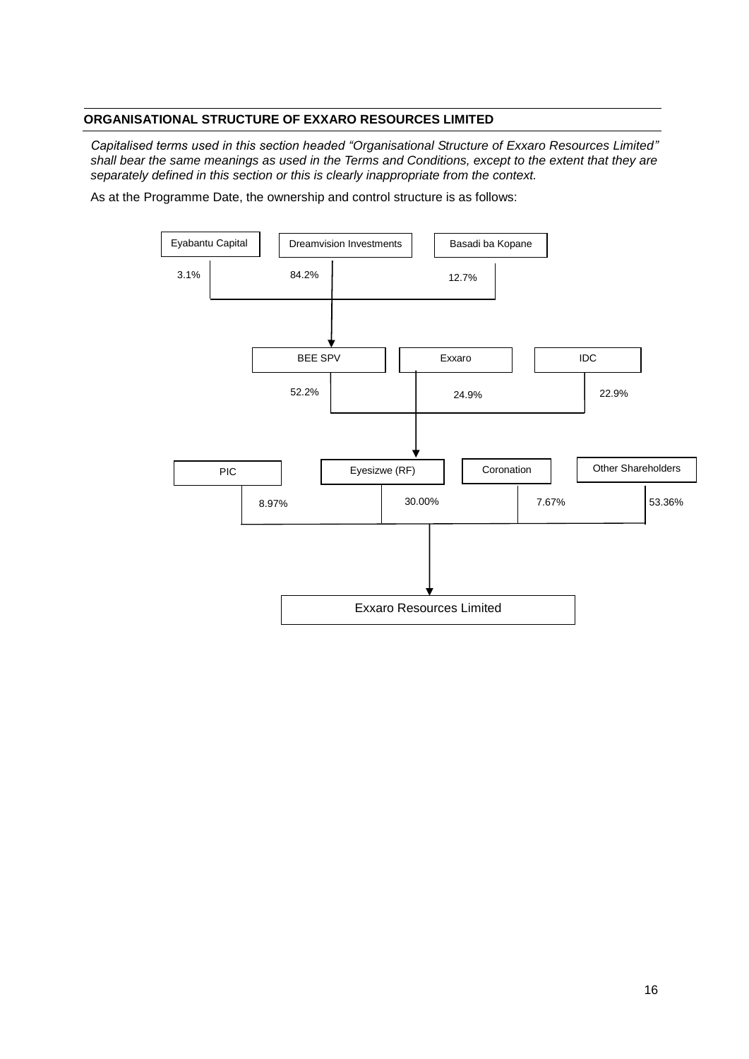## **ORGANISATIONAL STRUCTURE OF EXXARO RESOURCES LIMITED**

*Capitalised terms used in this section headed "Organisational Structure of Exxaro Resources Limited" shall bear the same meanings as used in the Terms and Conditions, except to the extent that they are separately defined in this section or this is clearly inappropriate from the context.*

As at the Programme Date, the ownership and control structure is as follows:

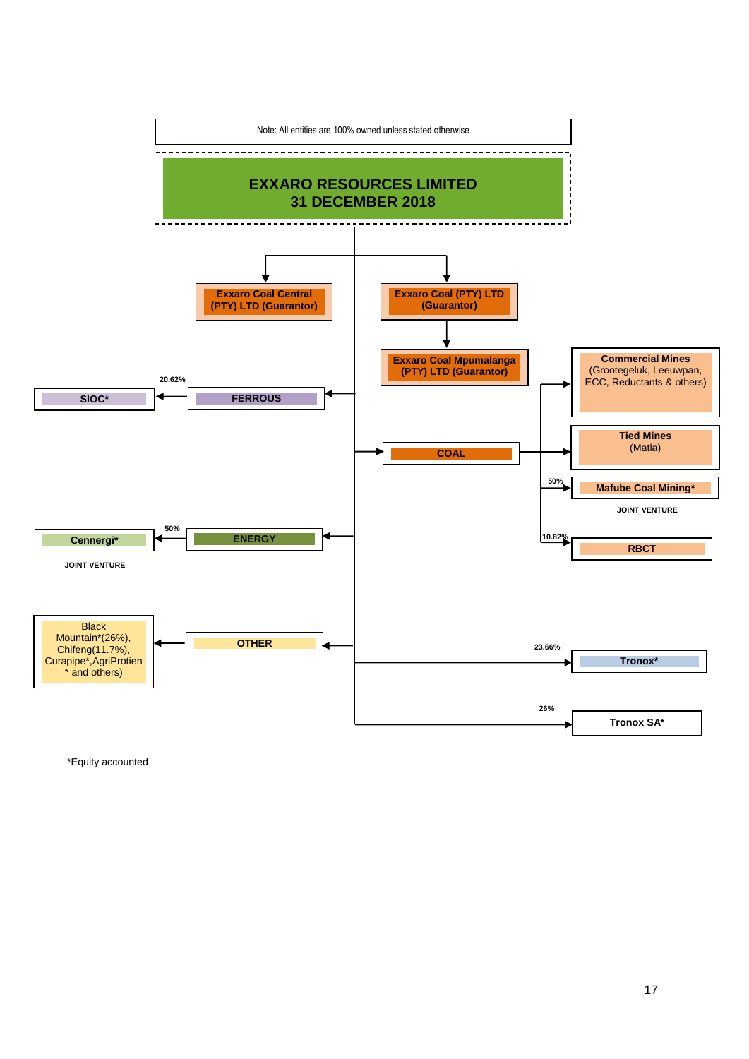

\*Equity accounted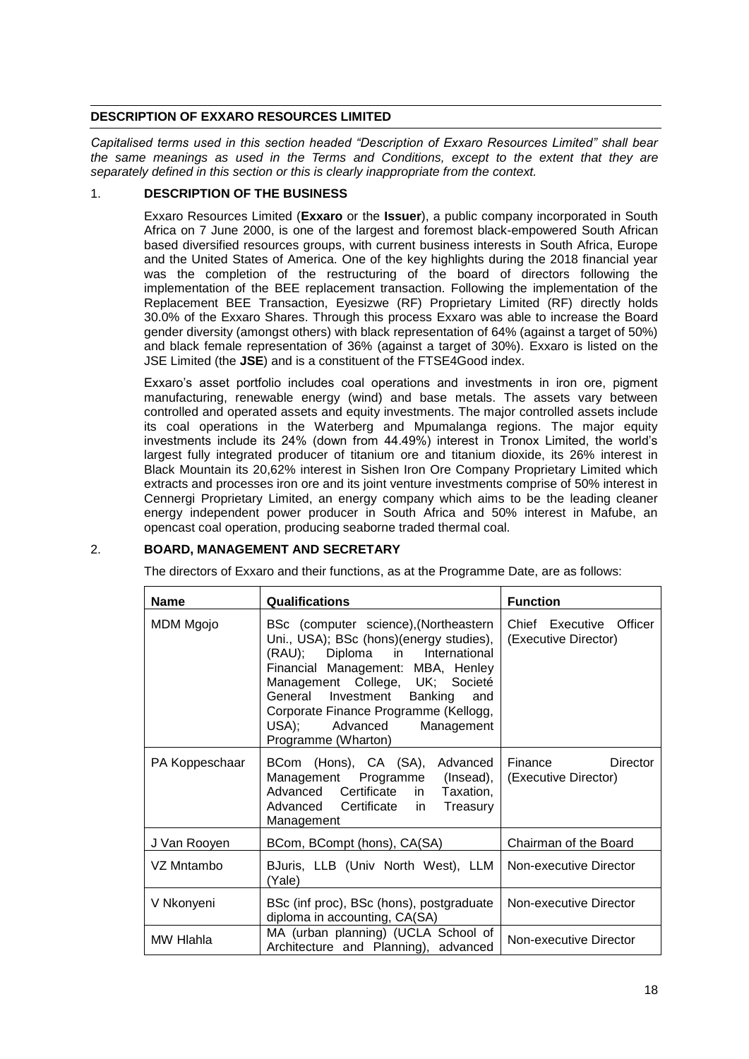## **DESCRIPTION OF EXXARO RESOURCES LIMITED**

*Capitalised terms used in this section headed "Description of Exxaro Resources Limited" shall bear the same meanings as used in the Terms and Conditions, except to the extent that they are separately defined in this section or this is clearly inappropriate from the context.*

## 1. **DESCRIPTION OF THE BUSINESS**

Exxaro Resources Limited (**Exxaro** or the **Issuer**), a public company incorporated in South Africa on 7 June 2000, is one of the largest and foremost black-empowered South African based diversified resources groups, with current business interests in South Africa, Europe and the United States of America. One of the key highlights during the 2018 financial year was the completion of the restructuring of the board of directors following the implementation of the BEE replacement transaction. Following the implementation of the Replacement BEE Transaction, Eyesizwe (RF) Proprietary Limited (RF) directly holds 30.0% of the Exxaro Shares. Through this process Exxaro was able to increase the Board gender diversity (amongst others) with black representation of 64% (against a target of 50%) and black female representation of 36% (against a target of 30%). Exxaro is listed on the JSE Limited (the **JSE**) and is a constituent of the FTSE4Good index.

Exxaro's asset portfolio includes coal operations and investments in iron ore, pigment manufacturing, renewable energy (wind) and base metals. The assets vary between controlled and operated assets and equity investments. The major controlled assets include its coal operations in the Waterberg and Mpumalanga regions. The major equity investments include its 24% (down from 44.49%) interest in Tronox Limited, the world's largest fully integrated producer of titanium ore and titanium dioxide, its 26% interest in Black Mountain its 20,62% interest in Sishen Iron Ore Company Proprietary Limited which extracts and processes iron ore and its joint venture investments comprise of 50% interest in Cennergi Proprietary Limited, an energy company which aims to be the leading cleaner energy independent power producer in South Africa and 50% interest in Mafube, an opencast coal operation, producing seaborne traded thermal coal.

## 2. **BOARD, MANAGEMENT AND SECRETARY**

The directors of Exxaro and their functions, as at the Programme Date, are as follows:

| <b>Name</b>    | <b>Qualifications</b>                                                                                                                                                                                                                                                                                                            | <b>Function</b>                                 |
|----------------|----------------------------------------------------------------------------------------------------------------------------------------------------------------------------------------------------------------------------------------------------------------------------------------------------------------------------------|-------------------------------------------------|
| MDM Mgojo      | BSc (computer science), (Northeastern<br>Uni., USA); BSc (hons)(energy studies),<br>(RAU); Diploma in International<br>Financial Management: MBA, Henley<br>Management College, UK; Societé<br>General Investment Banking<br>and<br>Corporate Finance Programme (Kellogg,<br>USA); Advanced<br>Management<br>Programme (Wharton) | Chief Executive Officer<br>(Executive Director) |
| PA Koppeschaar | BCom (Hons), CA (SA), Advanced<br>Management Programme (Insead),<br>Advanced Certificate in Taxation,<br>Advanced Certificate in<br>Treasury<br>Management                                                                                                                                                                       | Director<br>Finance<br>(Executive Director)     |
| J Van Rooyen   | BCom, BCompt (hons), CA(SA)                                                                                                                                                                                                                                                                                                      | Chairman of the Board                           |
| VZ Mntambo     | BJuris, LLB (Univ North West), LLM<br>(Yale)                                                                                                                                                                                                                                                                                     | Non-executive Director                          |
| V Nkonyeni     | BSc (inf proc), BSc (hons), postgraduate<br>diploma in accounting, CA(SA)                                                                                                                                                                                                                                                        | Non-executive Director                          |
| MW Hlahla      | MA (urban planning) (UCLA School of<br>Architecture and Planning), advanced                                                                                                                                                                                                                                                      | Non-executive Director                          |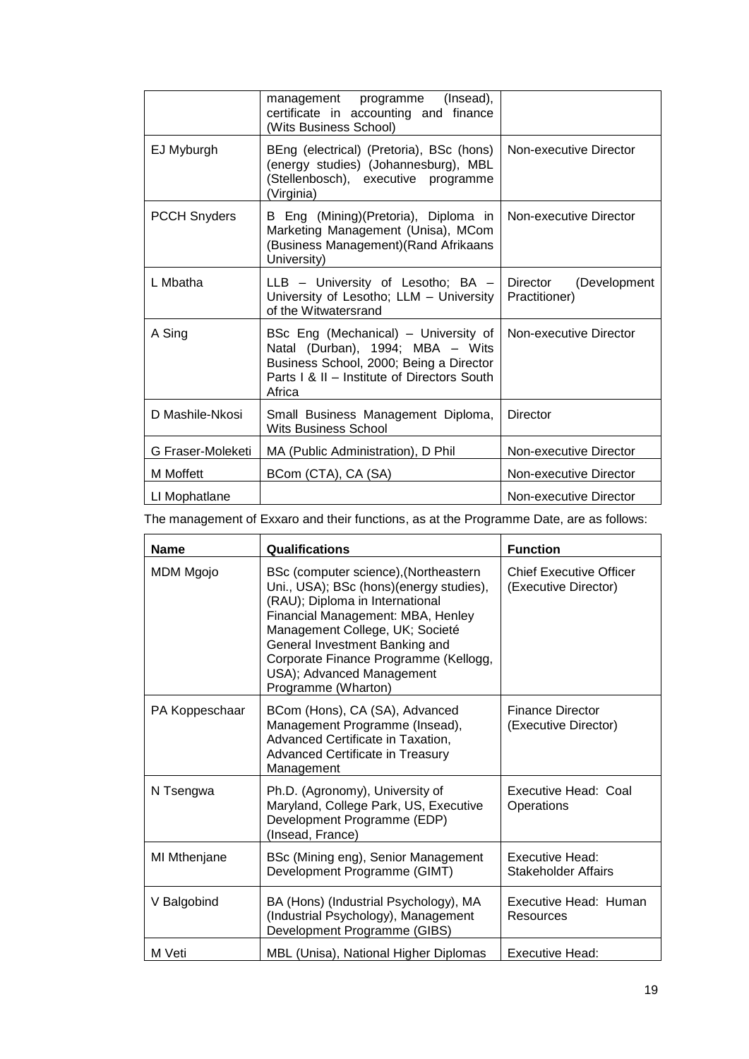|                     | (Insead),<br>management programme<br>certificate in accounting and finance<br>(Wits Business School)                                                                         |                                        |
|---------------------|------------------------------------------------------------------------------------------------------------------------------------------------------------------------------|----------------------------------------|
| EJ Myburgh          | BEng (electrical) (Pretoria), BSc (hons)<br>(energy studies) (Johannesburg), MBL<br>(Stellenbosch), executive programme<br>(Virginia)                                        | Non-executive Director                 |
| <b>PCCH Snyders</b> | B Eng (Mining)(Pretoria), Diploma in<br>Marketing Management (Unisa), MCom<br>(Business Management) (Rand Afrikaans<br>University)                                           | Non-executive Director                 |
| L Mbatha            | LLB - University of Lesotho; BA -<br>University of Lesotho; LLM - University<br>of the Witwatersrand                                                                         | Director (Development<br>Practitioner) |
| A Sing              | BSc Eng (Mechanical) - University of<br>Natal (Durban), 1994; MBA - Wits<br>Business School, 2000; Being a Director<br>Parts   & II - Institute of Directors South<br>Africa | Non-executive Director                 |
| D Mashile-Nkosi     | Small Business Management Diploma,<br><b>Wits Business School</b>                                                                                                            | <b>Director</b>                        |
| G Fraser-Moleketi   | MA (Public Administration), D Phil                                                                                                                                           | Non-executive Director                 |
| M Moffett           | BCom (CTA), CA (SA)                                                                                                                                                          | Non-executive Director                 |
| LI Mophatlane       |                                                                                                                                                                              | Non-executive Director                 |

The management of Exxaro and their functions, as at the Programme Date, are as follows:

| <b>Name</b>    | Qualifications                                                                                                                                                                                                                                                                                                             | <b>Function</b>                                        |
|----------------|----------------------------------------------------------------------------------------------------------------------------------------------------------------------------------------------------------------------------------------------------------------------------------------------------------------------------|--------------------------------------------------------|
| MDM Mgojo      | BSc (computer science), (Northeastern<br>Uni., USA); BSc (hons)(energy studies),<br>(RAU); Diploma in International<br>Financial Management: MBA, Henley<br>Management College, UK; Societé<br>General Investment Banking and<br>Corporate Finance Programme (Kellogg,<br>USA); Advanced Management<br>Programme (Wharton) | <b>Chief Executive Officer</b><br>(Executive Director) |
| PA Koppeschaar | BCom (Hons), CA (SA), Advanced<br>Management Programme (Insead),<br>Advanced Certificate in Taxation,<br>Advanced Certificate in Treasury<br>Management                                                                                                                                                                    | <b>Finance Director</b><br>(Executive Director)        |
| N Tsengwa      | Ph.D. (Agronomy), University of<br>Maryland, College Park, US, Executive<br>Development Programme (EDP)<br>(Insead, France)                                                                                                                                                                                                | <b>Executive Head: Coal</b><br>Operations              |
| MI Mthenjane   | BSc (Mining eng), Senior Management<br>Development Programme (GIMT)                                                                                                                                                                                                                                                        | Executive Head:<br>Stakeholder Affairs                 |
| V Balgobind    | BA (Hons) (Industrial Psychology), MA<br>(Industrial Psychology), Management<br>Development Programme (GIBS)                                                                                                                                                                                                               | Executive Head: Human<br>Resources                     |
| M Veti         | MBL (Unisa), National Higher Diplomas                                                                                                                                                                                                                                                                                      | Executive Head:                                        |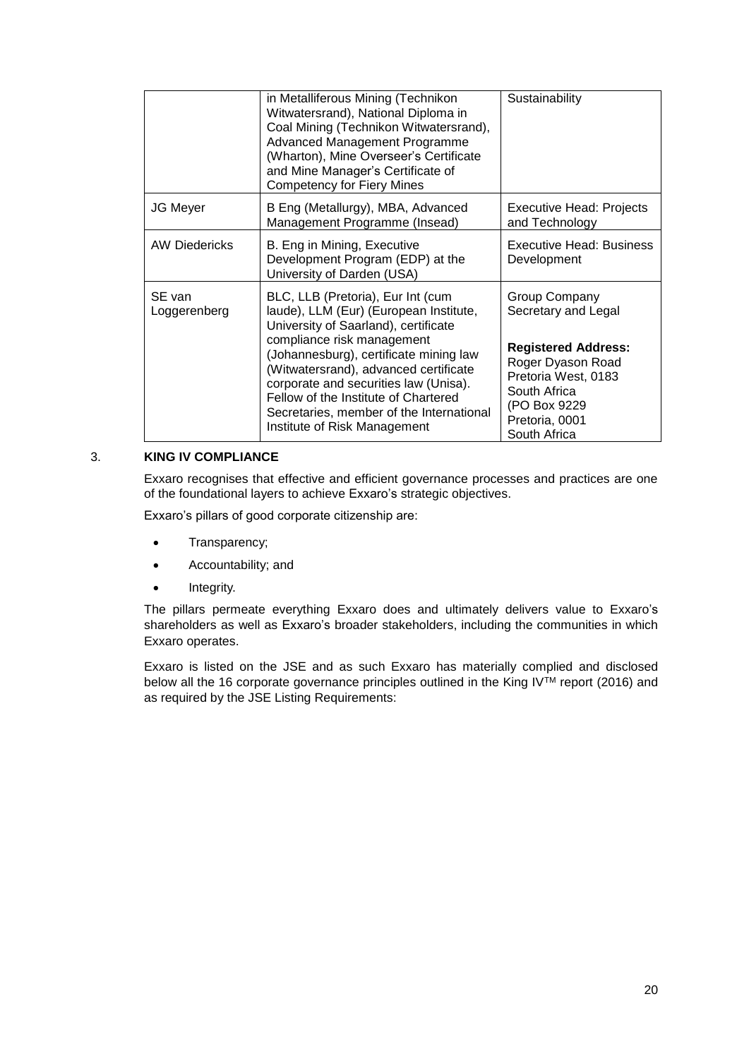|                        | in Metalliferous Mining (Technikon<br>Witwatersrand), National Diploma in<br>Coal Mining (Technikon Witwatersrand),<br>Advanced Management Programme<br>(Wharton), Mine Overseer's Certificate<br>and Mine Manager's Certificate of<br><b>Competency for Fiery Mines</b>                                                                                                                          | Sustainability                                                                                                                                                                   |
|------------------------|---------------------------------------------------------------------------------------------------------------------------------------------------------------------------------------------------------------------------------------------------------------------------------------------------------------------------------------------------------------------------------------------------|----------------------------------------------------------------------------------------------------------------------------------------------------------------------------------|
| <b>JG Meyer</b>        | B Eng (Metallurgy), MBA, Advanced<br>Management Programme (Insead)                                                                                                                                                                                                                                                                                                                                | Executive Head: Projects<br>and Technology                                                                                                                                       |
| <b>AW Diedericks</b>   | B. Eng in Mining, Executive<br>Development Program (EDP) at the<br>University of Darden (USA)                                                                                                                                                                                                                                                                                                     | <b>Executive Head: Business</b><br>Development                                                                                                                                   |
| SE van<br>Loggerenberg | BLC, LLB (Pretoria), Eur Int (cum<br>laude), LLM (Eur) (European Institute,<br>University of Saarland), certificate<br>compliance risk management<br>(Johannesburg), certificate mining law<br>(Witwatersrand), advanced certificate<br>corporate and securities law (Unisa).<br>Fellow of the Institute of Chartered<br>Secretaries, member of the International<br>Institute of Risk Management | Group Company<br>Secretary and Legal<br><b>Registered Address:</b><br>Roger Dyason Road<br>Pretoria West, 0183<br>South Africa<br>(PO Box 9229<br>Pretoria, 0001<br>South Africa |

## 3. **KING IV COMPLIANCE**

Exxaro recognises that effective and efficient governance processes and practices are one of the foundational layers to achieve Exxaro's strategic objectives.

Exxaro's pillars of good corporate citizenship are:

- Transparency;
- Accountability; and
- Integrity.

The pillars permeate everything Exxaro does and ultimately delivers value to Exxaro's shareholders as well as Exxaro's broader stakeholders, including the communities in which Exxaro operates.

Exxaro is listed on the JSE and as such Exxaro has materially complied and disclosed below all the 16 corporate governance principles outlined in the King IV<sup>TM</sup> report (2016) and as required by the JSE Listing Requirements: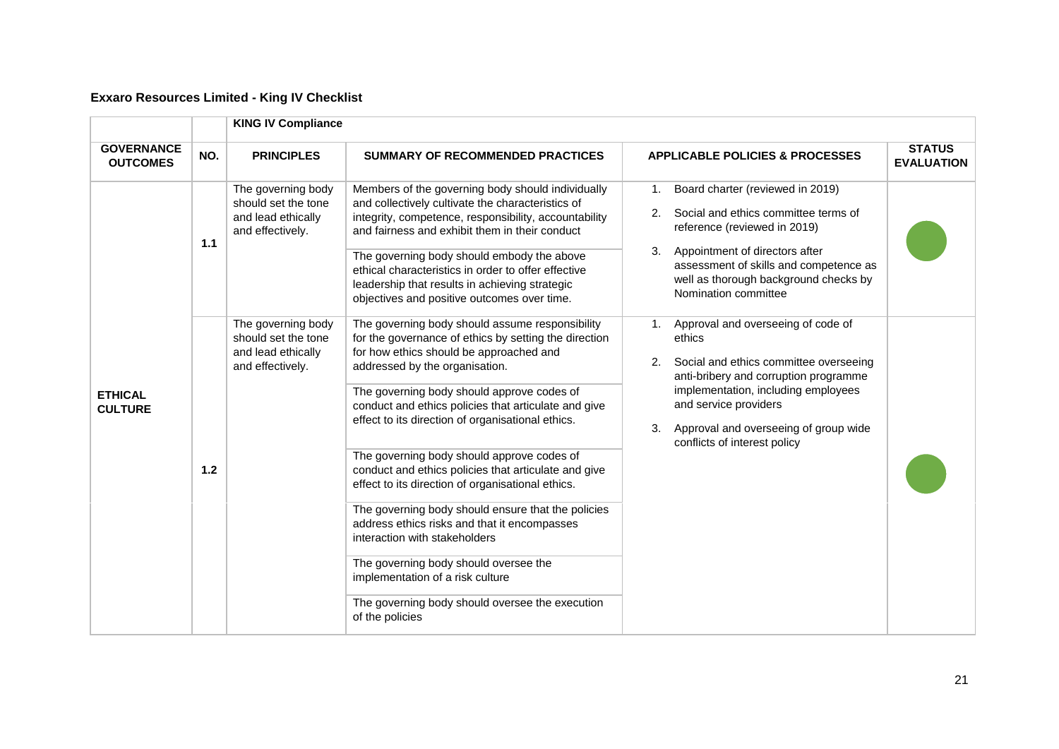# **Exxaro Resources Limited - King IV Checklist**

|                                      |       | <b>KING IV Compliance</b>                                                           |                                                                                                                                                                                                                                                                                                                                                                                                                                                                                                                                                                                                                                                                                             |                                                                                                                                                                                                                                                                                            |                                    |
|--------------------------------------|-------|-------------------------------------------------------------------------------------|---------------------------------------------------------------------------------------------------------------------------------------------------------------------------------------------------------------------------------------------------------------------------------------------------------------------------------------------------------------------------------------------------------------------------------------------------------------------------------------------------------------------------------------------------------------------------------------------------------------------------------------------------------------------------------------------|--------------------------------------------------------------------------------------------------------------------------------------------------------------------------------------------------------------------------------------------------------------------------------------------|------------------------------------|
| <b>GOVERNANCE</b><br><b>OUTCOMES</b> | NO.   | <b>PRINCIPLES</b>                                                                   | <b>SUMMARY OF RECOMMENDED PRACTICES</b>                                                                                                                                                                                                                                                                                                                                                                                                                                                                                                                                                                                                                                                     | <b>APPLICABLE POLICIES &amp; PROCESSES</b>                                                                                                                                                                                                                                                 | <b>STATUS</b><br><b>EVALUATION</b> |
|                                      | 1.1   | The governing body<br>should set the tone<br>and lead ethically<br>and effectively. | Members of the governing body should individually<br>and collectively cultivate the characteristics of<br>integrity, competence, responsibility, accountability<br>and fairness and exhibit them in their conduct<br>The governing body should embody the above<br>ethical characteristics in order to offer effective<br>leadership that results in achieving strategic<br>objectives and positive outcomes over time.                                                                                                                                                                                                                                                                     | Board charter (reviewed in 2019)<br>1.<br>Social and ethics committee terms of<br>2.<br>reference (reviewed in 2019)<br>Appointment of directors after<br>3.<br>assessment of skills and competence as<br>well as thorough background checks by<br>Nomination committee                    |                                    |
| <b>ETHICAL</b><br><b>CULTURE</b>     | $1.2$ | The governing body<br>should set the tone<br>and lead ethically<br>and effectively. | The governing body should assume responsibility<br>for the governance of ethics by setting the direction<br>for how ethics should be approached and<br>addressed by the organisation.<br>The governing body should approve codes of<br>conduct and ethics policies that articulate and give<br>effect to its direction of organisational ethics.<br>The governing body should approve codes of<br>conduct and ethics policies that articulate and give<br>effect to its direction of organisational ethics.<br>The governing body should ensure that the policies<br>address ethics risks and that it encompasses<br>interaction with stakeholders<br>The governing body should oversee the | Approval and overseeing of code of<br>1.<br>ethics<br>Social and ethics committee overseeing<br>2.<br>anti-bribery and corruption programme<br>implementation, including employees<br>and service providers<br>Approval and overseeing of group wide<br>3.<br>conflicts of interest policy |                                    |
|                                      |       |                                                                                     | implementation of a risk culture<br>The governing body should oversee the execution<br>of the policies                                                                                                                                                                                                                                                                                                                                                                                                                                                                                                                                                                                      |                                                                                                                                                                                                                                                                                            |                                    |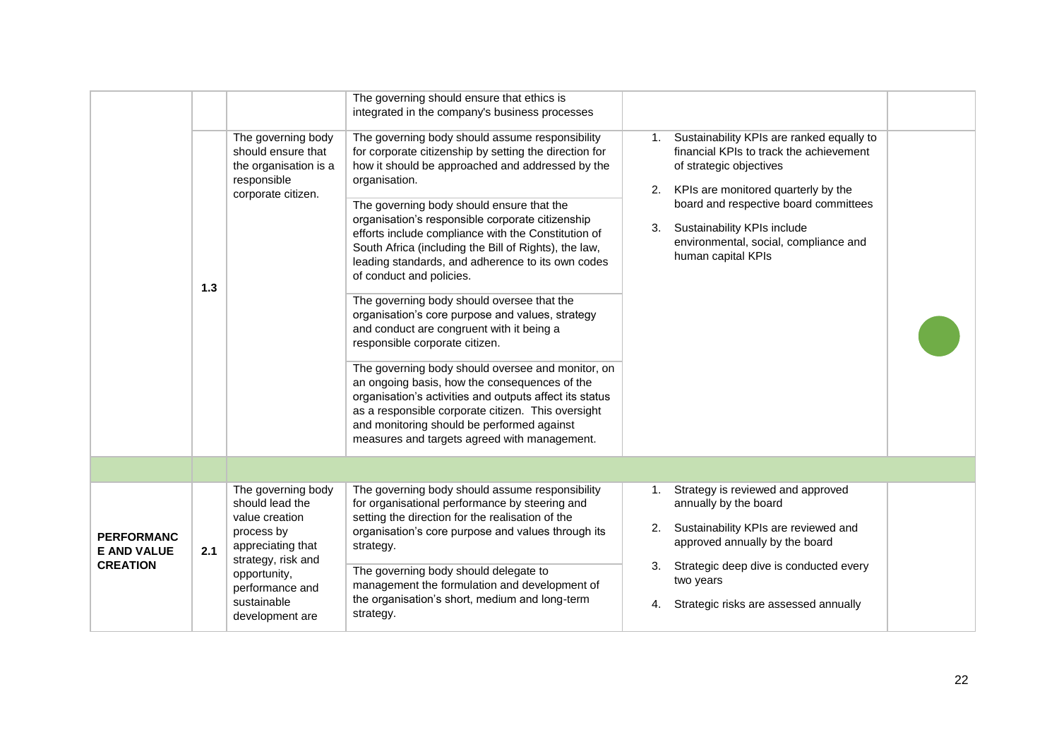|                                                            | $1.3$ | The governing body<br>should ensure that<br>the organisation is a<br>responsible<br>corporate citizen.                                                                                | The governing should ensure that ethics is<br>integrated in the company's business processes<br>The governing body should assume responsibility<br>for corporate citizenship by setting the direction for<br>how it should be approached and addressed by the<br>organisation.<br>The governing body should ensure that the<br>organisation's responsible corporate citizenship<br>efforts include compliance with the Constitution of<br>South Africa (including the Bill of Rights), the law,<br>leading standards, and adherence to its own codes<br>of conduct and policies.<br>The governing body should oversee that the<br>organisation's core purpose and values, strategy<br>and conduct are congruent with it being a<br>responsible corporate citizen.<br>The governing body should oversee and monitor, on<br>an ongoing basis, how the consequences of the<br>organisation's activities and outputs affect its status<br>as a responsible corporate citizen. This oversight<br>and monitoring should be performed against<br>measures and targets agreed with management. | 1.<br>2.<br>3.       | Sustainability KPIs are ranked equally to<br>financial KPIs to track the achievement<br>of strategic objectives<br>KPIs are monitored quarterly by the<br>board and respective board committees<br>Sustainability KPIs include<br>environmental, social, compliance and<br>human capital KPIs |  |
|------------------------------------------------------------|-------|---------------------------------------------------------------------------------------------------------------------------------------------------------------------------------------|----------------------------------------------------------------------------------------------------------------------------------------------------------------------------------------------------------------------------------------------------------------------------------------------------------------------------------------------------------------------------------------------------------------------------------------------------------------------------------------------------------------------------------------------------------------------------------------------------------------------------------------------------------------------------------------------------------------------------------------------------------------------------------------------------------------------------------------------------------------------------------------------------------------------------------------------------------------------------------------------------------------------------------------------------------------------------------------|----------------------|-----------------------------------------------------------------------------------------------------------------------------------------------------------------------------------------------------------------------------------------------------------------------------------------------|--|
|                                                            |       |                                                                                                                                                                                       |                                                                                                                                                                                                                                                                                                                                                                                                                                                                                                                                                                                                                                                                                                                                                                                                                                                                                                                                                                                                                                                                                        |                      |                                                                                                                                                                                                                                                                                               |  |
| <b>PERFORMANC</b><br><b>E AND VALUE</b><br><b>CREATION</b> | 2.1   | The governing body<br>should lead the<br>value creation<br>process by<br>appreciating that<br>strategy, risk and<br>opportunity,<br>performance and<br>sustainable<br>development are | The governing body should assume responsibility<br>for organisational performance by steering and<br>setting the direction for the realisation of the<br>organisation's core purpose and values through its<br>strategy.<br>The governing body should delegate to<br>management the formulation and development of<br>the organisation's short, medium and long-term<br>strategy.                                                                                                                                                                                                                                                                                                                                                                                                                                                                                                                                                                                                                                                                                                      | 1.<br>2.<br>3.<br>4. | Strategy is reviewed and approved<br>annually by the board<br>Sustainability KPIs are reviewed and<br>approved annually by the board<br>Strategic deep dive is conducted every<br>two years<br>Strategic risks are assessed annually                                                          |  |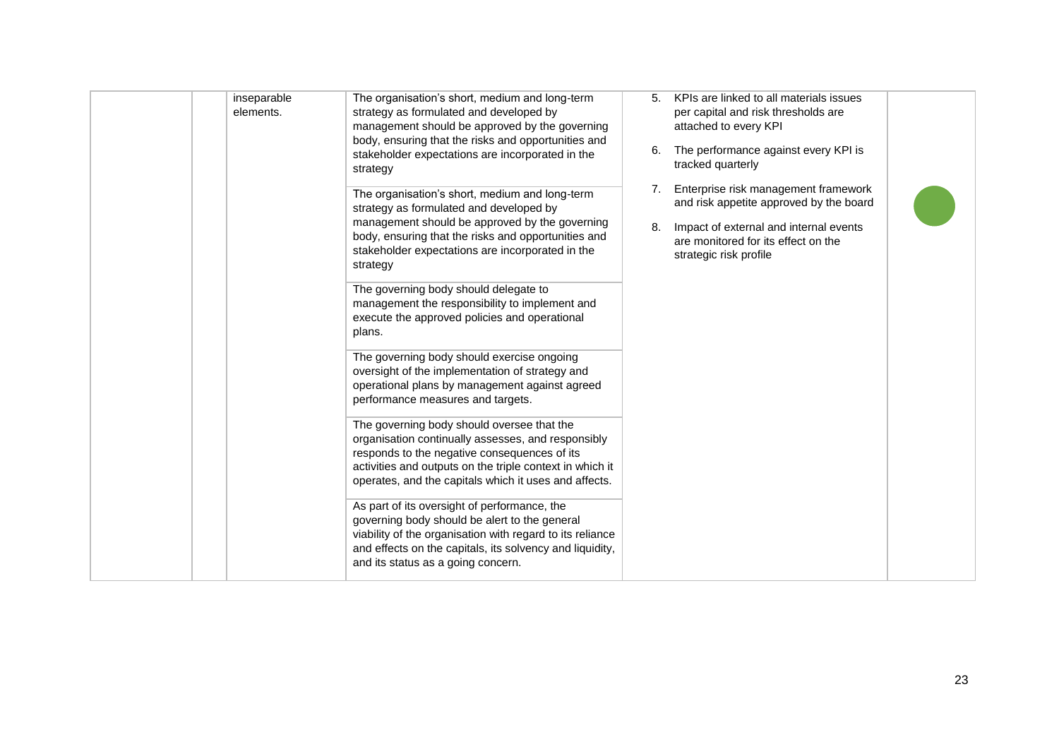| inseparable<br>elements. | The organisation's short, medium and long-term<br>strategy as formulated and developed by<br>management should be approved by the governing<br>body, ensuring that the risks and opportunities and<br>stakeholder expectations are incorporated in the<br>strategy    | 6.       | KPIs are linked to all materials issues<br>per capital and risk thresholds are<br>attached to every KPI<br>The performance against every KPI is<br>tracked quarterly                       |  |
|--------------------------|-----------------------------------------------------------------------------------------------------------------------------------------------------------------------------------------------------------------------------------------------------------------------|----------|--------------------------------------------------------------------------------------------------------------------------------------------------------------------------------------------|--|
|                          | The organisation's short, medium and long-term<br>strategy as formulated and developed by<br>management should be approved by the governing<br>body, ensuring that the risks and opportunities and<br>stakeholder expectations are incorporated in the<br>strategy    | 7.<br>8. | Enterprise risk management framework<br>and risk appetite approved by the board<br>Impact of external and internal events<br>are monitored for its effect on the<br>strategic risk profile |  |
|                          | The governing body should delegate to<br>management the responsibility to implement and<br>execute the approved policies and operational<br>plans.                                                                                                                    |          |                                                                                                                                                                                            |  |
|                          | The governing body should exercise ongoing<br>oversight of the implementation of strategy and<br>operational plans by management against agreed<br>performance measures and targets.                                                                                  |          |                                                                                                                                                                                            |  |
|                          | The governing body should oversee that the<br>organisation continually assesses, and responsibly<br>responds to the negative consequences of its<br>activities and outputs on the triple context in which it<br>operates, and the capitals which it uses and affects. |          |                                                                                                                                                                                            |  |
|                          | As part of its oversight of performance, the<br>governing body should be alert to the general<br>viability of the organisation with regard to its reliance<br>and effects on the capitals, its solvency and liquidity,<br>and its status as a going concern.          |          |                                                                                                                                                                                            |  |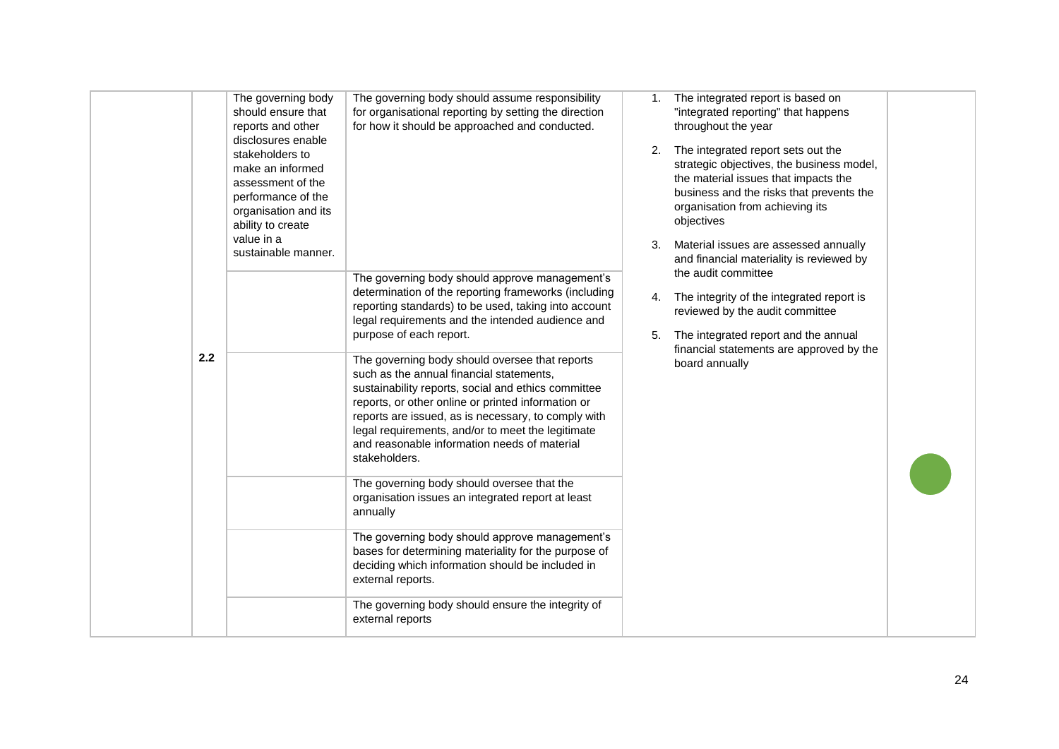|     | The governing body<br>should ensure that<br>reports and other<br>disclosures enable<br>stakeholders to<br>make an informed<br>assessment of the<br>performance of the<br>organisation and its<br>ability to create<br>value in a<br>sustainable manner. | The governing body should assume responsibility<br>for organisational reporting by setting the direction<br>for how it should be approached and conducted.<br>The governing body should approve management's<br>determination of the reporting frameworks (including<br>reporting standards) to be used, taking into account                                                                                                                                                                                                                                                                                                         | 1.<br>3.<br>4. | The integrated report is based on<br>"integrated reporting" that happens<br>throughout the year<br>2. The integrated report sets out the<br>strategic objectives, the business model,<br>the material issues that impacts the<br>business and the risks that prevents the<br>organisation from achieving its<br>objectives<br>Material issues are assessed annually<br>and financial materiality is reviewed by<br>the audit committee<br>The integrity of the integrated report is<br>reviewed by the audit committee |  |
|-----|---------------------------------------------------------------------------------------------------------------------------------------------------------------------------------------------------------------------------------------------------------|--------------------------------------------------------------------------------------------------------------------------------------------------------------------------------------------------------------------------------------------------------------------------------------------------------------------------------------------------------------------------------------------------------------------------------------------------------------------------------------------------------------------------------------------------------------------------------------------------------------------------------------|----------------|------------------------------------------------------------------------------------------------------------------------------------------------------------------------------------------------------------------------------------------------------------------------------------------------------------------------------------------------------------------------------------------------------------------------------------------------------------------------------------------------------------------------|--|
| 2.2 |                                                                                                                                                                                                                                                         | legal requirements and the intended audience and<br>purpose of each report.<br>The governing body should oversee that reports<br>such as the annual financial statements,<br>sustainability reports, social and ethics committee<br>reports, or other online or printed information or<br>reports are issued, as is necessary, to comply with<br>legal requirements, and/or to meet the legitimate<br>and reasonable information needs of material<br>stakeholders.<br>The governing body should oversee that the<br>organisation issues an integrated report at least<br>annually<br>The governing body should approve management's | 5.             | The integrated report and the annual<br>financial statements are approved by the<br>board annually                                                                                                                                                                                                                                                                                                                                                                                                                     |  |
|     |                                                                                                                                                                                                                                                         | bases for determining materiality for the purpose of<br>deciding which information should be included in<br>external reports.<br>The governing body should ensure the integrity of<br>external reports                                                                                                                                                                                                                                                                                                                                                                                                                               |                |                                                                                                                                                                                                                                                                                                                                                                                                                                                                                                                        |  |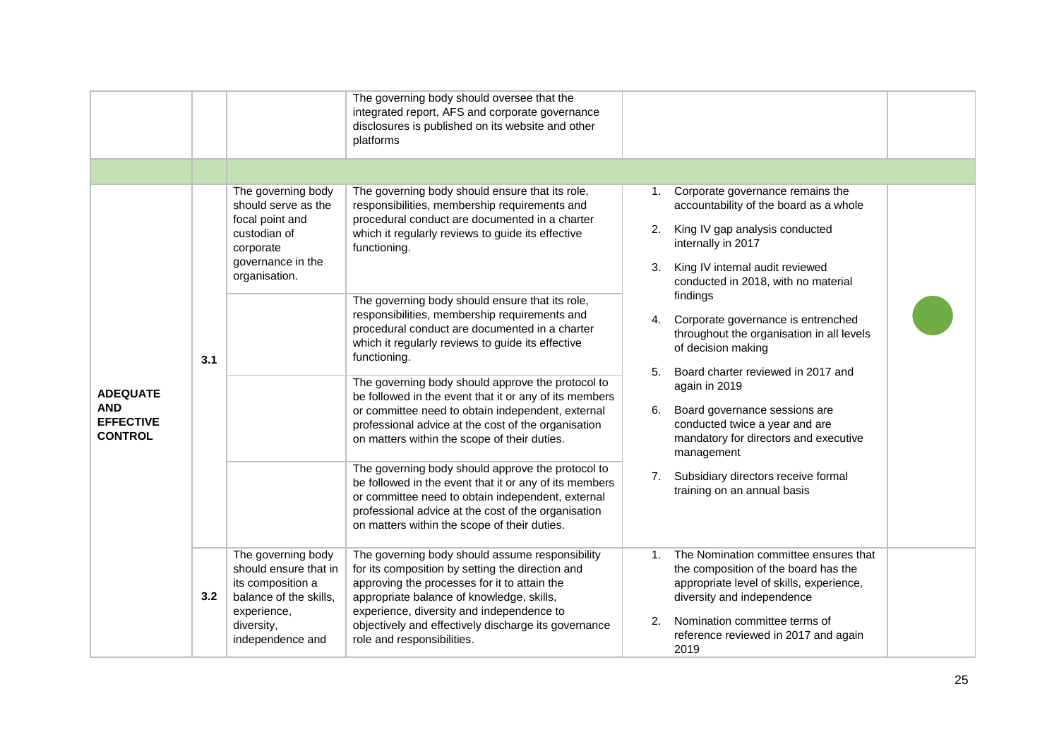|                                                                     |     |                                                                                                                                             | The governing body should oversee that the<br>integrated report, AFS and corporate governance<br>disclosures is published on its website and other<br>platforms                                                                                                                                                                     |          |                                                                                                                                                                                                                                          |  |
|---------------------------------------------------------------------|-----|---------------------------------------------------------------------------------------------------------------------------------------------|-------------------------------------------------------------------------------------------------------------------------------------------------------------------------------------------------------------------------------------------------------------------------------------------------------------------------------------|----------|------------------------------------------------------------------------------------------------------------------------------------------------------------------------------------------------------------------------------------------|--|
|                                                                     |     |                                                                                                                                             |                                                                                                                                                                                                                                                                                                                                     |          |                                                                                                                                                                                                                                          |  |
| <b>ADEQUATE</b><br><b>AND</b><br><b>EFFECTIVE</b><br><b>CONTROL</b> |     | The governing body<br>should serve as the<br>focal point and<br>custodian of<br>corporate<br>governance in the<br>organisation.             | The governing body should ensure that its role,<br>responsibilities, membership requirements and<br>procedural conduct are documented in a charter<br>which it regularly reviews to guide its effective<br>functioning.                                                                                                             | 2.<br>3. | Corporate governance remains the<br>1.<br>accountability of the board as a whole<br>King IV gap analysis conducted<br>internally in 2017<br>King IV internal audit reviewed<br>conducted in 2018, with no material                       |  |
|                                                                     | 3.1 |                                                                                                                                             | The governing body should ensure that its role,<br>responsibilities, membership requirements and<br>procedural conduct are documented in a charter<br>which it regularly reviews to guide its effective<br>functioning.                                                                                                             | 4.<br>5. | findings<br>Corporate governance is entrenched<br>throughout the organisation in all levels<br>of decision making<br>Board charter reviewed in 2017 and                                                                                  |  |
|                                                                     |     |                                                                                                                                             | The governing body should approve the protocol to<br>be followed in the event that it or any of its members<br>or committee need to obtain independent, external<br>professional advice at the cost of the organisation<br>on matters within the scope of their duties.                                                             | 6.       | again in 2019<br>Board governance sessions are<br>conducted twice a year and are<br>mandatory for directors and executive<br>management                                                                                                  |  |
|                                                                     |     |                                                                                                                                             | The governing body should approve the protocol to<br>be followed in the event that it or any of its members<br>or committee need to obtain independent, external<br>professional advice at the cost of the organisation<br>on matters within the scope of their duties.                                                             | 7.       | Subsidiary directors receive formal<br>training on an annual basis                                                                                                                                                                       |  |
|                                                                     | 3.2 | The governing body<br>should ensure that in<br>its composition a<br>balance of the skills,<br>experience,<br>diversity,<br>independence and | The governing body should assume responsibility<br>for its composition by setting the direction and<br>approving the processes for it to attain the<br>appropriate balance of knowledge, skills,<br>experience, diversity and independence to<br>objectively and effectively discharge its governance<br>role and responsibilities. | 1.<br>2. | The Nomination committee ensures that<br>the composition of the board has the<br>appropriate level of skills, experience,<br>diversity and independence<br>Nomination committee terms of<br>reference reviewed in 2017 and again<br>2019 |  |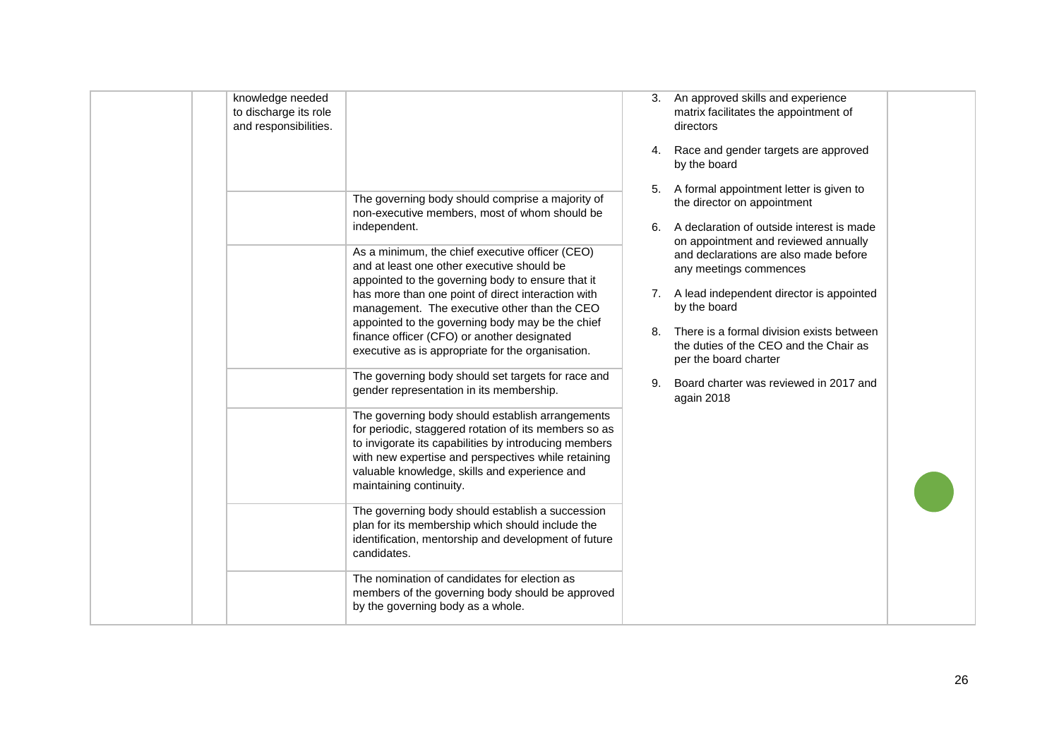| knowledge needed<br>to discharge its role<br>and responsibilities. | The governing body should comprise a majority of<br>non-executive members, most of whom should be<br>independent.<br>As a minimum, the chief executive officer (CEO)<br>and at least one other executive should be<br>appointed to the governing body to ensure that it<br>has more than one point of direct interaction with<br>management. The executive other than the CEO<br>appointed to the governing body may be the chief<br>finance officer (CFO) or another designated<br>executive as is appropriate for the organisation.<br>The governing body should set targets for race and<br>gender representation in its membership.<br>The governing body should establish arrangements<br>for periodic, staggered rotation of its members so as<br>to invigorate its capabilities by introducing members<br>with new expertise and perspectives while retaining<br>valuable knowledge, skills and experience and<br>maintaining continuity.<br>The governing body should establish a succession<br>plan for its membership which should include the<br>identification, mentorship and development of future<br>candidates.<br>The nomination of candidates for election as | 3.<br>4.<br>6.<br>7.<br>8.<br>9. | An approved skills and experience<br>matrix facilitates the appointment of<br>directors<br>Race and gender targets are approved<br>by the board<br>5. A formal appointment letter is given to<br>the director on appointment<br>A declaration of outside interest is made<br>on appointment and reviewed annually<br>and declarations are also made before<br>any meetings commences<br>A lead independent director is appointed<br>by the board<br>There is a formal division exists between<br>the duties of the CEO and the Chair as<br>per the board charter<br>Board charter was reviewed in 2017 and<br>again 2018 |  |
|--------------------------------------------------------------------|---------------------------------------------------------------------------------------------------------------------------------------------------------------------------------------------------------------------------------------------------------------------------------------------------------------------------------------------------------------------------------------------------------------------------------------------------------------------------------------------------------------------------------------------------------------------------------------------------------------------------------------------------------------------------------------------------------------------------------------------------------------------------------------------------------------------------------------------------------------------------------------------------------------------------------------------------------------------------------------------------------------------------------------------------------------------------------------------------------------------------------------------------------------------------------|----------------------------------|--------------------------------------------------------------------------------------------------------------------------------------------------------------------------------------------------------------------------------------------------------------------------------------------------------------------------------------------------------------------------------------------------------------------------------------------------------------------------------------------------------------------------------------------------------------------------------------------------------------------------|--|
|                                                                    | members of the governing body should be approved<br>by the governing body as a whole.                                                                                                                                                                                                                                                                                                                                                                                                                                                                                                                                                                                                                                                                                                                                                                                                                                                                                                                                                                                                                                                                                           |                                  |                                                                                                                                                                                                                                                                                                                                                                                                                                                                                                                                                                                                                          |  |
|                                                                    |                                                                                                                                                                                                                                                                                                                                                                                                                                                                                                                                                                                                                                                                                                                                                                                                                                                                                                                                                                                                                                                                                                                                                                                 |                                  |                                                                                                                                                                                                                                                                                                                                                                                                                                                                                                                                                                                                                          |  |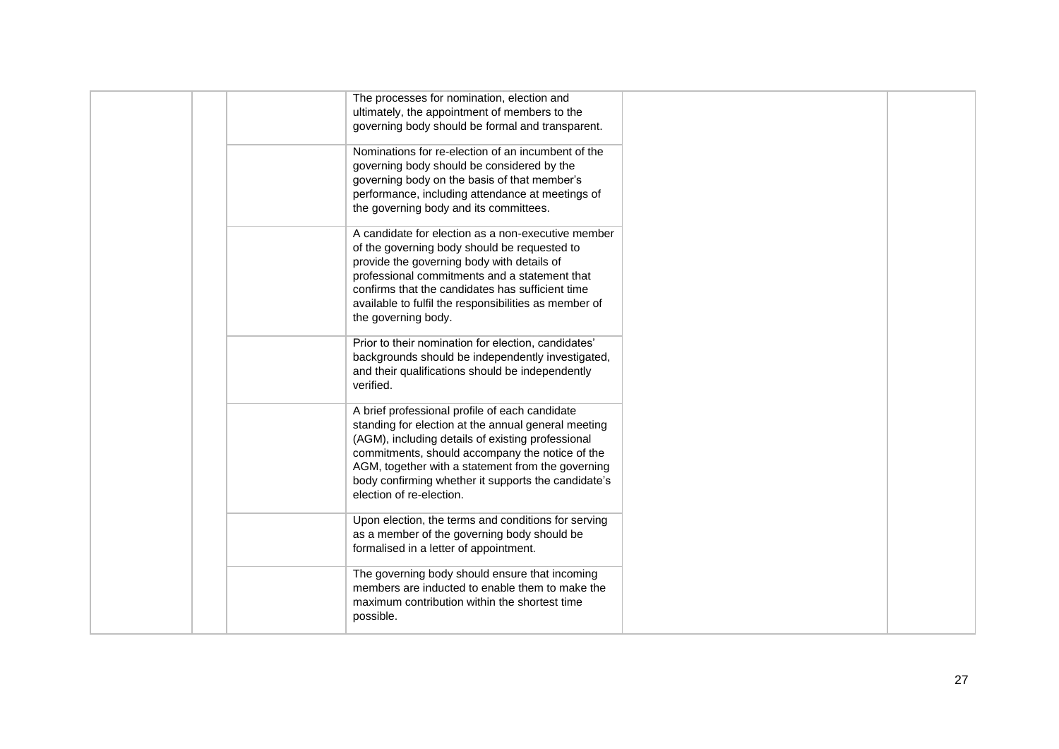|  | The processes for nomination, election and<br>ultimately, the appointment of members to the<br>governing body should be formal and transparent.                                                                                                                                                                                                       |  |
|--|-------------------------------------------------------------------------------------------------------------------------------------------------------------------------------------------------------------------------------------------------------------------------------------------------------------------------------------------------------|--|
|  | Nominations for re-election of an incumbent of the<br>governing body should be considered by the<br>governing body on the basis of that member's<br>performance, including attendance at meetings of<br>the governing body and its committees.                                                                                                        |  |
|  | A candidate for election as a non-executive member<br>of the governing body should be requested to<br>provide the governing body with details of<br>professional commitments and a statement that<br>confirms that the candidates has sufficient time<br>available to fulfil the responsibilities as member of<br>the governing body.                 |  |
|  | Prior to their nomination for election, candidates'<br>backgrounds should be independently investigated,<br>and their qualifications should be independently<br>verified.                                                                                                                                                                             |  |
|  | A brief professional profile of each candidate<br>standing for election at the annual general meeting<br>(AGM), including details of existing professional<br>commitments, should accompany the notice of the<br>AGM, together with a statement from the governing<br>body confirming whether it supports the candidate's<br>election of re-election. |  |
|  | Upon election, the terms and conditions for serving<br>as a member of the governing body should be<br>formalised in a letter of appointment.                                                                                                                                                                                                          |  |
|  | The governing body should ensure that incoming<br>members are inducted to enable them to make the<br>maximum contribution within the shortest time<br>possible.                                                                                                                                                                                       |  |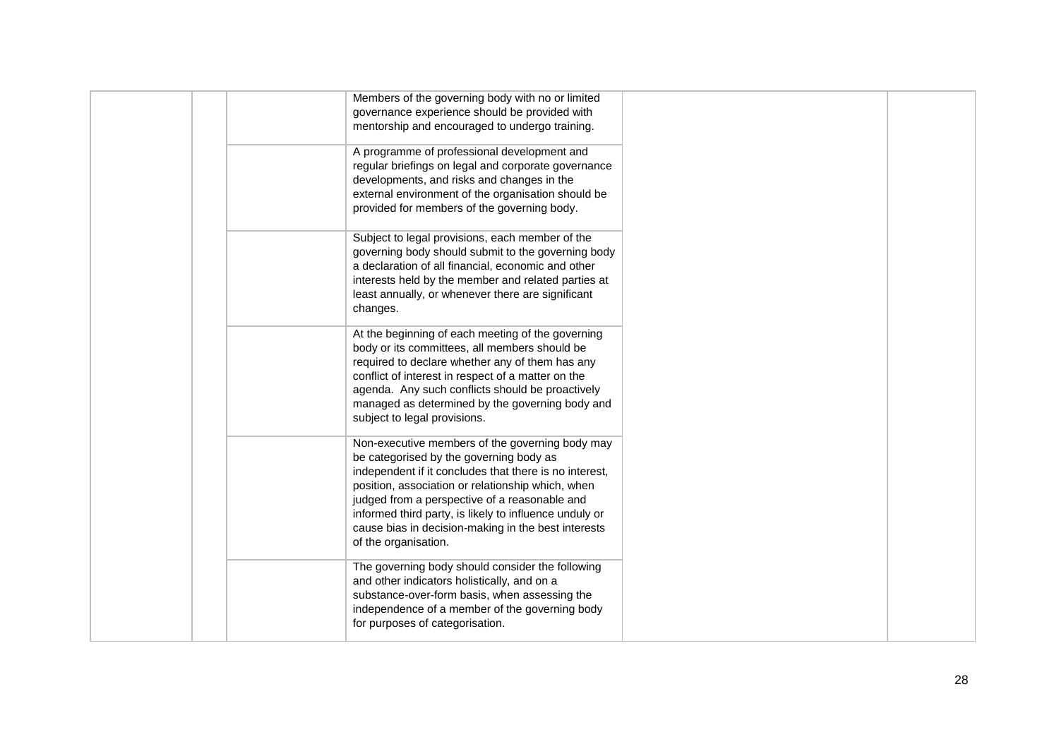| Members of the governing body with no or limited<br>governance experience should be provided with<br>mentorship and encouraged to undergo training.                                                                                                                                                                                                                                                 |
|-----------------------------------------------------------------------------------------------------------------------------------------------------------------------------------------------------------------------------------------------------------------------------------------------------------------------------------------------------------------------------------------------------|
| A programme of professional development and<br>regular briefings on legal and corporate governance<br>developments, and risks and changes in the<br>external environment of the organisation should be<br>provided for members of the governing body.                                                                                                                                               |
| Subject to legal provisions, each member of the<br>governing body should submit to the governing body<br>a declaration of all financial, economic and other<br>interests held by the member and related parties at<br>least annually, or whenever there are significant<br>changes.                                                                                                                 |
| At the beginning of each meeting of the governing<br>body or its committees, all members should be<br>required to declare whether any of them has any<br>conflict of interest in respect of a matter on the<br>agenda. Any such conflicts should be proactively<br>managed as determined by the governing body and<br>subject to legal provisions.                                                  |
| Non-executive members of the governing body may<br>be categorised by the governing body as<br>independent if it concludes that there is no interest,<br>position, association or relationship which, when<br>judged from a perspective of a reasonable and<br>informed third party, is likely to influence unduly or<br>cause bias in decision-making in the best interests<br>of the organisation. |
| The governing body should consider the following<br>and other indicators holistically, and on a<br>substance-over-form basis, when assessing the<br>independence of a member of the governing body<br>for purposes of categorisation.                                                                                                                                                               |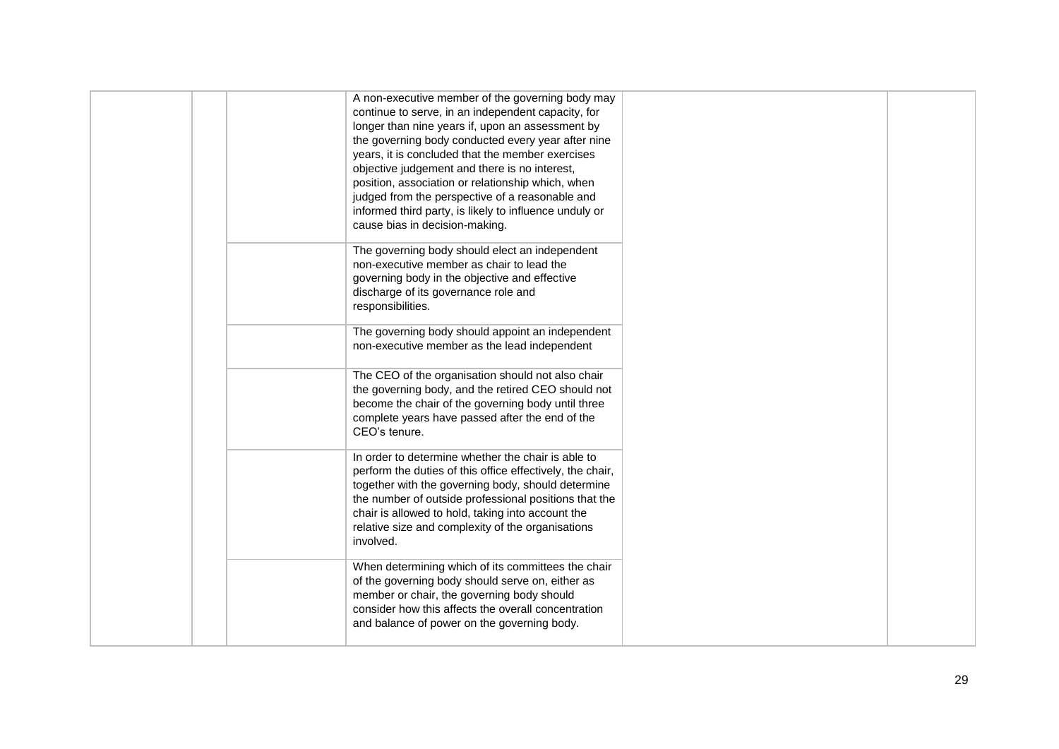| A non-executive member of the governing body may<br>continue to serve, in an independent capacity, for<br>longer than nine years if, upon an assessment by<br>the governing body conducted every year after nine<br>years, it is concluded that the member exercises<br>objective judgement and there is no interest,<br>position, association or relationship which, when<br>judged from the perspective of a reasonable and<br>informed third party, is likely to influence unduly or<br>cause bias in decision-making. |  |
|---------------------------------------------------------------------------------------------------------------------------------------------------------------------------------------------------------------------------------------------------------------------------------------------------------------------------------------------------------------------------------------------------------------------------------------------------------------------------------------------------------------------------|--|
| The governing body should elect an independent<br>non-executive member as chair to lead the<br>governing body in the objective and effective<br>discharge of its governance role and<br>responsibilities.                                                                                                                                                                                                                                                                                                                 |  |
| The governing body should appoint an independent<br>non-executive member as the lead independent                                                                                                                                                                                                                                                                                                                                                                                                                          |  |
| The CEO of the organisation should not also chair<br>the governing body, and the retired CEO should not<br>become the chair of the governing body until three<br>complete years have passed after the end of the<br>CEO's tenure.                                                                                                                                                                                                                                                                                         |  |
| In order to determine whether the chair is able to<br>perform the duties of this office effectively, the chair,<br>together with the governing body, should determine<br>the number of outside professional positions that the<br>chair is allowed to hold, taking into account the<br>relative size and complexity of the organisations<br>involved.                                                                                                                                                                     |  |
| When determining which of its committees the chair<br>of the governing body should serve on, either as<br>member or chair, the governing body should<br>consider how this affects the overall concentration<br>and balance of power on the governing body.                                                                                                                                                                                                                                                                |  |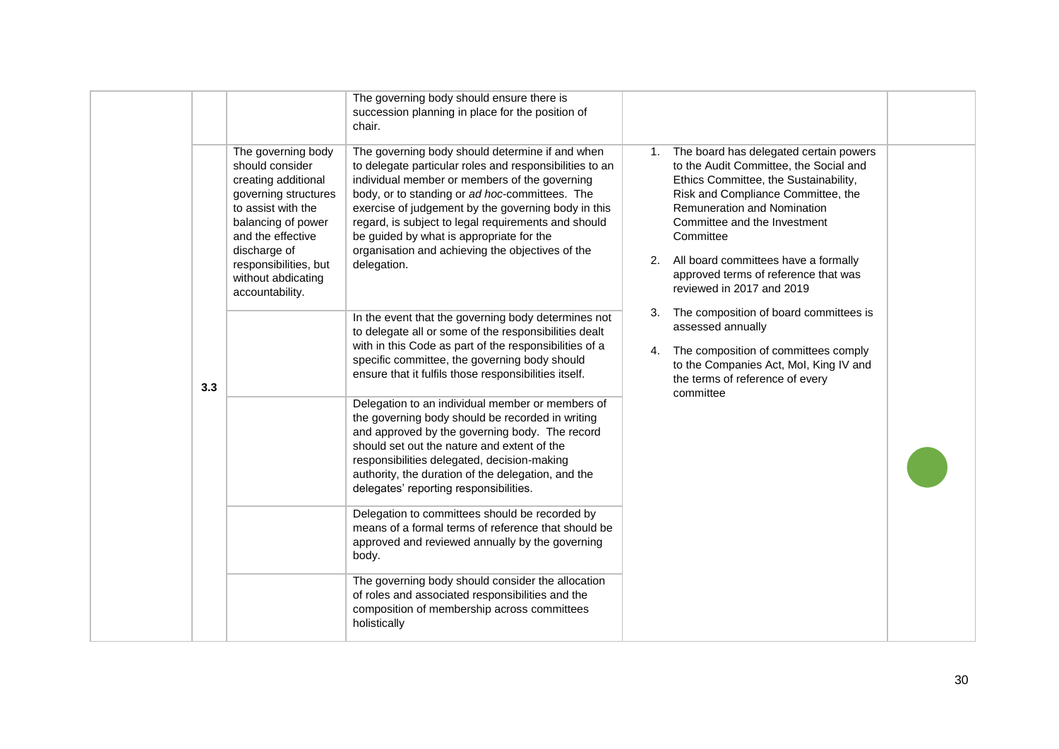|     |                                                                                                                                                                                                                                         | The governing body should ensure there is<br>succession planning in place for the position of<br>chair.                                                                                                                                                                                                                                                                                                                                    |    |                                                                                                                                                                                                                                                                                                                                                                    |  |
|-----|-----------------------------------------------------------------------------------------------------------------------------------------------------------------------------------------------------------------------------------------|--------------------------------------------------------------------------------------------------------------------------------------------------------------------------------------------------------------------------------------------------------------------------------------------------------------------------------------------------------------------------------------------------------------------------------------------|----|--------------------------------------------------------------------------------------------------------------------------------------------------------------------------------------------------------------------------------------------------------------------------------------------------------------------------------------------------------------------|--|
|     | The governing body<br>should consider<br>creating additional<br>governing structures<br>to assist with the<br>balancing of power<br>and the effective<br>discharge of<br>responsibilities, but<br>without abdicating<br>accountability. | The governing body should determine if and when<br>to delegate particular roles and responsibilities to an<br>individual member or members of the governing<br>body, or to standing or ad hoc-committees. The<br>exercise of judgement by the governing body in this<br>regard, is subject to legal requirements and should<br>be guided by what is appropriate for the<br>organisation and achieving the objectives of the<br>delegation. | 1. | The board has delegated certain powers<br>to the Audit Committee, the Social and<br>Ethics Committee, the Sustainability,<br>Risk and Compliance Committee, the<br><b>Remuneration and Nomination</b><br>Committee and the Investment<br>Committee<br>2. All board committees have a formally<br>approved terms of reference that was<br>reviewed in 2017 and 2019 |  |
| 3.3 |                                                                                                                                                                                                                                         | In the event that the governing body determines not<br>to delegate all or some of the responsibilities dealt<br>with in this Code as part of the responsibilities of a<br>specific committee, the governing body should<br>ensure that it fulfils those responsibilities itself.                                                                                                                                                           | 3. | The composition of board committees is<br>assessed annually<br>4. The composition of committees comply<br>to the Companies Act, Mol, King IV and<br>the terms of reference of every<br>committee                                                                                                                                                                   |  |
|     |                                                                                                                                                                                                                                         | Delegation to an individual member or members of<br>the governing body should be recorded in writing<br>and approved by the governing body. The record<br>should set out the nature and extent of the<br>responsibilities delegated, decision-making<br>authority, the duration of the delegation, and the<br>delegates' reporting responsibilities.                                                                                       |    |                                                                                                                                                                                                                                                                                                                                                                    |  |
|     |                                                                                                                                                                                                                                         | Delegation to committees should be recorded by<br>means of a formal terms of reference that should be<br>approved and reviewed annually by the governing<br>body.                                                                                                                                                                                                                                                                          |    |                                                                                                                                                                                                                                                                                                                                                                    |  |
|     |                                                                                                                                                                                                                                         | The governing body should consider the allocation<br>of roles and associated responsibilities and the<br>composition of membership across committees<br>holistically                                                                                                                                                                                                                                                                       |    |                                                                                                                                                                                                                                                                                                                                                                    |  |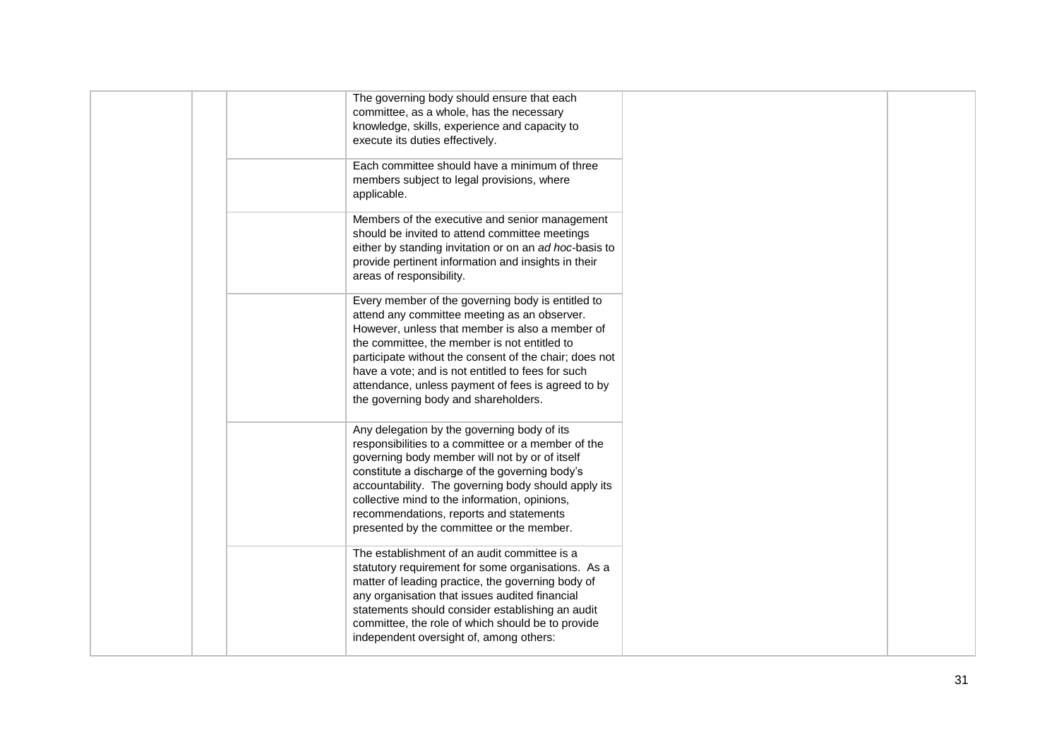|  | The governing body should ensure that each<br>committee, as a whole, has the necessary<br>knowledge, skills, experience and capacity to<br>execute its duties effectively.                                                                                                                                                                                                                                        |  |
|--|-------------------------------------------------------------------------------------------------------------------------------------------------------------------------------------------------------------------------------------------------------------------------------------------------------------------------------------------------------------------------------------------------------------------|--|
|  | Each committee should have a minimum of three<br>members subject to legal provisions, where<br>applicable.                                                                                                                                                                                                                                                                                                        |  |
|  | Members of the executive and senior management<br>should be invited to attend committee meetings<br>either by standing invitation or on an ad hoc-basis to<br>provide pertinent information and insights in their<br>areas of responsibility.                                                                                                                                                                     |  |
|  | Every member of the governing body is entitled to<br>attend any committee meeting as an observer.<br>However, unless that member is also a member of<br>the committee, the member is not entitled to<br>participate without the consent of the chair; does not<br>have a vote; and is not entitled to fees for such<br>attendance, unless payment of fees is agreed to by<br>the governing body and shareholders. |  |
|  | Any delegation by the governing body of its<br>responsibilities to a committee or a member of the<br>governing body member will not by or of itself<br>constitute a discharge of the governing body's<br>accountability. The governing body should apply its<br>collective mind to the information, opinions,<br>recommendations, reports and statements<br>presented by the committee or the member.             |  |
|  | The establishment of an audit committee is a<br>statutory requirement for some organisations. As a<br>matter of leading practice, the governing body of<br>any organisation that issues audited financial<br>statements should consider establishing an audit<br>committee, the role of which should be to provide<br>independent oversight of, among others:                                                     |  |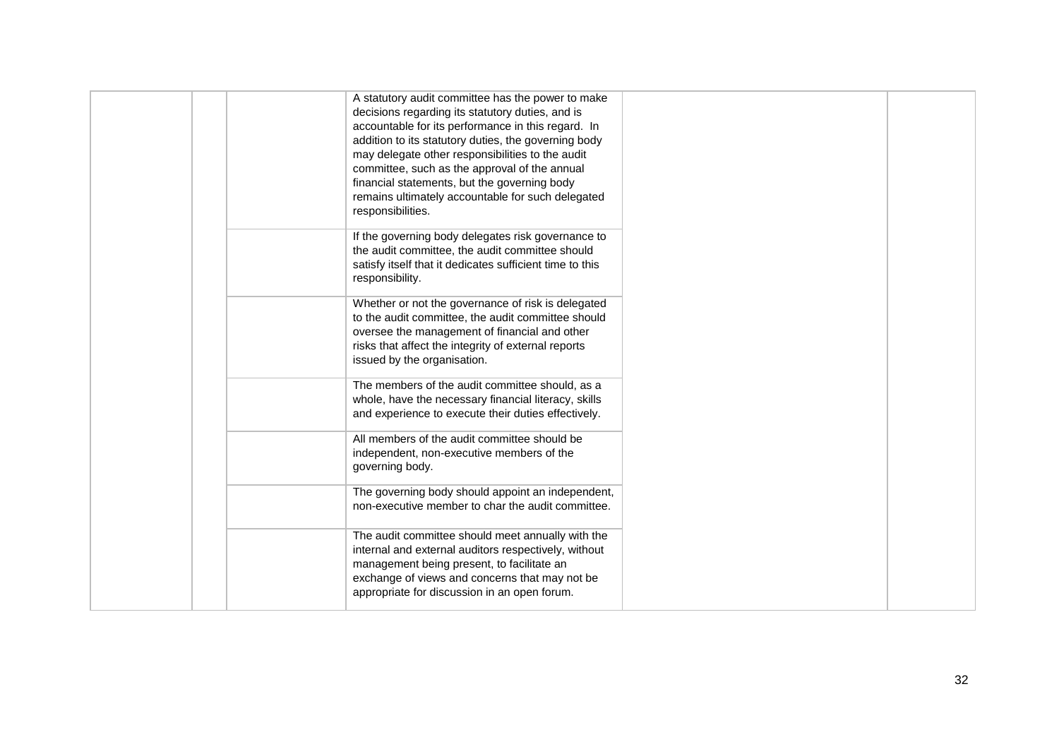| A statutory audit committee has the power to make<br>decisions regarding its statutory duties, and is<br>accountable for its performance in this regard. In<br>addition to its statutory duties, the governing body<br>may delegate other responsibilities to the audit<br>committee, such as the approval of the annual<br>financial statements, but the governing body<br>remains ultimately accountable for such delegated<br>responsibilities.<br>If the governing body delegates risk governance to<br>the audit committee, the audit committee should<br>satisfy itself that it dedicates sufficient time to this<br>responsibility.<br>Whether or not the governance of risk is delegated<br>to the audit committee, the audit committee should<br>oversee the management of financial and other<br>risks that affect the integrity of external reports<br>issued by the organisation.<br>The members of the audit committee should, as a<br>whole, have the necessary financial literacy, skills<br>and experience to execute their duties effectively.<br>All members of the audit committee should be<br>independent, non-executive members of the<br>governing body.<br>The governing body should appoint an independent,<br>non-executive member to char the audit committee.<br>The audit committee should meet annually with the<br>internal and external auditors respectively, without<br>management being present, to facilitate an<br>exchange of views and concerns that may not be<br>appropriate for discussion in an open forum. |  |  |
|--------------------------------------------------------------------------------------------------------------------------------------------------------------------------------------------------------------------------------------------------------------------------------------------------------------------------------------------------------------------------------------------------------------------------------------------------------------------------------------------------------------------------------------------------------------------------------------------------------------------------------------------------------------------------------------------------------------------------------------------------------------------------------------------------------------------------------------------------------------------------------------------------------------------------------------------------------------------------------------------------------------------------------------------------------------------------------------------------------------------------------------------------------------------------------------------------------------------------------------------------------------------------------------------------------------------------------------------------------------------------------------------------------------------------------------------------------------------------------------------------------------------------------------------------------|--|--|
|                                                                                                                                                                                                                                                                                                                                                                                                                                                                                                                                                                                                                                                                                                                                                                                                                                                                                                                                                                                                                                                                                                                                                                                                                                                                                                                                                                                                                                                                                                                                                        |  |  |
|                                                                                                                                                                                                                                                                                                                                                                                                                                                                                                                                                                                                                                                                                                                                                                                                                                                                                                                                                                                                                                                                                                                                                                                                                                                                                                                                                                                                                                                                                                                                                        |  |  |
|                                                                                                                                                                                                                                                                                                                                                                                                                                                                                                                                                                                                                                                                                                                                                                                                                                                                                                                                                                                                                                                                                                                                                                                                                                                                                                                                                                                                                                                                                                                                                        |  |  |
|                                                                                                                                                                                                                                                                                                                                                                                                                                                                                                                                                                                                                                                                                                                                                                                                                                                                                                                                                                                                                                                                                                                                                                                                                                                                                                                                                                                                                                                                                                                                                        |  |  |
|                                                                                                                                                                                                                                                                                                                                                                                                                                                                                                                                                                                                                                                                                                                                                                                                                                                                                                                                                                                                                                                                                                                                                                                                                                                                                                                                                                                                                                                                                                                                                        |  |  |
|                                                                                                                                                                                                                                                                                                                                                                                                                                                                                                                                                                                                                                                                                                                                                                                                                                                                                                                                                                                                                                                                                                                                                                                                                                                                                                                                                                                                                                                                                                                                                        |  |  |
|                                                                                                                                                                                                                                                                                                                                                                                                                                                                                                                                                                                                                                                                                                                                                                                                                                                                                                                                                                                                                                                                                                                                                                                                                                                                                                                                                                                                                                                                                                                                                        |  |  |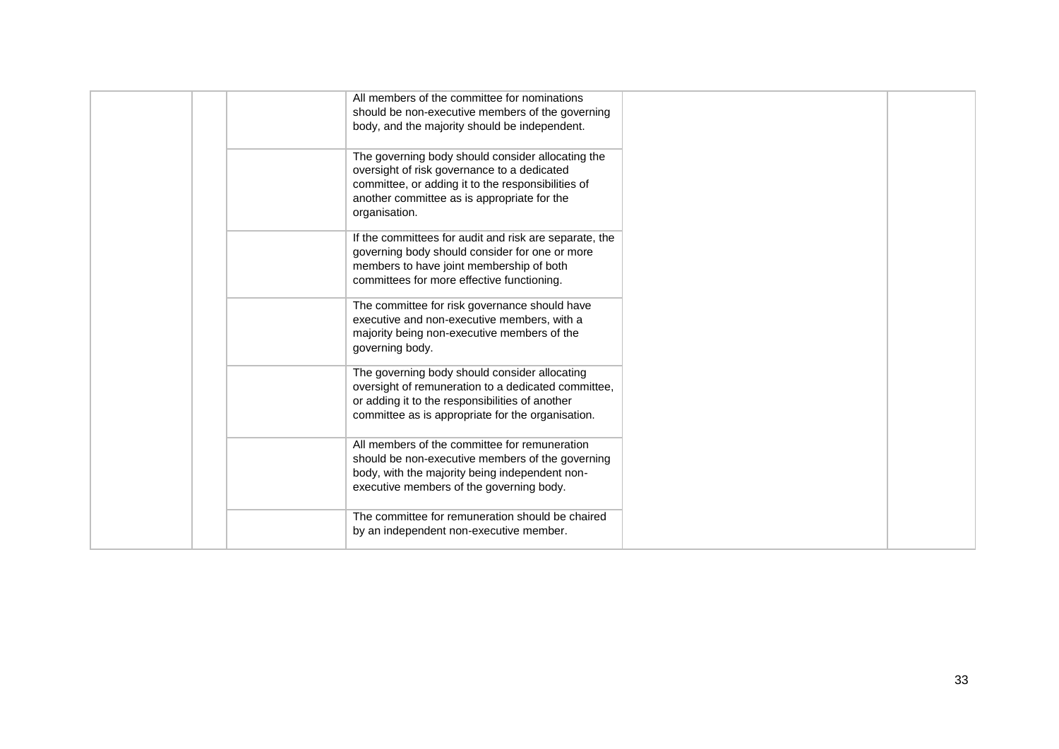| All members of the committee for nominations<br>should be non-executive members of the governing<br>body, and the majority should be independent.                                                                      |  |
|------------------------------------------------------------------------------------------------------------------------------------------------------------------------------------------------------------------------|--|
| The governing body should consider allocating the<br>oversight of risk governance to a dedicated<br>committee, or adding it to the responsibilities of<br>another committee as is appropriate for the<br>organisation. |  |
| If the committees for audit and risk are separate, the<br>governing body should consider for one or more<br>members to have joint membership of both<br>committees for more effective functioning.                     |  |
| The committee for risk governance should have<br>executive and non-executive members, with a<br>majority being non-executive members of the<br>governing body.                                                         |  |
| The governing body should consider allocating<br>oversight of remuneration to a dedicated committee,<br>or adding it to the responsibilities of another<br>committee as is appropriate for the organisation.           |  |
| All members of the committee for remuneration<br>should be non-executive members of the governing<br>body, with the majority being independent non-<br>executive members of the governing body.                        |  |
| The committee for remuneration should be chaired<br>by an independent non-executive member.                                                                                                                            |  |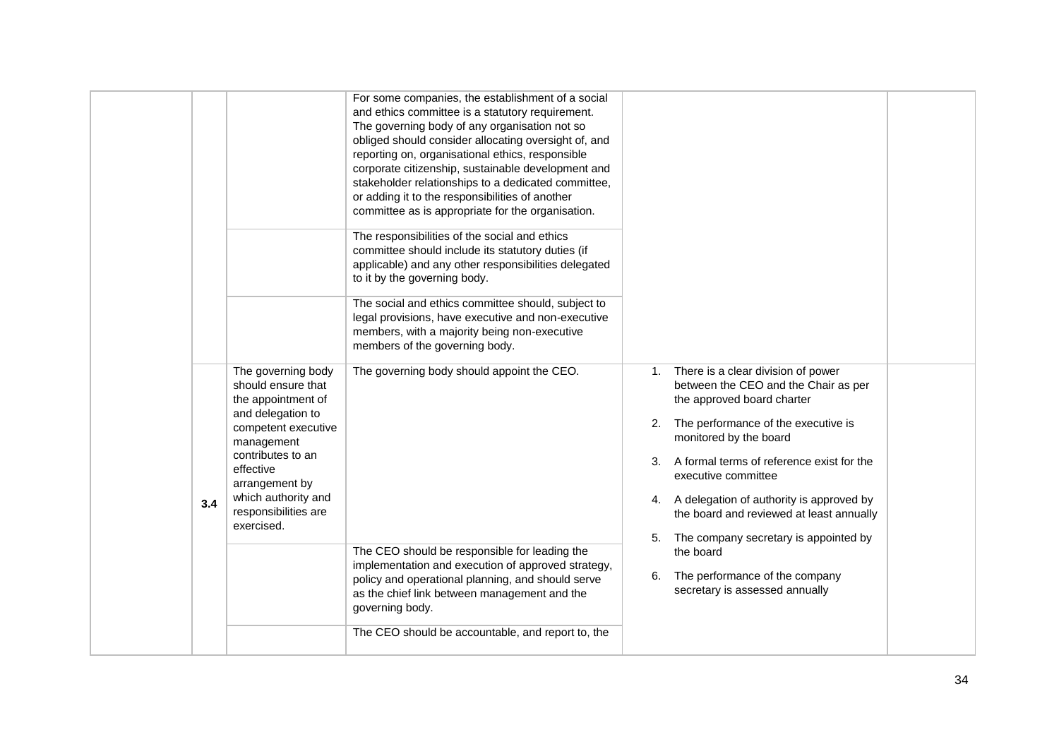|     |                                                                                                                                                                                                                                           | For some companies, the establishment of a social<br>and ethics committee is a statutory requirement.<br>The governing body of any organisation not so<br>obliged should consider allocating oversight of, and<br>reporting on, organisational ethics, responsible<br>corporate citizenship, sustainable development and<br>stakeholder relationships to a dedicated committee,<br>or adding it to the responsibilities of another<br>committee as is appropriate for the organisation. |                                                                                                                                                                                                                                                                                                                                                                                                     |  |
|-----|-------------------------------------------------------------------------------------------------------------------------------------------------------------------------------------------------------------------------------------------|-----------------------------------------------------------------------------------------------------------------------------------------------------------------------------------------------------------------------------------------------------------------------------------------------------------------------------------------------------------------------------------------------------------------------------------------------------------------------------------------|-----------------------------------------------------------------------------------------------------------------------------------------------------------------------------------------------------------------------------------------------------------------------------------------------------------------------------------------------------------------------------------------------------|--|
|     |                                                                                                                                                                                                                                           | The responsibilities of the social and ethics<br>committee should include its statutory duties (if<br>applicable) and any other responsibilities delegated<br>to it by the governing body.                                                                                                                                                                                                                                                                                              |                                                                                                                                                                                                                                                                                                                                                                                                     |  |
|     |                                                                                                                                                                                                                                           | The social and ethics committee should, subject to<br>legal provisions, have executive and non-executive<br>members, with a majority being non-executive<br>members of the governing body.                                                                                                                                                                                                                                                                                              |                                                                                                                                                                                                                                                                                                                                                                                                     |  |
| 3.4 | The governing body<br>should ensure that<br>the appointment of<br>and delegation to<br>competent executive<br>management<br>contributes to an<br>effective<br>arrangement by<br>which authority and<br>responsibilities are<br>exercised. | The governing body should appoint the CEO.                                                                                                                                                                                                                                                                                                                                                                                                                                              | 1. There is a clear division of power<br>between the CEO and the Chair as per<br>the approved board charter<br>2. The performance of the executive is<br>monitored by the board<br>A formal terms of reference exist for the<br>3.<br>executive committee<br>4. A delegation of authority is approved by<br>the board and reviewed at least annually<br>5.<br>The company secretary is appointed by |  |
|     |                                                                                                                                                                                                                                           | The CEO should be responsible for leading the<br>implementation and execution of approved strategy,<br>policy and operational planning, and should serve<br>as the chief link between management and the<br>governing body.                                                                                                                                                                                                                                                             | the board<br>The performance of the company<br>6.<br>secretary is assessed annually                                                                                                                                                                                                                                                                                                                 |  |
|     |                                                                                                                                                                                                                                           | The CEO should be accountable, and report to, the                                                                                                                                                                                                                                                                                                                                                                                                                                       |                                                                                                                                                                                                                                                                                                                                                                                                     |  |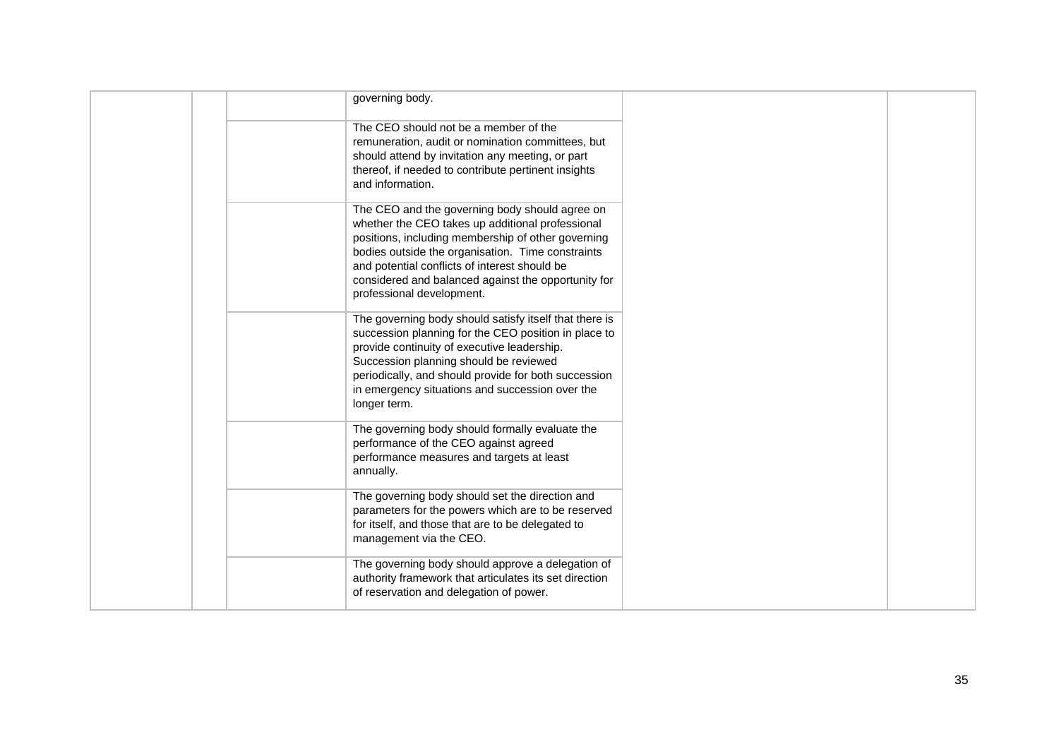|  | governing body.                                                                                                                                                                                                                                                                                                                                    |  |
|--|----------------------------------------------------------------------------------------------------------------------------------------------------------------------------------------------------------------------------------------------------------------------------------------------------------------------------------------------------|--|
|  | The CEO should not be a member of the<br>remuneration, audit or nomination committees, but<br>should attend by invitation any meeting, or part<br>thereof, if needed to contribute pertinent insights<br>and information.                                                                                                                          |  |
|  | The CEO and the governing body should agree on<br>whether the CEO takes up additional professional<br>positions, including membership of other governing<br>bodies outside the organisation. Time constraints<br>and potential conflicts of interest should be<br>considered and balanced against the opportunity for<br>professional development. |  |
|  | The governing body should satisfy itself that there is<br>succession planning for the CEO position in place to<br>provide continuity of executive leadership.<br>Succession planning should be reviewed<br>periodically, and should provide for both succession<br>in emergency situations and succession over the<br>longer term.                 |  |
|  | The governing body should formally evaluate the<br>performance of the CEO against agreed<br>performance measures and targets at least<br>annually.                                                                                                                                                                                                 |  |
|  | The governing body should set the direction and<br>parameters for the powers which are to be reserved<br>for itself, and those that are to be delegated to<br>management via the CEO.                                                                                                                                                              |  |
|  | The governing body should approve a delegation of<br>authority framework that articulates its set direction<br>of reservation and delegation of power.                                                                                                                                                                                             |  |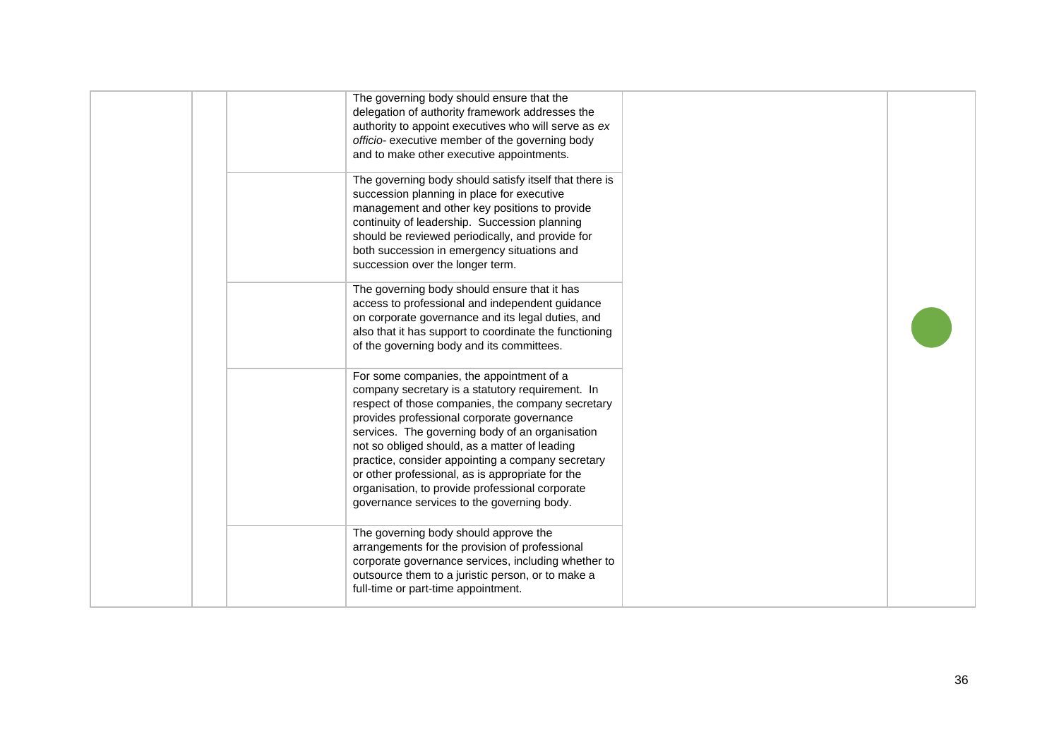|  | The governing body should ensure that the<br>delegation of authority framework addresses the<br>authority to appoint executives who will serve as ex<br>officio- executive member of the governing body<br>and to make other executive appointments.                                                                                                                                                                                                                                                          |  |
|--|---------------------------------------------------------------------------------------------------------------------------------------------------------------------------------------------------------------------------------------------------------------------------------------------------------------------------------------------------------------------------------------------------------------------------------------------------------------------------------------------------------------|--|
|  | The governing body should satisfy itself that there is<br>succession planning in place for executive<br>management and other key positions to provide<br>continuity of leadership. Succession planning<br>should be reviewed periodically, and provide for<br>both succession in emergency situations and<br>succession over the longer term.                                                                                                                                                                 |  |
|  | The governing body should ensure that it has<br>access to professional and independent guidance<br>on corporate governance and its legal duties, and<br>also that it has support to coordinate the functioning<br>of the governing body and its committees.                                                                                                                                                                                                                                                   |  |
|  | For some companies, the appointment of a<br>company secretary is a statutory requirement. In<br>respect of those companies, the company secretary<br>provides professional corporate governance<br>services. The governing body of an organisation<br>not so obliged should, as a matter of leading<br>practice, consider appointing a company secretary<br>or other professional, as is appropriate for the<br>organisation, to provide professional corporate<br>governance services to the governing body. |  |
|  | The governing body should approve the<br>arrangements for the provision of professional<br>corporate governance services, including whether to<br>outsource them to a juristic person, or to make a<br>full-time or part-time appointment.                                                                                                                                                                                                                                                                    |  |
|  |                                                                                                                                                                                                                                                                                                                                                                                                                                                                                                               |  |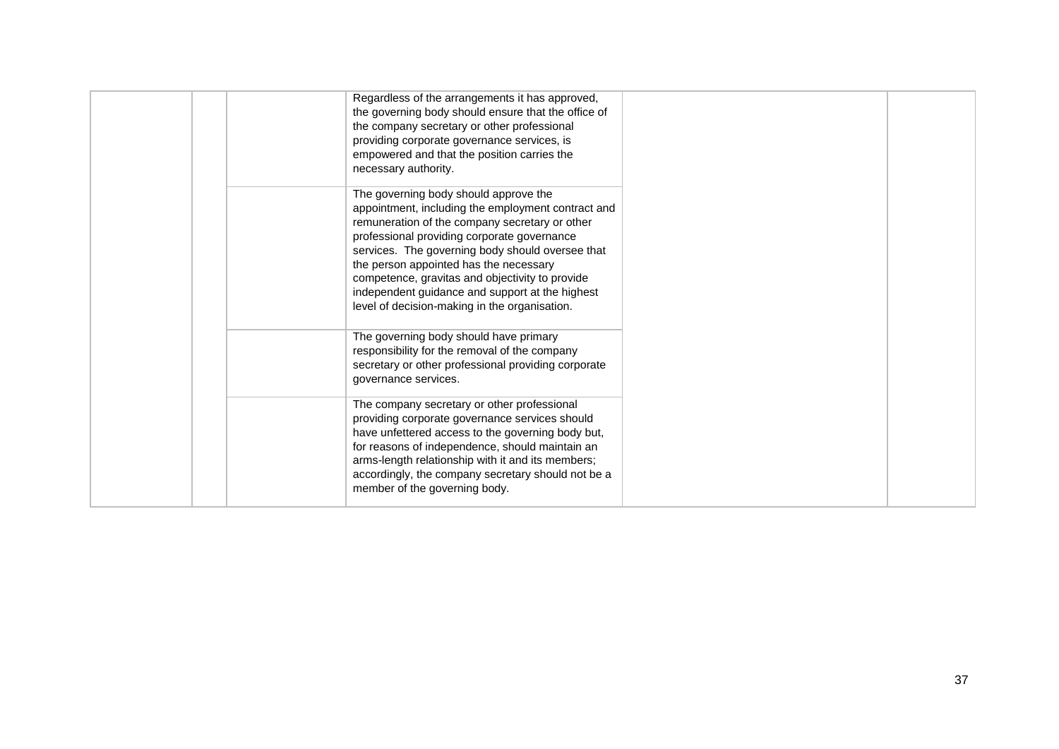| Regardless of the arrangements it has approved,<br>the governing body should ensure that the office of<br>the company secretary or other professional<br>providing corporate governance services, is<br>empowered and that the position carries the<br>necessary authority.                                                                                                                                                                       |  |
|---------------------------------------------------------------------------------------------------------------------------------------------------------------------------------------------------------------------------------------------------------------------------------------------------------------------------------------------------------------------------------------------------------------------------------------------------|--|
| The governing body should approve the<br>appointment, including the employment contract and<br>remuneration of the company secretary or other<br>professional providing corporate governance<br>services. The governing body should oversee that<br>the person appointed has the necessary<br>competence, gravitas and objectivity to provide<br>independent guidance and support at the highest<br>level of decision-making in the organisation. |  |
| The governing body should have primary<br>responsibility for the removal of the company<br>secretary or other professional providing corporate<br>governance services.                                                                                                                                                                                                                                                                            |  |
| The company secretary or other professional<br>providing corporate governance services should<br>have unfettered access to the governing body but,<br>for reasons of independence, should maintain an<br>arms-length relationship with it and its members;<br>accordingly, the company secretary should not be a<br>member of the governing body.                                                                                                 |  |
|                                                                                                                                                                                                                                                                                                                                                                                                                                                   |  |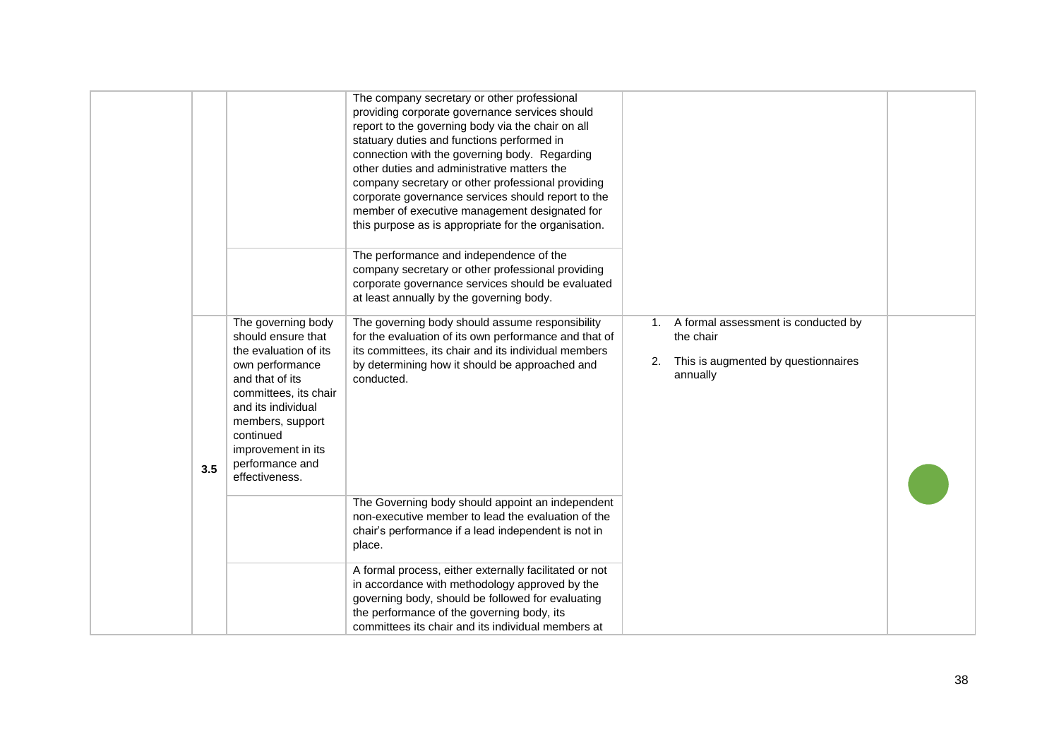|     |                                                                                                                                                                                                                                                    | The company secretary or other professional<br>providing corporate governance services should<br>report to the governing body via the chair on all<br>statuary duties and functions performed in<br>connection with the governing body. Regarding<br>other duties and administrative matters the<br>company secretary or other professional providing<br>corporate governance services should report to the<br>member of executive management designated for<br>this purpose as is appropriate for the organisation. |                                                                                                              |  |
|-----|----------------------------------------------------------------------------------------------------------------------------------------------------------------------------------------------------------------------------------------------------|----------------------------------------------------------------------------------------------------------------------------------------------------------------------------------------------------------------------------------------------------------------------------------------------------------------------------------------------------------------------------------------------------------------------------------------------------------------------------------------------------------------------|--------------------------------------------------------------------------------------------------------------|--|
|     |                                                                                                                                                                                                                                                    | The performance and independence of the<br>company secretary or other professional providing<br>corporate governance services should be evaluated<br>at least annually by the governing body.                                                                                                                                                                                                                                                                                                                        |                                                                                                              |  |
| 3.5 | The governing body<br>should ensure that<br>the evaluation of its<br>own performance<br>and that of its<br>committees, its chair<br>and its individual<br>members, support<br>continued<br>improvement in its<br>performance and<br>effectiveness. | The governing body should assume responsibility<br>for the evaluation of its own performance and that of<br>its committees, its chair and its individual members<br>by determining how it should be approached and<br>conducted.                                                                                                                                                                                                                                                                                     | 1. A formal assessment is conducted by<br>the chair<br>This is augmented by questionnaires<br>2.<br>annually |  |
|     |                                                                                                                                                                                                                                                    | The Governing body should appoint an independent<br>non-executive member to lead the evaluation of the<br>chair's performance if a lead independent is not in<br>place.                                                                                                                                                                                                                                                                                                                                              |                                                                                                              |  |
|     |                                                                                                                                                                                                                                                    | A formal process, either externally facilitated or not<br>in accordance with methodology approved by the<br>governing body, should be followed for evaluating<br>the performance of the governing body, its<br>committees its chair and its individual members at                                                                                                                                                                                                                                                    |                                                                                                              |  |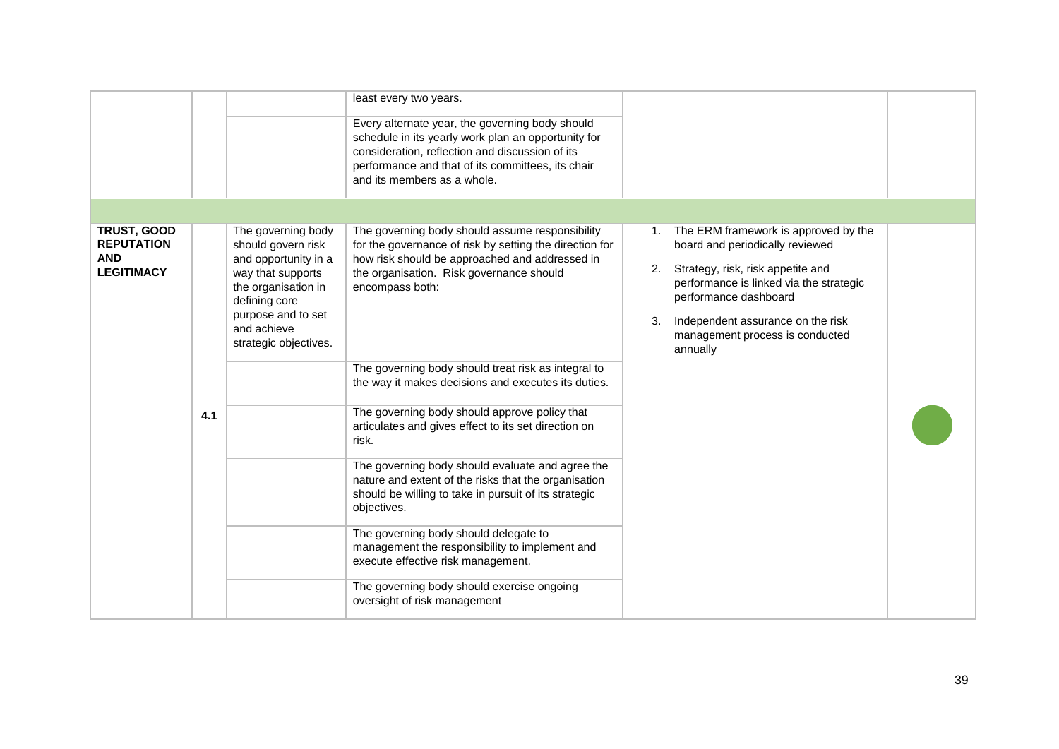|                                                                     |     |                                                                                                                                                                                             | least every two years.<br>Every alternate year, the governing body should<br>schedule in its yearly work plan an opportunity for<br>consideration, reflection and discussion of its<br>performance and that of its committees, its chair<br>and its members as a whole. |                                                                                                                                                                                                                                                                                        |
|---------------------------------------------------------------------|-----|---------------------------------------------------------------------------------------------------------------------------------------------------------------------------------------------|-------------------------------------------------------------------------------------------------------------------------------------------------------------------------------------------------------------------------------------------------------------------------|----------------------------------------------------------------------------------------------------------------------------------------------------------------------------------------------------------------------------------------------------------------------------------------|
|                                                                     |     |                                                                                                                                                                                             |                                                                                                                                                                                                                                                                         |                                                                                                                                                                                                                                                                                        |
| TRUST, GOOD<br><b>REPUTATION</b><br><b>AND</b><br><b>LEGITIMACY</b> |     | The governing body<br>should govern risk<br>and opportunity in a<br>way that supports<br>the organisation in<br>defining core<br>purpose and to set<br>and achieve<br>strategic objectives. | The governing body should assume responsibility<br>for the governance of risk by setting the direction for<br>how risk should be approached and addressed in<br>the organisation. Risk governance should<br>encompass both:                                             | The ERM framework is approved by the<br>1.<br>board and periodically reviewed<br>Strategy, risk, risk appetite and<br>2.<br>performance is linked via the strategic<br>performance dashboard<br>3.<br>Independent assurance on the risk<br>management process is conducted<br>annually |
|                                                                     |     |                                                                                                                                                                                             | The governing body should treat risk as integral to<br>the way it makes decisions and executes its duties.                                                                                                                                                              |                                                                                                                                                                                                                                                                                        |
|                                                                     | 4.1 |                                                                                                                                                                                             | The governing body should approve policy that<br>articulates and gives effect to its set direction on<br>risk.                                                                                                                                                          |                                                                                                                                                                                                                                                                                        |
|                                                                     |     |                                                                                                                                                                                             | The governing body should evaluate and agree the<br>nature and extent of the risks that the organisation<br>should be willing to take in pursuit of its strategic<br>objectives.                                                                                        |                                                                                                                                                                                                                                                                                        |
|                                                                     |     |                                                                                                                                                                                             | The governing body should delegate to<br>management the responsibility to implement and<br>execute effective risk management.                                                                                                                                           |                                                                                                                                                                                                                                                                                        |
|                                                                     |     |                                                                                                                                                                                             | The governing body should exercise ongoing<br>oversight of risk management                                                                                                                                                                                              |                                                                                                                                                                                                                                                                                        |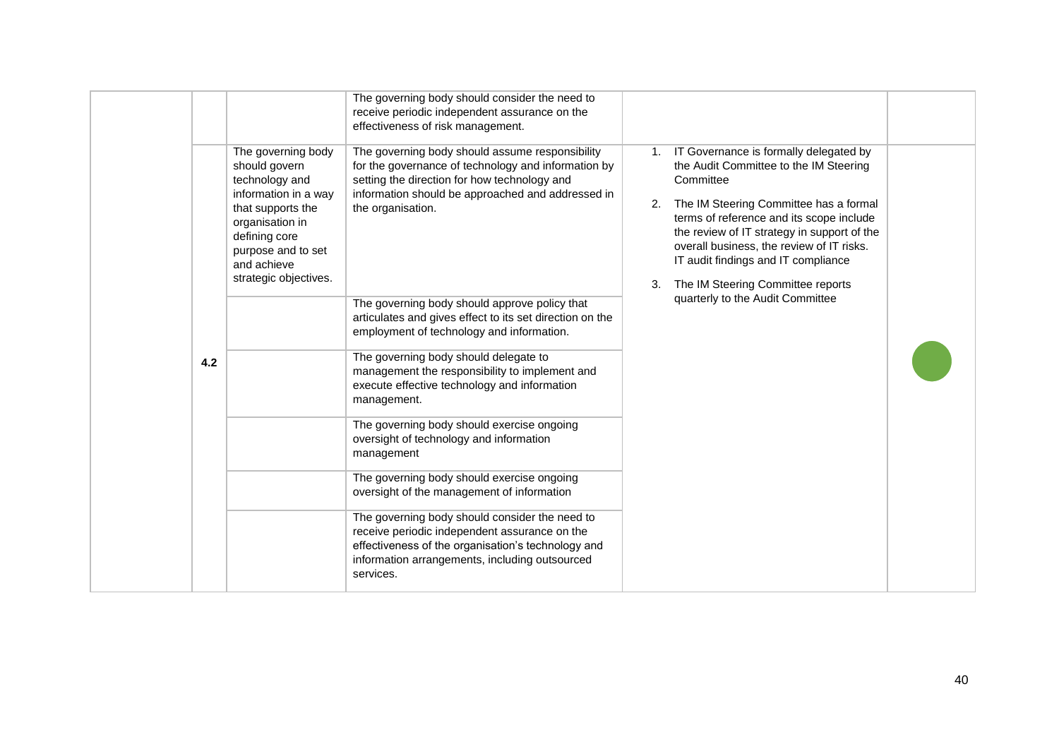|                                                                                                                                                                                                      | The governing body should consider the need to<br>receive periodic independent assurance on the<br>effectiveness of risk management.                                                                                                                                                                                                                     |                                                                                                                                                                                                                                                                                                                                                                                                                |
|------------------------------------------------------------------------------------------------------------------------------------------------------------------------------------------------------|----------------------------------------------------------------------------------------------------------------------------------------------------------------------------------------------------------------------------------------------------------------------------------------------------------------------------------------------------------|----------------------------------------------------------------------------------------------------------------------------------------------------------------------------------------------------------------------------------------------------------------------------------------------------------------------------------------------------------------------------------------------------------------|
| The governing body<br>should govern<br>technology and<br>information in a way<br>that supports the<br>organisation in<br>defining core<br>purpose and to set<br>and achieve<br>strategic objectives. | The governing body should assume responsibility<br>for the governance of technology and information by<br>setting the direction for how technology and<br>information should be approached and addressed in<br>the organisation.<br>The governing body should approve policy that<br>articulates and gives effect to its set direction on the            | 1. IT Governance is formally delegated by<br>the Audit Committee to the IM Steering<br>Committee<br>The IM Steering Committee has a formal<br>2.<br>terms of reference and its scope include<br>the review of IT strategy in support of the<br>overall business, the review of IT risks.<br>IT audit findings and IT compliance<br>The IM Steering Committee reports<br>3.<br>quarterly to the Audit Committee |
| 4.2                                                                                                                                                                                                  | employment of technology and information.<br>The governing body should delegate to<br>management the responsibility to implement and<br>execute effective technology and information<br>management.                                                                                                                                                      |                                                                                                                                                                                                                                                                                                                                                                                                                |
|                                                                                                                                                                                                      | The governing body should exercise ongoing<br>oversight of technology and information<br>management<br>The governing body should exercise ongoing<br>oversight of the management of information<br>The governing body should consider the need to<br>receive periodic independent assurance on the<br>effectiveness of the organisation's technology and |                                                                                                                                                                                                                                                                                                                                                                                                                |
|                                                                                                                                                                                                      | information arrangements, including outsourced<br>services.                                                                                                                                                                                                                                                                                              |                                                                                                                                                                                                                                                                                                                                                                                                                |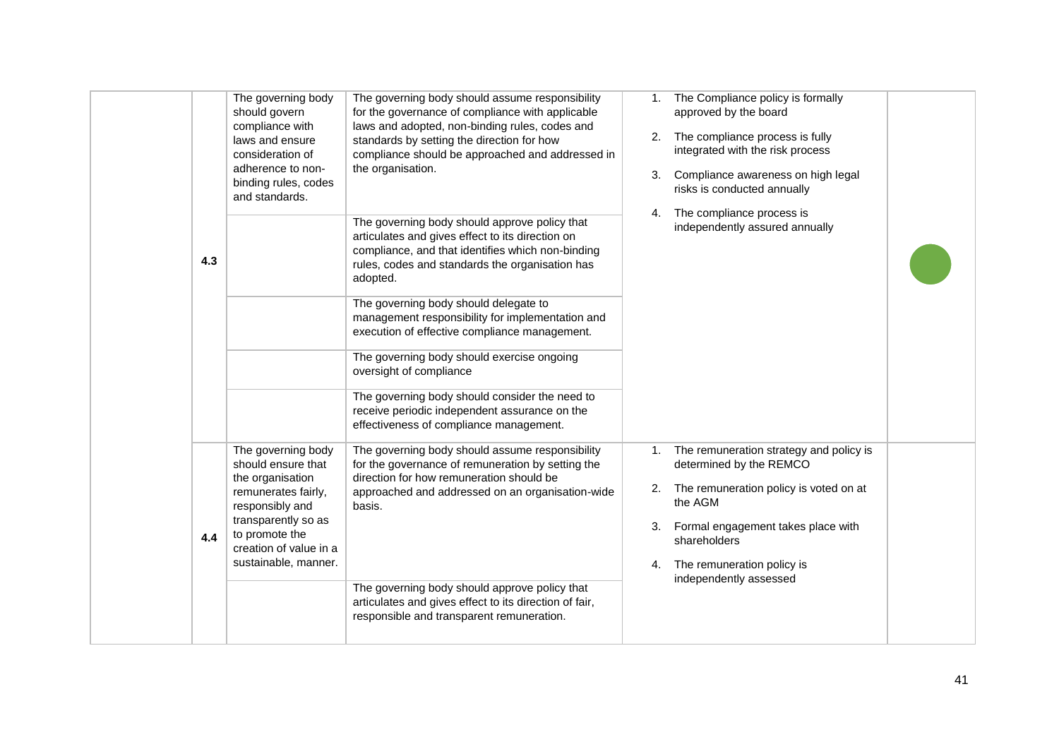| The governing body<br>The governing body should assume responsibility<br>The Compliance policy is formally<br>1.<br>should govern<br>for the governance of compliance with applicable<br>approved by the board<br>laws and adopted, non-binding rules, codes and<br>compliance with<br>2. The compliance process is fully<br>laws and ensure<br>standards by setting the direction for how<br>integrated with the risk process<br>compliance should be approached and addressed in<br>consideration of<br>the organisation.<br>adherence to non-<br>Compliance awareness on high legal<br>3.<br>binding rules, codes<br>risks is conducted annually<br>and standards.<br>The compliance process is<br>4. |  |
|----------------------------------------------------------------------------------------------------------------------------------------------------------------------------------------------------------------------------------------------------------------------------------------------------------------------------------------------------------------------------------------------------------------------------------------------------------------------------------------------------------------------------------------------------------------------------------------------------------------------------------------------------------------------------------------------------------|--|
| The governing body should approve policy that<br>independently assured annually<br>articulates and gives effect to its direction on<br>compliance, and that identifies which non-binding<br>4.3<br>rules, codes and standards the organisation has<br>adopted.                                                                                                                                                                                                                                                                                                                                                                                                                                           |  |
| The governing body should delegate to<br>management responsibility for implementation and<br>execution of effective compliance management.                                                                                                                                                                                                                                                                                                                                                                                                                                                                                                                                                               |  |
| The governing body should exercise ongoing<br>oversight of compliance<br>The governing body should consider the need to                                                                                                                                                                                                                                                                                                                                                                                                                                                                                                                                                                                  |  |
| receive periodic independent assurance on the<br>effectiveness of compliance management.                                                                                                                                                                                                                                                                                                                                                                                                                                                                                                                                                                                                                 |  |
| The governing body<br>The governing body should assume responsibility<br>The remuneration strategy and policy is<br>1.<br>should ensure that<br>for the governance of remuneration by setting the<br>determined by the REMCO<br>direction for how remuneration should be<br>the organisation<br>The remuneration policy is voted on at<br>2.                                                                                                                                                                                                                                                                                                                                                             |  |
| remunerates fairly,<br>approached and addressed on an organisation-wide<br>the AGM<br>responsibly and<br>basis.<br>transparently so as<br>Formal engagement takes place with<br>3.<br>to promote the                                                                                                                                                                                                                                                                                                                                                                                                                                                                                                     |  |
| 4.4<br>shareholders<br>creation of value in a<br>sustainable, manner.<br>4. The remuneration policy is<br>independently assessed                                                                                                                                                                                                                                                                                                                                                                                                                                                                                                                                                                         |  |
| The governing body should approve policy that<br>articulates and gives effect to its direction of fair,<br>responsible and transparent remuneration.                                                                                                                                                                                                                                                                                                                                                                                                                                                                                                                                                     |  |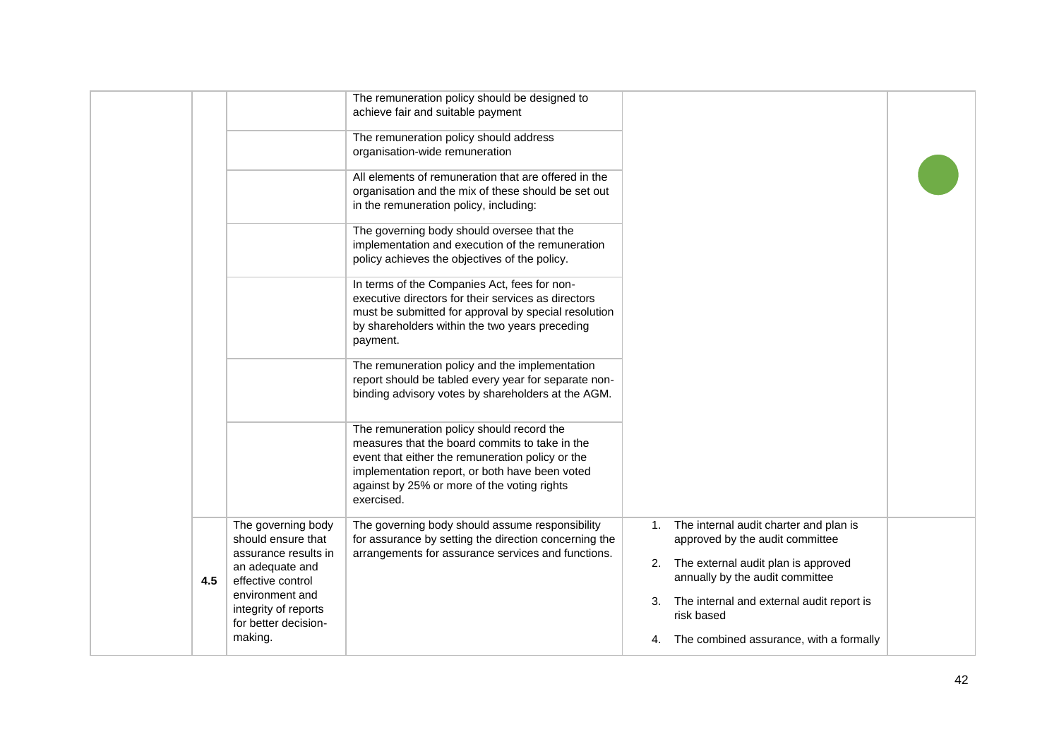|     |                                                                                                                                                                                        | The remuneration policy should be designed to<br>achieve fair and suitable payment<br>The remuneration policy should address<br>organisation-wide remuneration<br>All elements of remuneration that are offered in the<br>organisation and the mix of these should be set out<br>in the remuneration policy, including:<br>The governing body should oversee that the<br>implementation and execution of the remuneration<br>policy achieves the objectives of the policy.<br>In terms of the Companies Act, fees for non-<br>executive directors for their services as directors<br>must be submitted for approval by special resolution<br>by shareholders within the two years preceding<br>payment.<br>The remuneration policy and the implementation<br>report should be tabled every year for separate non-<br>binding advisory votes by shareholders at the AGM.<br>The remuneration policy should record the<br>measures that the board commits to take in the<br>event that either the remuneration policy or the<br>implementation report, or both have been voted<br>against by 25% or more of the voting rights<br>exercised. |          |                                                                                                                                                                                                                                                                 |  |
|-----|----------------------------------------------------------------------------------------------------------------------------------------------------------------------------------------|-------------------------------------------------------------------------------------------------------------------------------------------------------------------------------------------------------------------------------------------------------------------------------------------------------------------------------------------------------------------------------------------------------------------------------------------------------------------------------------------------------------------------------------------------------------------------------------------------------------------------------------------------------------------------------------------------------------------------------------------------------------------------------------------------------------------------------------------------------------------------------------------------------------------------------------------------------------------------------------------------------------------------------------------------------------------------------------------------------------------------------------------|----------|-----------------------------------------------------------------------------------------------------------------------------------------------------------------------------------------------------------------------------------------------------------------|--|
| 4.5 | The governing body<br>should ensure that<br>assurance results in<br>an adequate and<br>effective control<br>environment and<br>integrity of reports<br>for better decision-<br>making. | The governing body should assume responsibility<br>for assurance by setting the direction concerning the<br>arrangements for assurance services and functions.                                                                                                                                                                                                                                                                                                                                                                                                                                                                                                                                                                                                                                                                                                                                                                                                                                                                                                                                                                            | 2.<br>3. | 1. The internal audit charter and plan is<br>approved by the audit committee<br>The external audit plan is approved<br>annually by the audit committee<br>The internal and external audit report is<br>risk based<br>4. The combined assurance, with a formally |  |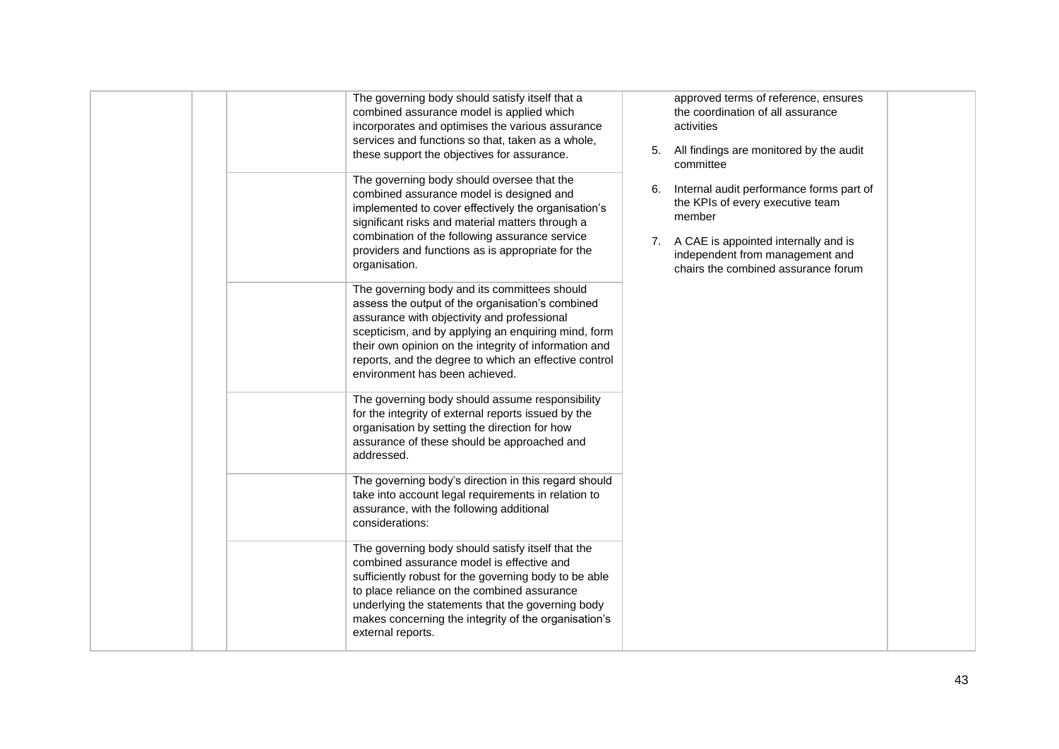|  | The governing body should satisfy itself that a<br>combined assurance model is applied which<br>incorporates and optimises the various assurance<br>services and functions so that, taken as a whole,<br>these support the objectives for assurance.<br>The governing body should oversee that the<br>combined assurance model is designed and<br>implemented to cover effectively the organisation's<br>significant risks and material matters through a<br>combination of the following assurance service<br>providers and functions as is appropriate for the<br>organisation.<br>The governing body and its committees should<br>assess the output of the organisation's combined<br>assurance with objectivity and professional<br>scepticism, and by applying an enquiring mind, form<br>their own opinion on the integrity of information and<br>reports, and the degree to which an effective control<br>environment has been achieved. | 5.<br>6.<br>7. | approved terms of reference, ensures<br>the coordination of all assurance<br>activities<br>All findings are monitored by the audit<br>committee<br>Internal audit performance forms part of<br>the KPIs of every executive team<br>member<br>A CAE is appointed internally and is<br>independent from management and<br>chairs the combined assurance forum |  |
|--|-------------------------------------------------------------------------------------------------------------------------------------------------------------------------------------------------------------------------------------------------------------------------------------------------------------------------------------------------------------------------------------------------------------------------------------------------------------------------------------------------------------------------------------------------------------------------------------------------------------------------------------------------------------------------------------------------------------------------------------------------------------------------------------------------------------------------------------------------------------------------------------------------------------------------------------------------|----------------|-------------------------------------------------------------------------------------------------------------------------------------------------------------------------------------------------------------------------------------------------------------------------------------------------------------------------------------------------------------|--|
|  | for the integrity of external reports issued by the<br>organisation by setting the direction for how<br>assurance of these should be approached and<br>addressed.<br>The governing body's direction in this regard should<br>take into account legal requirements in relation to<br>assurance, with the following additional<br>considerations:<br>The governing body should satisfy itself that the<br>combined assurance model is effective and<br>sufficiently robust for the governing body to be able<br>to place reliance on the combined assurance<br>underlying the statements that the governing body<br>makes concerning the integrity of the organisation's<br>external reports.                                                                                                                                                                                                                                                     |                |                                                                                                                                                                                                                                                                                                                                                             |  |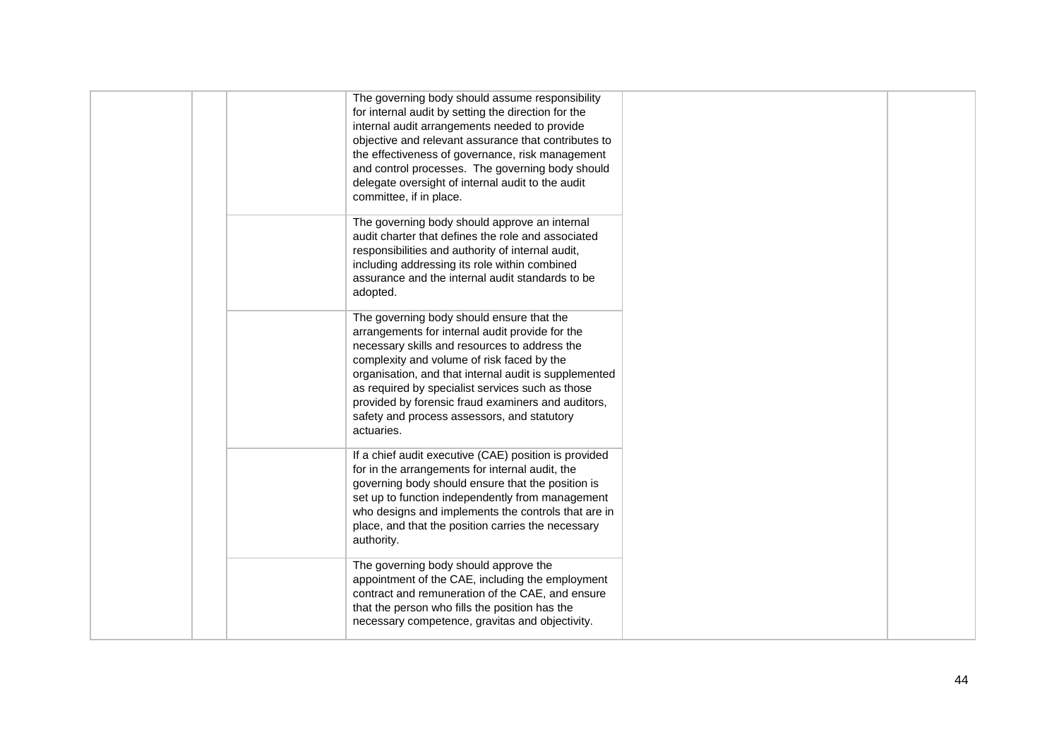| The governing body should assume responsibility<br>for internal audit by setting the direction for the<br>internal audit arrangements needed to provide<br>objective and relevant assurance that contributes to<br>the effectiveness of governance, risk management<br>and control processes. The governing body should<br>delegate oversight of internal audit to the audit<br>committee, if in place.                     |  |
|-----------------------------------------------------------------------------------------------------------------------------------------------------------------------------------------------------------------------------------------------------------------------------------------------------------------------------------------------------------------------------------------------------------------------------|--|
| The governing body should approve an internal<br>audit charter that defines the role and associated<br>responsibilities and authority of internal audit,<br>including addressing its role within combined<br>assurance and the internal audit standards to be<br>adopted.                                                                                                                                                   |  |
| The governing body should ensure that the<br>arrangements for internal audit provide for the<br>necessary skills and resources to address the<br>complexity and volume of risk faced by the<br>organisation, and that internal audit is supplemented<br>as required by specialist services such as those<br>provided by forensic fraud examiners and auditors,<br>safety and process assessors, and statutory<br>actuaries. |  |
| If a chief audit executive (CAE) position is provided<br>for in the arrangements for internal audit, the<br>governing body should ensure that the position is<br>set up to function independently from management<br>who designs and implements the controls that are in<br>place, and that the position carries the necessary<br>authority.                                                                                |  |
| The governing body should approve the<br>appointment of the CAE, including the employment<br>contract and remuneration of the CAE, and ensure<br>that the person who fills the position has the<br>necessary competence, gravitas and objectivity.                                                                                                                                                                          |  |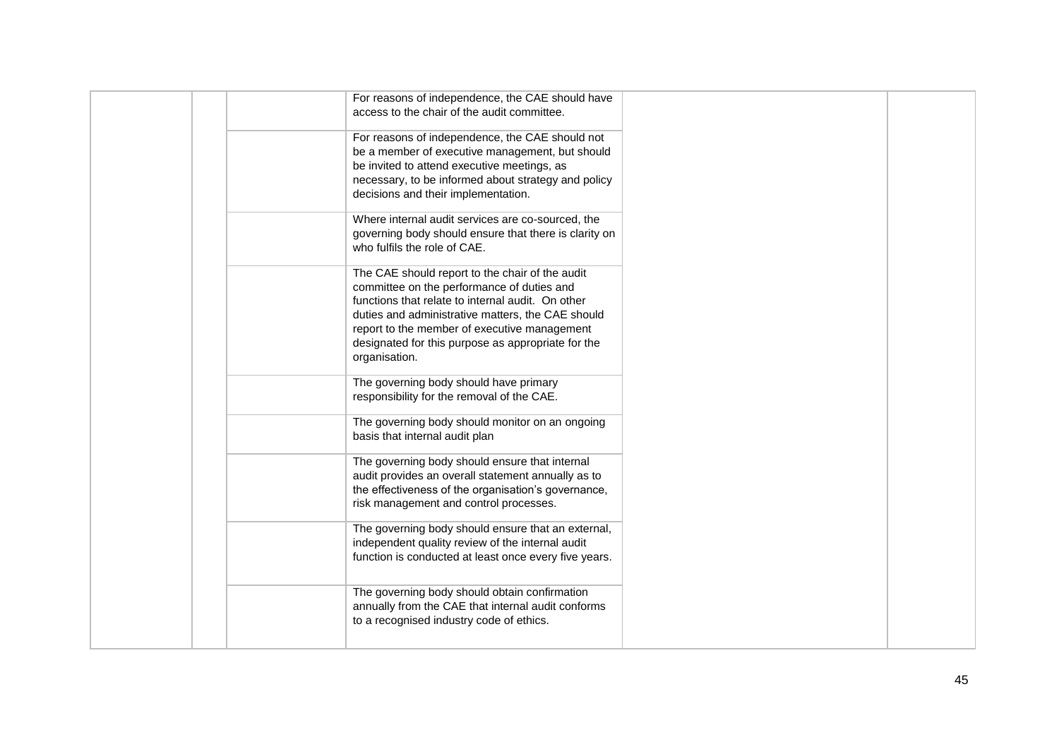| For reasons of independence, the CAE should have<br>access to the chair of the audit committee.                                                                                                                                                                                                                                |  |
|--------------------------------------------------------------------------------------------------------------------------------------------------------------------------------------------------------------------------------------------------------------------------------------------------------------------------------|--|
| For reasons of independence, the CAE should not<br>be a member of executive management, but should<br>be invited to attend executive meetings, as<br>necessary, to be informed about strategy and policy<br>decisions and their implementation.                                                                                |  |
| Where internal audit services are co-sourced, the<br>governing body should ensure that there is clarity on<br>who fulfils the role of CAE.                                                                                                                                                                                     |  |
| The CAE should report to the chair of the audit<br>committee on the performance of duties and<br>functions that relate to internal audit. On other<br>duties and administrative matters, the CAE should<br>report to the member of executive management<br>designated for this purpose as appropriate for the<br>organisation. |  |
| The governing body should have primary<br>responsibility for the removal of the CAE.                                                                                                                                                                                                                                           |  |
| The governing body should monitor on an ongoing<br>basis that internal audit plan                                                                                                                                                                                                                                              |  |
| The governing body should ensure that internal<br>audit provides an overall statement annually as to<br>the effectiveness of the organisation's governance,<br>risk management and control processes.                                                                                                                          |  |
| The governing body should ensure that an external,<br>independent quality review of the internal audit<br>function is conducted at least once every five years.                                                                                                                                                                |  |
| The governing body should obtain confirmation<br>annually from the CAE that internal audit conforms<br>to a recognised industry code of ethics.                                                                                                                                                                                |  |
|                                                                                                                                                                                                                                                                                                                                |  |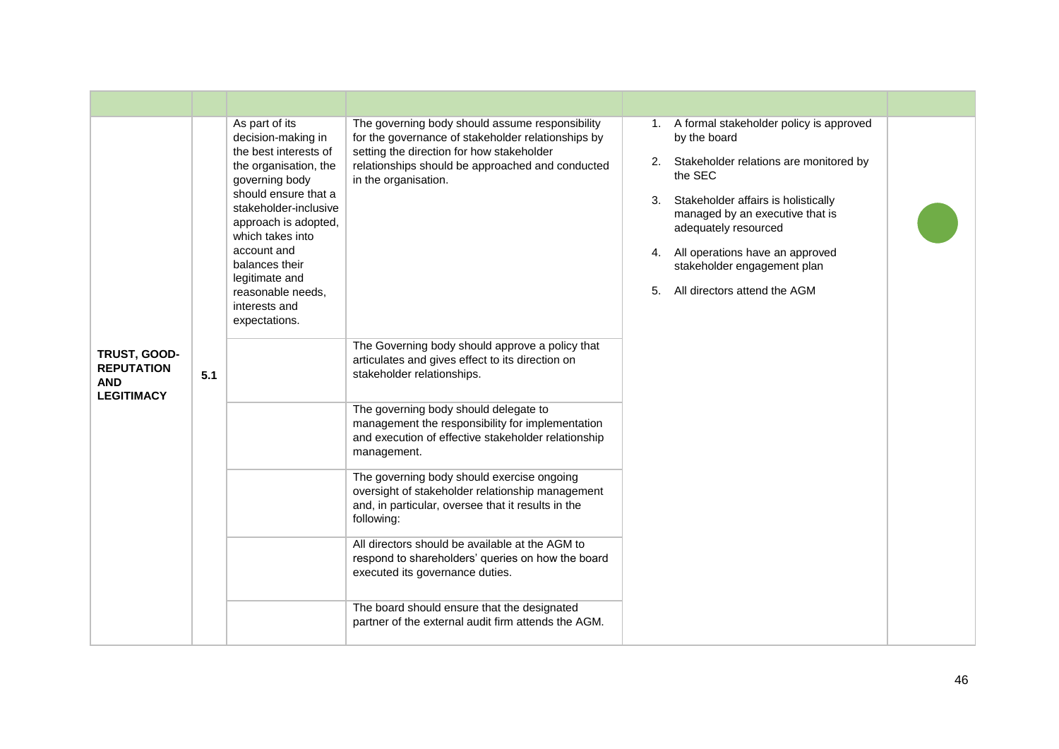|                                                                      |     | As part of its<br>decision-making in<br>the best interests of<br>the organisation, the<br>governing body<br>should ensure that a<br>stakeholder-inclusive<br>approach is adopted,<br>which takes into<br>account and<br>balances their<br>legitimate and<br>reasonable needs,<br>interests and<br>expectations. | The governing body should assume responsibility<br>for the governance of stakeholder relationships by<br>setting the direction for how stakeholder<br>relationships should be approached and conducted<br>in the organisation. | 3.<br>5. | 1. A formal stakeholder policy is approved<br>by the board<br>Stakeholder relations are monitored by<br>2.<br>the SEC<br>Stakeholder affairs is holistically<br>managed by an executive that is<br>adequately resourced<br>4. All operations have an approved<br>stakeholder engagement plan<br>All directors attend the AGM |  |
|----------------------------------------------------------------------|-----|-----------------------------------------------------------------------------------------------------------------------------------------------------------------------------------------------------------------------------------------------------------------------------------------------------------------|--------------------------------------------------------------------------------------------------------------------------------------------------------------------------------------------------------------------------------|----------|------------------------------------------------------------------------------------------------------------------------------------------------------------------------------------------------------------------------------------------------------------------------------------------------------------------------------|--|
| TRUST, GOOD-<br><b>REPUTATION</b><br><b>AND</b><br><b>LEGITIMACY</b> | 5.1 |                                                                                                                                                                                                                                                                                                                 | The Governing body should approve a policy that<br>articulates and gives effect to its direction on<br>stakeholder relationships.                                                                                              |          |                                                                                                                                                                                                                                                                                                                              |  |
|                                                                      |     |                                                                                                                                                                                                                                                                                                                 | The governing body should delegate to<br>management the responsibility for implementation<br>and execution of effective stakeholder relationship<br>management.                                                                |          |                                                                                                                                                                                                                                                                                                                              |  |
|                                                                      |     |                                                                                                                                                                                                                                                                                                                 | The governing body should exercise ongoing<br>oversight of stakeholder relationship management<br>and, in particular, oversee that it results in the<br>following:                                                             |          |                                                                                                                                                                                                                                                                                                                              |  |
|                                                                      |     |                                                                                                                                                                                                                                                                                                                 | All directors should be available at the AGM to<br>respond to shareholders' queries on how the board<br>executed its governance duties.                                                                                        |          |                                                                                                                                                                                                                                                                                                                              |  |
|                                                                      |     |                                                                                                                                                                                                                                                                                                                 | The board should ensure that the designated<br>partner of the external audit firm attends the AGM.                                                                                                                             |          |                                                                                                                                                                                                                                                                                                                              |  |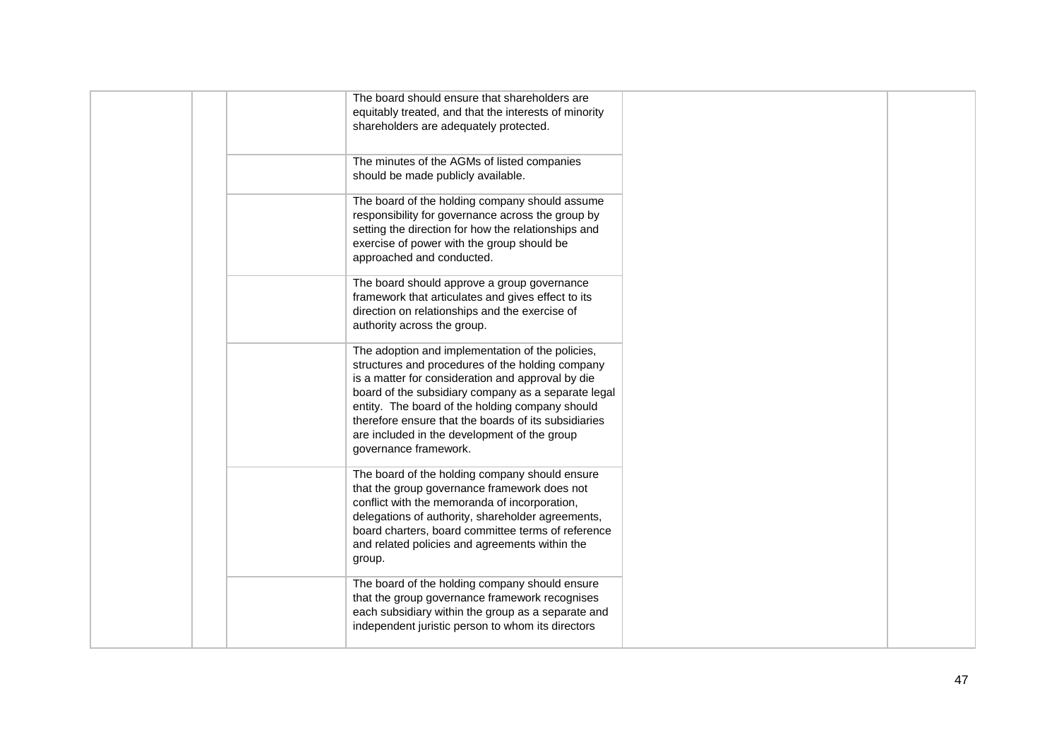| The board should ensure that shareholders are         |                                                                                                                                                                                                                                                                                                                                                                                                                                                                                                                                                                                                                                                                                                                                                                                                                                                                                                                                                                                                                                                                                                                                                                                                                                                                                                                                                                                                                                                                                                   |
|-------------------------------------------------------|---------------------------------------------------------------------------------------------------------------------------------------------------------------------------------------------------------------------------------------------------------------------------------------------------------------------------------------------------------------------------------------------------------------------------------------------------------------------------------------------------------------------------------------------------------------------------------------------------------------------------------------------------------------------------------------------------------------------------------------------------------------------------------------------------------------------------------------------------------------------------------------------------------------------------------------------------------------------------------------------------------------------------------------------------------------------------------------------------------------------------------------------------------------------------------------------------------------------------------------------------------------------------------------------------------------------------------------------------------------------------------------------------------------------------------------------------------------------------------------------------|
| equitably treated, and that the interests of minority |                                                                                                                                                                                                                                                                                                                                                                                                                                                                                                                                                                                                                                                                                                                                                                                                                                                                                                                                                                                                                                                                                                                                                                                                                                                                                                                                                                                                                                                                                                   |
|                                                       |                                                                                                                                                                                                                                                                                                                                                                                                                                                                                                                                                                                                                                                                                                                                                                                                                                                                                                                                                                                                                                                                                                                                                                                                                                                                                                                                                                                                                                                                                                   |
|                                                       |                                                                                                                                                                                                                                                                                                                                                                                                                                                                                                                                                                                                                                                                                                                                                                                                                                                                                                                                                                                                                                                                                                                                                                                                                                                                                                                                                                                                                                                                                                   |
|                                                       |                                                                                                                                                                                                                                                                                                                                                                                                                                                                                                                                                                                                                                                                                                                                                                                                                                                                                                                                                                                                                                                                                                                                                                                                                                                                                                                                                                                                                                                                                                   |
|                                                       |                                                                                                                                                                                                                                                                                                                                                                                                                                                                                                                                                                                                                                                                                                                                                                                                                                                                                                                                                                                                                                                                                                                                                                                                                                                                                                                                                                                                                                                                                                   |
|                                                       |                                                                                                                                                                                                                                                                                                                                                                                                                                                                                                                                                                                                                                                                                                                                                                                                                                                                                                                                                                                                                                                                                                                                                                                                                                                                                                                                                                                                                                                                                                   |
|                                                       |                                                                                                                                                                                                                                                                                                                                                                                                                                                                                                                                                                                                                                                                                                                                                                                                                                                                                                                                                                                                                                                                                                                                                                                                                                                                                                                                                                                                                                                                                                   |
|                                                       | shareholders are adequately protected.<br>The minutes of the AGMs of listed companies<br>should be made publicly available.<br>The board of the holding company should assume<br>responsibility for governance across the group by<br>setting the direction for how the relationships and<br>exercise of power with the group should be<br>approached and conducted.<br>The board should approve a group governance<br>framework that articulates and gives effect to its<br>direction on relationships and the exercise of<br>authority across the group.<br>The adoption and implementation of the policies,<br>structures and procedures of the holding company<br>is a matter for consideration and approval by die<br>board of the subsidiary company as a separate legal<br>entity. The board of the holding company should<br>therefore ensure that the boards of its subsidiaries<br>are included in the development of the group<br>governance framework.<br>The board of the holding company should ensure<br>that the group governance framework does not<br>conflict with the memoranda of incorporation,<br>delegations of authority, shareholder agreements,<br>board charters, board committee terms of reference<br>and related policies and agreements within the<br>The board of the holding company should ensure<br>that the group governance framework recognises<br>each subsidiary within the group as a separate and<br>independent juristic person to whom its directors |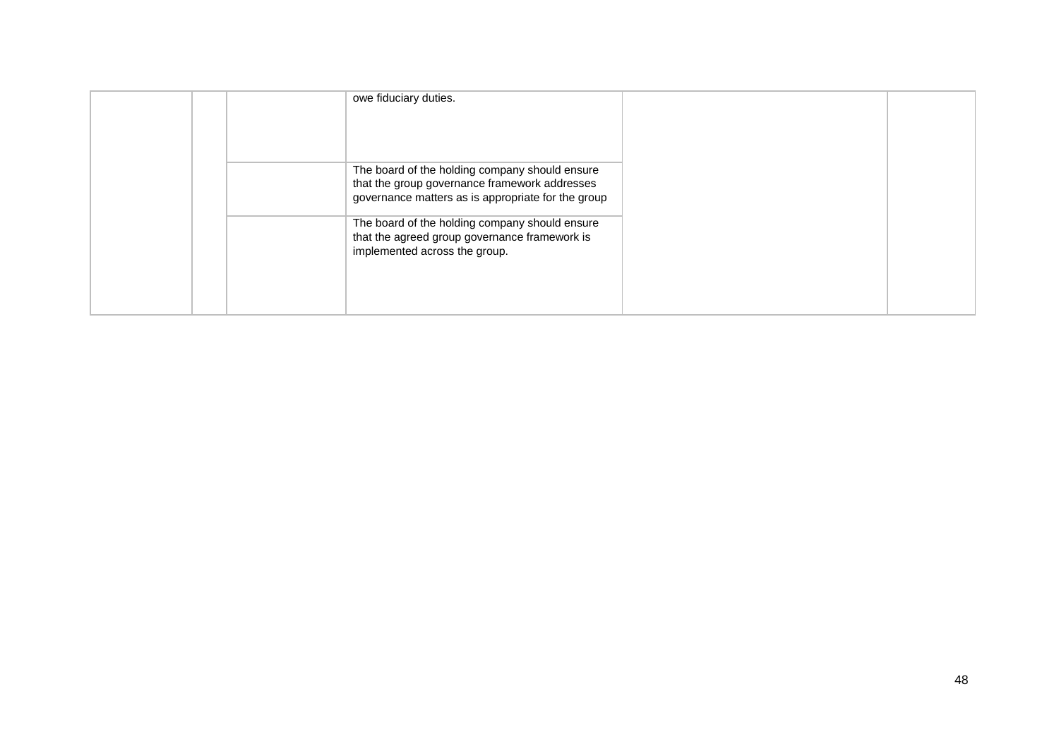|  | owe fiduciary duties.                                                                                                                                 |  |
|--|-------------------------------------------------------------------------------------------------------------------------------------------------------|--|
|  | The board of the holding company should ensure<br>that the group governance framework addresses<br>governance matters as is appropriate for the group |  |
|  | The board of the holding company should ensure<br>that the agreed group governance framework is<br>implemented across the group.                      |  |
|  |                                                                                                                                                       |  |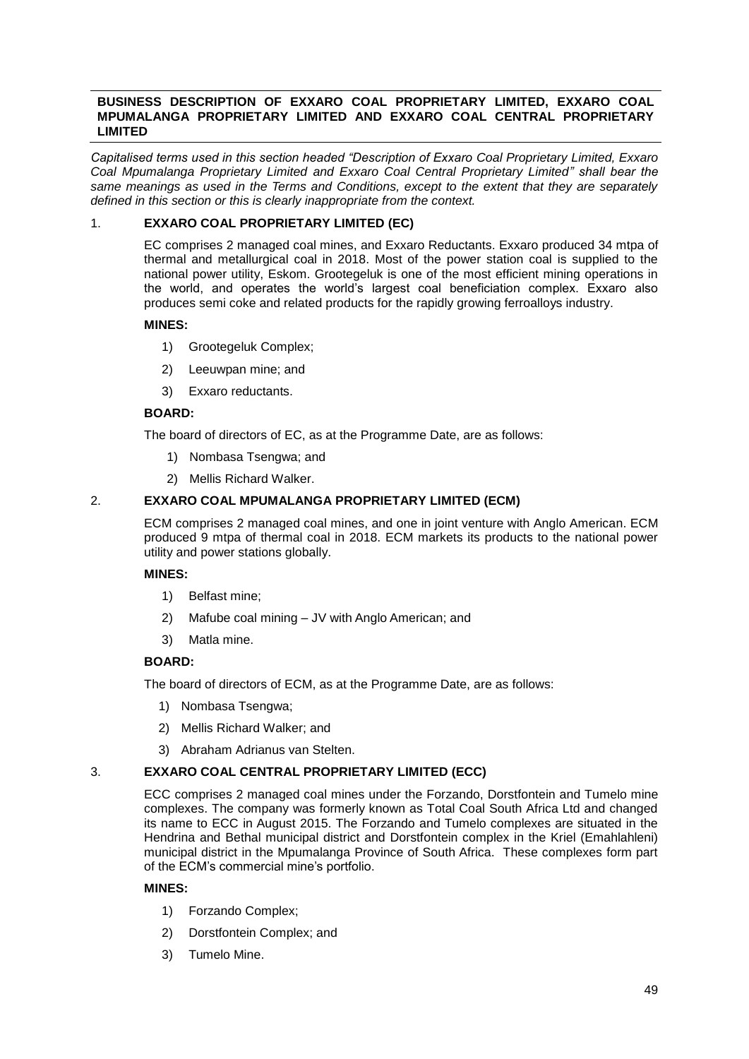## **BUSINESS DESCRIPTION OF EXXARO COAL PROPRIETARY LIMITED, EXXARO COAL MPUMALANGA PROPRIETARY LIMITED AND EXXARO COAL CENTRAL PROPRIETARY LIMITED**

*Capitalised terms used in this section headed "Description of Exxaro Coal Proprietary Limited, Exxaro Coal Mpumalanga Proprietary Limited and Exxaro Coal Central Proprietary Limited" shall bear the same meanings as used in the Terms and Conditions, except to the extent that they are separately defined in this section or this is clearly inappropriate from the context.*

## 1. **EXXARO COAL PROPRIETARY LIMITED (EC)**

EC comprises 2 managed coal mines, and Exxaro Reductants. Exxaro produced 34 mtpa of thermal and metallurgical coal in 2018. Most of the power station coal is supplied to the national power utility, Eskom. Grootegeluk is one of the most efficient mining operations in the world, and operates the world's largest coal beneficiation complex. Exxaro also produces semi coke and related products for the rapidly growing ferroalloys industry.

## **MINES:**

- 1) Grootegeluk Complex;
- 2) Leeuwpan mine; and
- 3) Exxaro reductants.

## **BOARD:**

The board of directors of EC, as at the Programme Date, are as follows:

- 1) Nombasa Tsengwa; and
- 2) Mellis Richard Walker.

## 2. **EXXARO COAL MPUMALANGA PROPRIETARY LIMITED (ECM)**

ECM comprises 2 managed coal mines, and one in joint venture with Anglo American. ECM produced 9 mtpa of thermal coal in 2018. ECM markets its products to the national power utility and power stations globally.

## **MINES:**

- 1) Belfast mine;
- 2) Mafube coal mining JV with Anglo American; and
- 3) Matla mine.

## **BOARD:**

The board of directors of ECM, as at the Programme Date, are as follows:

- 1) Nombasa Tsengwa;
- 2) Mellis Richard Walker; and
- 3) Abraham Adrianus van Stelten.

## 3. **EXXARO COAL CENTRAL PROPRIETARY LIMITED (ECC)**

ECC comprises 2 managed coal mines under the Forzando, Dorstfontein and Tumelo mine complexes. The company was formerly known as Total Coal South Africa Ltd and changed its name to ECC in August 2015. The Forzando and Tumelo complexes are situated in the Hendrina and Bethal municipal district and Dorstfontein complex in the Kriel (Emahlahleni) municipal district in the Mpumalanga Province of South Africa. These complexes form part of the ECM's commercial mine's portfolio.

## **MINES:**

- 1) Forzando Complex;
- 2) Dorstfontein Complex; and
- 3) Tumelo Mine.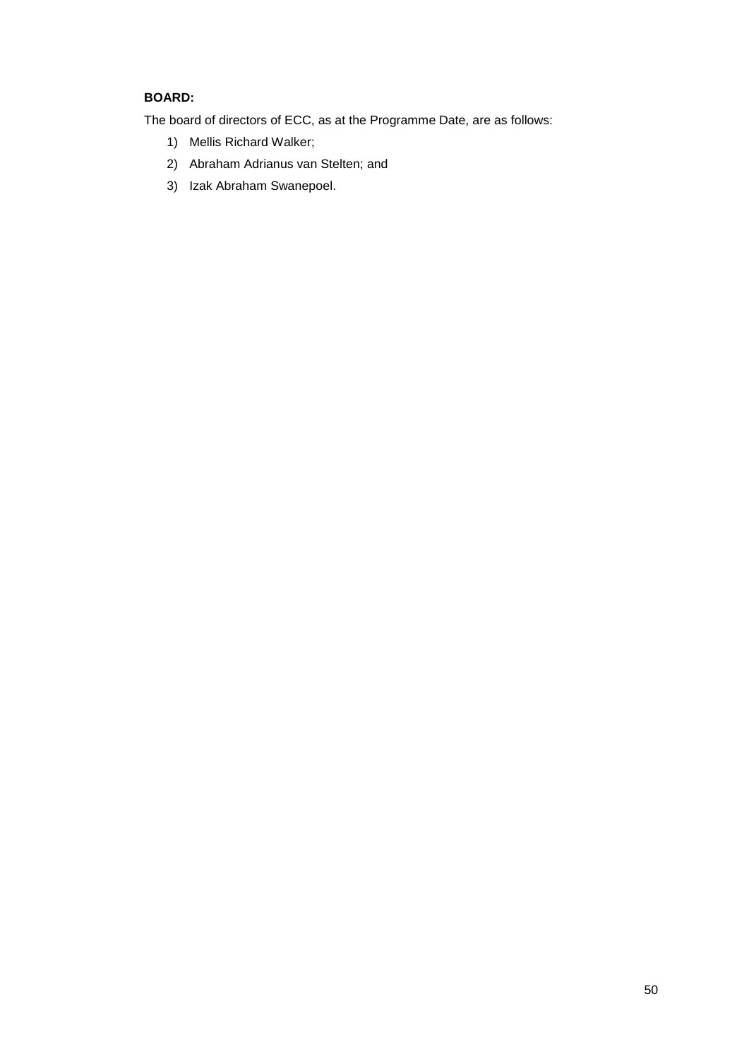# **BOARD:**

The board of directors of ECC, as at the Programme Date, are as follows:

- 1) Mellis Richard Walker;
- 2) Abraham Adrianus van Stelten; and
- 3) Izak Abraham Swanepoel.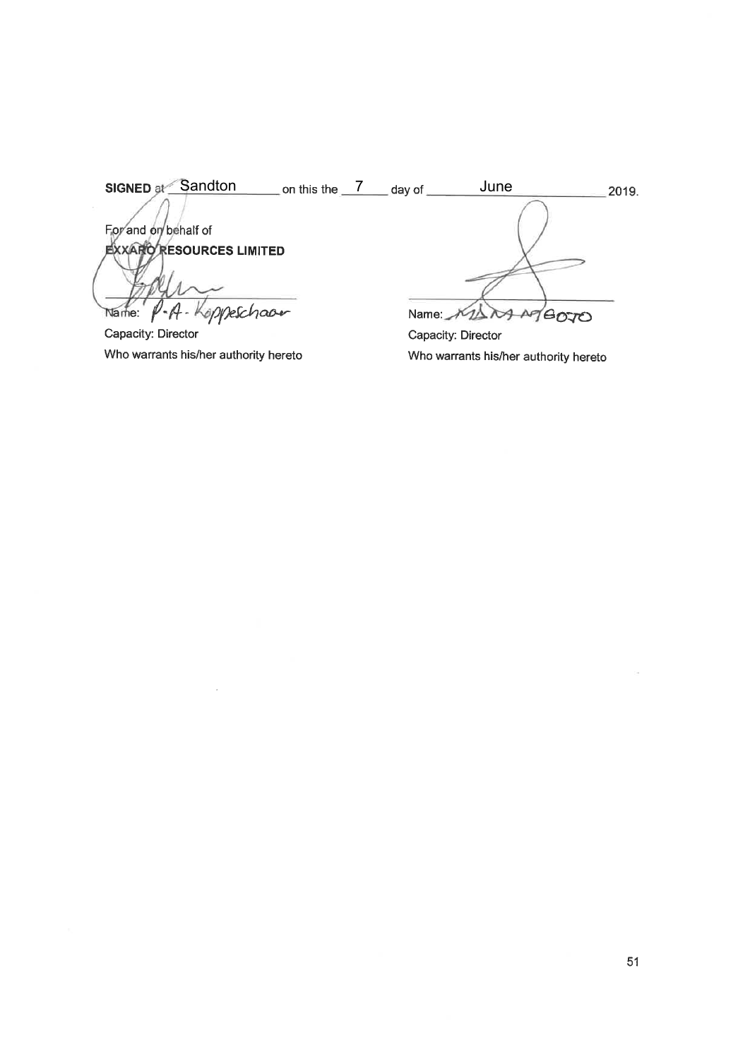| <b>SIGNED at Sandton</b>       | on this the $\sqrt{ }$ | day of              | June               | 2019.                      |
|--------------------------------|------------------------|---------------------|--------------------|----------------------------|
|                                |                        |                     |                    |                            |
| For and on behalf of           |                        |                     |                    |                            |
| <b>XXARO RESOURCES LIMITED</b> |                        |                     |                    |                            |
|                                |                        |                     |                    |                            |
|                                |                        |                     |                    |                            |
| P-A-Koppeschaar<br>Name:       |                        | Name: $\rightarrow$ |                    | $\mathcal{L}(\mathcal{L})$ |
| Capacity: Director             |                        |                     | Capacity: Director |                            |

Who warrants his/her authority hereto

 $\sim$ 

Capacity: Director Who warrants his/her authority hereto

 $\bar{\omega}$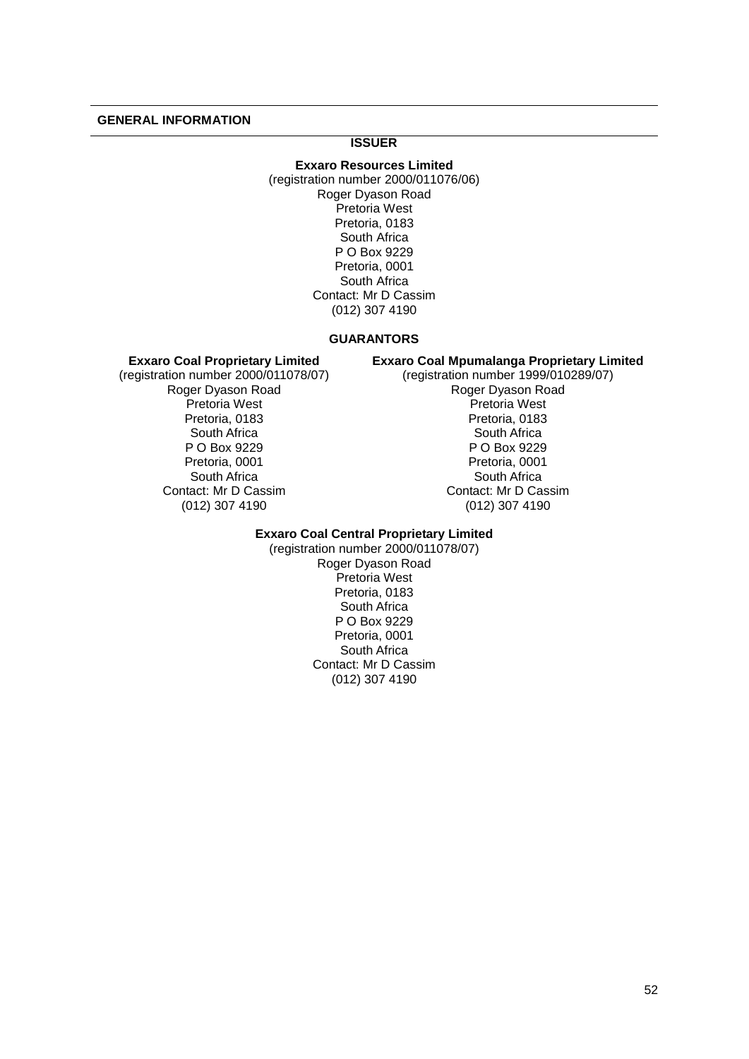## **GENERAL INFORMATION**

# **ISSUER**

**Exxaro Resources Limited** (registration number 2000/011076/06) Roger Dyason Road Pretoria West Pretoria, 0183 South Africa P O Box 9229 Pretoria, 0001 South Africa Contact: Mr D Cassim (012) 307 4190

#### **GUARANTORS**

#### **Exxaro Coal Proprietary Limited**

(registration number 2000/011078/07) Roger Dyason Road Pretoria West Pretoria, 0183 South Africa P O Box 9229 Pretoria, 0001 South Africa Contact: Mr D Cassim (012) 307 4190

**Exxaro Coal Mpumalanga Proprietary Limited** (registration number 1999/010289/07) Roger Dyason Road Pretoria West Pretoria, 0183 South Africa P O Box 9229 Pretoria, 0001 South Africa Contact: Mr D Cassim (012) 307 4190

## **Exxaro Coal Central Proprietary Limited**

(registration number 2000/011078/07) Roger Dyason Road Pretoria West Pretoria, 0183 South Africa P O Box 9229 Pretoria, 0001 South Africa Contact: Mr D Cassim (012) 307 4190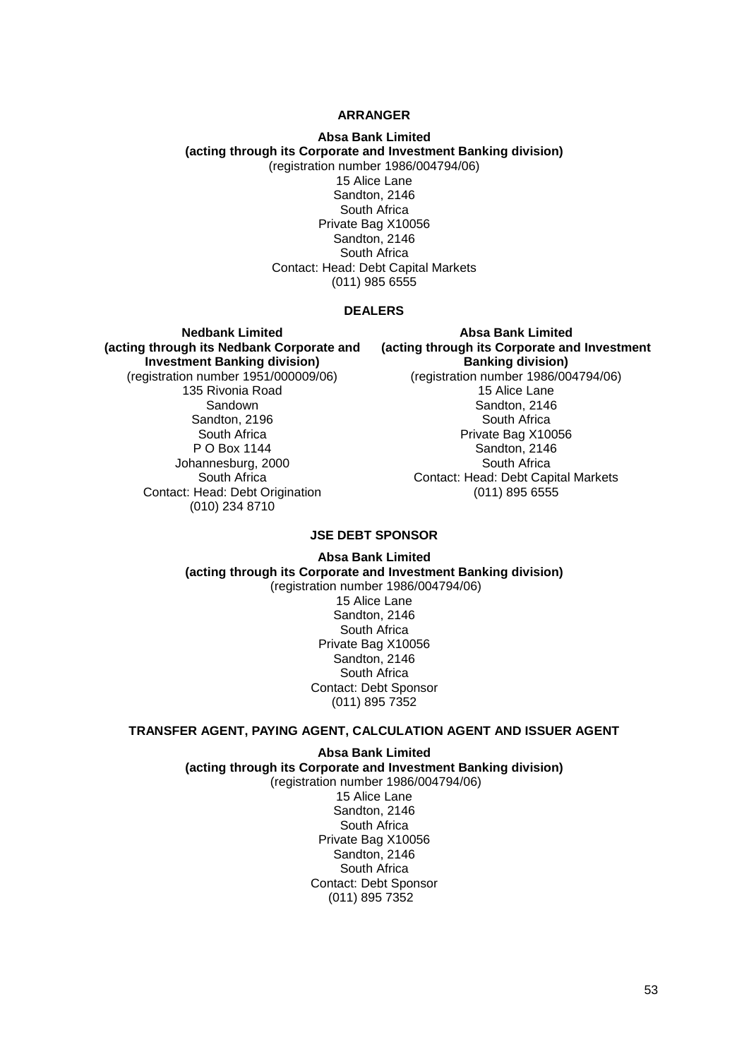## **ARRANGER**

#### **Absa Bank Limited (acting through its Corporate and Investment Banking division)** (registration number 1986/004794/06)

15 Alice Lane Sandton, 2146 South Africa Private Bag X10056 Sandton, 2146 South Africa Contact: Head: Debt Capital Markets (011) 985 6555

#### **DEALERS**

**Nedbank Limited (acting through its Nedbank Corporate and Investment Banking division)** (registration number 1951/000009/06) 135 Rivonia Road Sandown Sandton, 2196 South Africa P O Box 1144 Johannesburg, 2000 South Africa Contact: Head: Debt Origination (010) 234 8710

**Absa Bank Limited (acting through its Corporate and Investment Banking division)** (registration number 1986/004794/06) 15 Alice Lane Sandton, 2146 South Africa Private Bag X10056 Sandton, 2146 South Africa Contact: Head: Debt Capital Markets (011) 895 6555

## **JSE DEBT SPONSOR**

**Absa Bank Limited (acting through its Corporate and Investment Banking division)** (registration number 1986/004794/06) 15 Alice Lane Sandton, 2146 South Africa Private Bag X10056 Sandton, 2146 South Africa Contact: Debt Sponsor (011) 895 7352

#### **TRANSFER AGENT, PAYING AGENT, CALCULATION AGENT AND ISSUER AGENT**

**Absa Bank Limited (acting through its Corporate and Investment Banking division)** (registration number 1986/004794/06) 15 Alice Lane

Sandton, 2146 South Africa Private Bag X10056 Sandton, 2146 South Africa Contact: Debt Sponsor (011) 895 7352